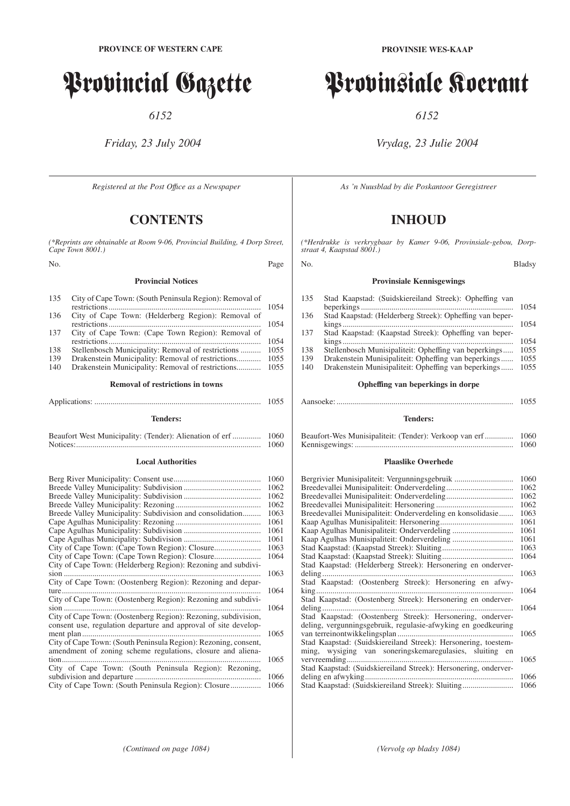# Provincial Gazette

*6152*

## *Friday, 23 July 2004*

*Registered at the Post Offıce as a Newspaper*

# **CONTENTS**

*(\*Reprints are obtainable at Room 9-06, Provincial Building, 4 Dorp Street, Cape Town 8001.)*

No. Page

#### **Provincial Notices**

| 135 | City of Cape Town: (South Peninsula Region): Removal of |      |  |
|-----|---------------------------------------------------------|------|--|
|     |                                                         | 1054 |  |
| 136 | City of Cape Town: (Helderberg Region): Removal of      |      |  |
|     |                                                         | 1054 |  |
| 137 | City of Cape Town: (Cape Town Region): Removal of       |      |  |
|     |                                                         | 1054 |  |
| 138 | Stellenbosch Municipality: Removal of restrictions      | 1055 |  |
| 139 | Drakenstein Municipality: Removal of restrictions       | 1055 |  |
| 140 | Drakenstein Municipality: Removal of restrictions       | 1055 |  |
|     |                                                         |      |  |

#### **Removal of restrictions in towns**

|                 | 1055 |
|-----------------|------|
| <b>Tenders:</b> |      |

| Beaufort West Municipality: (Tender): Alienation of erf | 1060 |
|---------------------------------------------------------|------|
|                                                         | 1060 |

#### **Local Authorities**

|                                                                                                                                   | 1060 |
|-----------------------------------------------------------------------------------------------------------------------------------|------|
|                                                                                                                                   | 1062 |
|                                                                                                                                   | 1062 |
|                                                                                                                                   | 1062 |
| Breede Valley Municipality: Subdivision and consolidation                                                                         | 1063 |
|                                                                                                                                   | 1061 |
|                                                                                                                                   | 1061 |
|                                                                                                                                   | 1061 |
|                                                                                                                                   | 1063 |
|                                                                                                                                   | 1064 |
| City of Cape Town: (Helderberg Region): Rezoning and subdivi-                                                                     |      |
| $sion$                                                                                                                            | 1063 |
| City of Cape Town: (Oostenberg Region): Rezoning and depar-                                                                       |      |
| $ture$                                                                                                                            | 1064 |
| City of Cape Town: (Oostenberg Region): Rezoning and subdivi-                                                                     |      |
| $sion$                                                                                                                            | 1064 |
| City of Cape Town: (Oostenberg Region): Rezoning, subdivision,<br>consent use, regulation departure and approval of site develop- |      |
| ment plan                                                                                                                         | 1065 |
| City of Cape Town: (South Peninsula Region): Rezoning, consent,                                                                   |      |
| amendment of zoning scheme regulations, closure and aliena-                                                                       |      |
| tion.                                                                                                                             | 1065 |
| City of Cape Town: (South Peninsula Region): Rezoning,                                                                            |      |
| subdivision and departure                                                                                                         | 1066 |
|                                                                                                                                   | 1066 |

# Provinsiale Koerant

*6152*

## *Vrydag, 23 Julie 2004*

*As 'n Nuusblad by die Poskantoor Geregistreer*

# **INHOUD**

*(\*Herdrukke is verkrygbaar by Kamer 9-06, Provinsiale-gebou, Dorpstraat 4, Kaapstad 8001.)*

#### No. Bladsy

#### **Provinsiale Kennisgewings**

| Stad Kaapstad: (Suidskiereiland Streek): Opheffing van   |      |
|----------------------------------------------------------|------|
|                                                          | 1054 |
| Stad Kaapstad: (Helderberg Streek): Opheffing van beper- |      |
|                                                          | 1054 |
| Stad Kaapstad: (Kaapstad Streek): Opheffing van beper-   |      |
|                                                          | 1054 |
| Stellenbosch Munisipaliteit: Opheffing van beperkings    | 1055 |
| Drakenstein Munisipaliteit: Opheffing van beperkings     | 1055 |
| Drakenstein Munisipaliteit: Opheffing van beperkings     | 1055 |
| Opheffing van beperkings in dorpe                        |      |
|                                                          |      |

| 1055 |
|------|
|      |

#### **Tenders:**

| Beaufort-Wes Munisipaliteit: (Tender): Verkoop van erf 1060 |      |
|-------------------------------------------------------------|------|
|                                                             | 1060 |

#### **Plaaslike Owerhede**

| Bergrivier Munisipaliteit: Vergunningsgebruik                   | 1060 |
|-----------------------------------------------------------------|------|
|                                                                 | 1062 |
|                                                                 | 1062 |
|                                                                 | 1062 |
| Breedevallei Munisipaliteit: Onderverdeling en konsolidasie     | 1063 |
|                                                                 | 1061 |
|                                                                 | 1061 |
|                                                                 | 1061 |
|                                                                 | 1063 |
|                                                                 | 1064 |
| Stad Kaapstad: (Helderberg Streek): Hersonering en onderver-    |      |
| deling                                                          | 1063 |
| Stad Kaapstad: (Oostenberg Streek): Hersonering en afwy-        |      |
| $king$                                                          | 1064 |
| Stad Kaapstad: (Oostenberg Streek): Hersonering en onderver-    |      |
| deling                                                          | 1064 |
| Stad Kaapstad: (Oostenberg Streek): Hersonering, onderver-      |      |
| deling, vergunningsgebruik, regulasie-afwyking en goedkeuring   |      |
|                                                                 | 1065 |
| Stad Kaapstad: (Suidskiereiland Streek): Hersonering, toestem-  |      |
| ming, wysiging van soneringskemaregulasies, sluiting en         |      |
| vervreemding                                                    | 1065 |
| Stad Kaapstad: (Suidskiereiland Streek): Hersonering, onderver- |      |
| deling en afwyking                                              | 1066 |
| Stad Kaapstad: (Suidskiereiland Streek): Sluiting               | 1066 |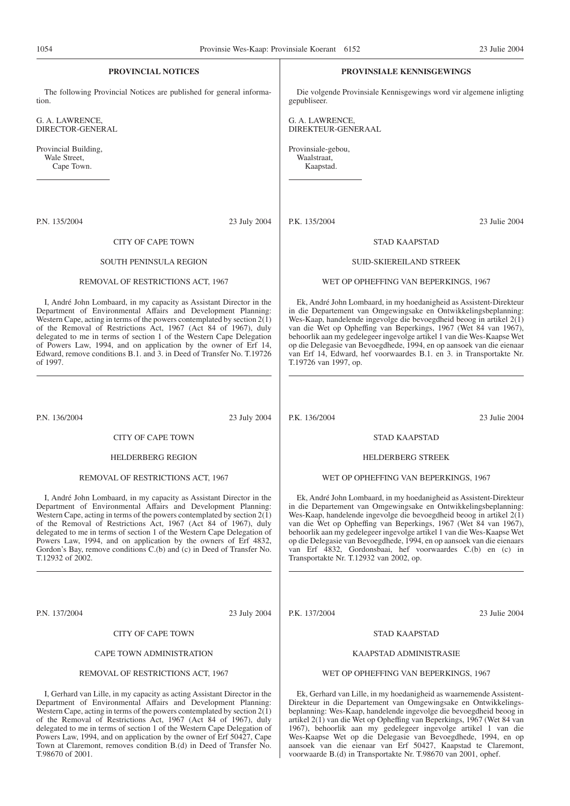| 1054                                                                         | Provinsie Wes-Kaap: Provinsiale Koerant 6152                                                                                                                                                                                                                                                                                                                                                                                                                                                                 |                                                | 23 Julie 2004                                                                                                                                                                                                                                                                                                                                                                                                                                                                                                 |
|------------------------------------------------------------------------------|--------------------------------------------------------------------------------------------------------------------------------------------------------------------------------------------------------------------------------------------------------------------------------------------------------------------------------------------------------------------------------------------------------------------------------------------------------------------------------------------------------------|------------------------------------------------|---------------------------------------------------------------------------------------------------------------------------------------------------------------------------------------------------------------------------------------------------------------------------------------------------------------------------------------------------------------------------------------------------------------------------------------------------------------------------------------------------------------|
| PROVINCIAL NOTICES                                                           |                                                                                                                                                                                                                                                                                                                                                                                                                                                                                                              |                                                | <b>PROVINSIALE KENNISGEWINGS</b>                                                                                                                                                                                                                                                                                                                                                                                                                                                                              |
| The following Provincial Notices are published for general informa-<br>tion. |                                                                                                                                                                                                                                                                                                                                                                                                                                                                                                              | gepubliseer.                                   | Die volgende Provinsiale Kennisgewings word vir algemene inligting                                                                                                                                                                                                                                                                                                                                                                                                                                            |
| G. A. LAWRENCE,<br>DIRECTOR-GENERAL                                          |                                                                                                                                                                                                                                                                                                                                                                                                                                                                                                              | G. A. LAWRENCE,<br>DIREKTEUR-GENERAAL          |                                                                                                                                                                                                                                                                                                                                                                                                                                                                                                               |
| Provincial Building,<br>Wale Street.<br>Cape Town.                           |                                                                                                                                                                                                                                                                                                                                                                                                                                                                                                              | Provinsiale-gebou,<br>Waalstraat,<br>Kaapstad. |                                                                                                                                                                                                                                                                                                                                                                                                                                                                                                               |
|                                                                              |                                                                                                                                                                                                                                                                                                                                                                                                                                                                                                              |                                                |                                                                                                                                                                                                                                                                                                                                                                                                                                                                                                               |
| P.N. 135/2004                                                                | 23 July 2004                                                                                                                                                                                                                                                                                                                                                                                                                                                                                                 | P.K. 135/2004                                  | 23 Julie 2004                                                                                                                                                                                                                                                                                                                                                                                                                                                                                                 |
|                                                                              | CITY OF CAPE TOWN                                                                                                                                                                                                                                                                                                                                                                                                                                                                                            |                                                | <b>STAD KAAPSTAD</b>                                                                                                                                                                                                                                                                                                                                                                                                                                                                                          |
|                                                                              | <b>SOUTH PENINSULA REGION</b>                                                                                                                                                                                                                                                                                                                                                                                                                                                                                |                                                | <b>SUID-SKIEREILAND STREEK</b>                                                                                                                                                                                                                                                                                                                                                                                                                                                                                |
|                                                                              | REMOVAL OF RESTRICTIONS ACT, 1967                                                                                                                                                                                                                                                                                                                                                                                                                                                                            |                                                | WET OP OPHEFFING VAN BEPERKINGS, 1967                                                                                                                                                                                                                                                                                                                                                                                                                                                                         |
| of 1997.                                                                     | I, André John Lombaard, in my capacity as Assistant Director in the<br>Department of Environmental Affairs and Development Planning:<br>Western Cape, acting in terms of the powers contemplated by section $2(1)$<br>of the Removal of Restrictions Act, 1967 (Act 84 of 1967), duly<br>delegated to me in terms of section 1 of the Western Cape Delegation<br>of Powers Law, 1994, and on application by the owner of Erf 14,<br>Edward, remove conditions B.1. and 3. in Deed of Transfer No. T.19726    | T.19726 van 1997, op.                          | Ek, André John Lombaard, in my hoedanigheid as Assistent-Direkteur<br>in die Departement van Omgewingsake en Ontwikkelingsbeplanning:<br>Wes-Kaap, handelende ingevolge die bevoegdheid beoog in artikel $2(1)$<br>van die Wet op Opheffing van Beperkings, 1967 (Wet 84 van 1967),<br>behoorlik aan my gedelegeer ingevolge artikel 1 van die Wes-Kaapse Wet<br>op die Delegasie van Bevoegdhede, 1994, en op aansoek van die eienaar<br>van Erf 14, Edward, hef voorwaardes B.1. en 3. in Transportakte Nr. |
| P.N. 136/2004                                                                | 23 July 2004                                                                                                                                                                                                                                                                                                                                                                                                                                                                                                 | P.K. 136/2004                                  | 23 Julie 2004                                                                                                                                                                                                                                                                                                                                                                                                                                                                                                 |
|                                                                              | CITY OF CAPE TOWN                                                                                                                                                                                                                                                                                                                                                                                                                                                                                            |                                                | <b>STAD KAAPSTAD</b>                                                                                                                                                                                                                                                                                                                                                                                                                                                                                          |
|                                                                              | <b>HELDERBERG REGION</b>                                                                                                                                                                                                                                                                                                                                                                                                                                                                                     |                                                | <b>HELDERBERG STREEK</b>                                                                                                                                                                                                                                                                                                                                                                                                                                                                                      |
|                                                                              | REMOVAL OF RESTRICTIONS ACT, 1967                                                                                                                                                                                                                                                                                                                                                                                                                                                                            |                                                | WET OP OPHEFFING VAN BEPERKINGS, 1967                                                                                                                                                                                                                                                                                                                                                                                                                                                                         |
| T.12932 of 2002.                                                             | I, André John Lombaard, in my capacity as Assistant Director in the<br>Department of Environmental Affairs and Development Planning:<br>Western Cape, acting in terms of the powers contemplated by section $2(1)$<br>of the Removal of Restrictions Act, 1967 (Act 84 of 1967), duly<br>delegated to me in terms of section 1 of the Western Cape Delegation of<br>Powers Law, 1994, and on application by the owners of Erf 4832,<br>Gordon's Bay, remove conditions C.(b) and (c) in Deed of Transfer No. | Transportakte Nr. T.12932 van 2002, op.        | Ek, André John Lombaard, in my hoedanigheid as Assistent-Direkteur<br>in die Departement van Omgewingsake en Ontwikkelingsbeplanning:<br>Wes-Kaap, handelende ingevolge die bevoegdheid beoog in artikel 2(1)<br>van die Wet op Opheffing van Beperkings, 1967 (Wet 84 van 1967),<br>behoorlik aan my gedelegeer ingevolge artikel 1 van die Wes-Kaapse Wet<br>op die Delegasie van Bevoegdhede, 1994, en op aansoek van die eienaars<br>van Erf 4832, Gordonsbaai, hef voorwaardes C.(b) en (c) in           |
| P.N. 137/2004                                                                | 23 July 2004                                                                                                                                                                                                                                                                                                                                                                                                                                                                                                 | P.K. 137/2004                                  | 23 Julie 2004                                                                                                                                                                                                                                                                                                                                                                                                                                                                                                 |

CITY OF CAPE TOWN

CAPE TOWN ADMINISTRATION

REMOVAL OF RESTRICTIONS ACT, 1967

T.98670 of 2001.

I, Gerhard van Lille, in my capacity as acting Assistant Director in the Department of Environmental Affairs and Development Planning: Western Cape, acting in terms of the powers contemplated by section 2(1) of the Removal of Restrictions Act, 1967 (Act 84 of 1967), duly delegated to me in terms of section 1 of the Western Cape Delegation of Powers Law, 1994, and on application by the owner of Erf 50427, Cape Town at Claremont, removes condition B.(d) in Deed of Transfer No.

#### STAD KAAPSTAD

#### KAAPSTAD ADMINISTRASIE

#### WET OP OPHEFFING VAN BEPERKINGS, 1967

Ek, Gerhard van Lille, in my hoedanigheid as waarnemende Assistent-Direkteur in die Departement van Omgewingsake en Ontwikkelingsbeplanning: Wes-Kaap, handelende ingevolge die bevoegdheid beoog in artikel 2(1) van die Wet op Opheffing van Beperkings, 1967 (Wet 84 van 1967), behoorlik aan my gedelegeer ingevolge artikel 1 van die Wes-Kaapse Wet op die Delegasie van Bevoegdhede, 1994, en op aansoek van die eienaar van Erf 50427, Kaapstad te Claremont, voorwaarde B.(d) in Transportakte Nr. T.98670 van 2001, ophef.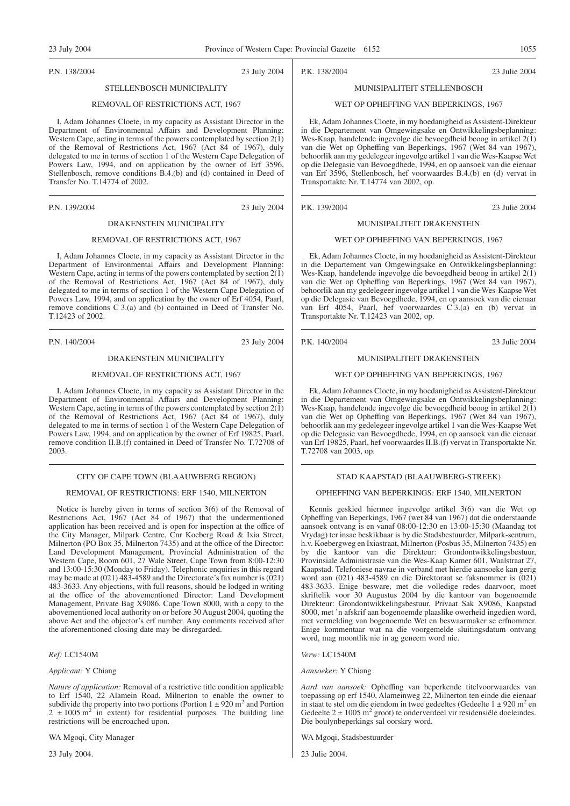P.N. 138/2004 23 July 2004

## STELLENBOSCH MUNICIPALITY

#### REMOVAL OF RESTRICTIONS ACT, 1967

I, Adam Johannes Cloete, in my capacity as Assistant Director in the Department of Environmental Affairs and Development Planning: Western Cape, acting in terms of the powers contemplated by section 2(1) of the Removal of Restrictions Act, 1967 (Act 84 of 1967), duly delegated to me in terms of section 1 of the Western Cape Delegation of Powers Law, 1994, and on application by the owner of Erf 3596, Stellenbosch, remove conditions B.4.(b) and (d) contained in Deed of Transfer No. T.14774 of 2002.

P.N. 139/2004 23 July 2004

#### DRAKENSTEIN MUNICIPALITY

#### REMOVAL OF RESTRICTIONS ACT, 1967

I, Adam Johannes Cloete, in my capacity as Assistant Director in the Department of Environmental Affairs and Development Planning: Western Cape, acting in terms of the powers contemplated by section  $2(1)$ of the Removal of Restrictions Act, 1967 (Act 84 of 1967), duly delegated to me in terms of section 1 of the Western Cape Delegation of Powers Law, 1994, and on application by the owner of Erf 4054, Paarl, remove conditions C 3.(a) and (b) contained in Deed of Transfer No. T.12423 of 2002.

P.N. 140/2004 23 July 2004

#### DRAKENSTEIN MUNICIPALITY

#### REMOVAL OF RESTRICTIONS ACT, 1967

I, Adam Johannes Cloete, in my capacity as Assistant Director in the Department of Environmental Affairs and Development Planning: Western Cape, acting in terms of the powers contemplated by section  $2(1)$ of the Removal of Restrictions Act, 1967 (Act 84 of 1967), duly delegated to me in terms of section 1 of the Western Cape Delegation of Powers Law, 1994, and on application by the owner of Erf 19825, Paarl, remove condition II.B.(f) contained in Deed of Transfer No. T.72708 of 2003.

#### CITY OF CAPE TOWN (BLAAUWBERG REGION)

#### REMOVAL OF RESTRICTIONS: ERF 1540, MILNERTON

Notice is hereby given in terms of section 3(6) of the Removal of Restrictions Act, 1967 (Act 84 of 1967) that the undermentioned application has been received and is open for inspection at the office of the City Manager, Milpark Centre, Cnr Koeberg Road & Ixia Street, Milnerton (PO Box 35, Milnerton 7435) and at the office of the Director: Land Development Management, Provincial Administration of the Western Cape, Room 601, 27 Wale Street, Cape Town from 8:00-12:30 and 13:00-15:30 (Monday to Friday). Telephonic enquiries in this regard may be made at  $(021)$  483-4589 and the Directorate's fax number is  $(021)$ 483-3633. Any objections, with full reasons, should be lodged in writing at the office of the abovementioned Director: Land Development Management, Private Bag X9086, Cape Town 8000, with a copy to the abovementioned local authority on or before 30 August 2004, quoting the above Act and the objector's erf number. Any comments received after the aforementioned closing date may be disregarded.

#### *Ref:* LC1540M

#### *Applicant:* Y Chiang

*Nature of application:* Removal of a restrictive title condition applicable to Erf 1540, 22 Alamein Road, Milnerton to enable the owner to subdivide the property into two portions (Portion  $1 \pm 920$  m<sup>2</sup> and Portion  $2 \pm 1005$  m<sup>2</sup> in extent) for residential purposes. The building line restrictions will be encroached upon.

WA Mgoqi, City Manager

23 July 2004.

P.K. 138/2004 23 Julie 2004

### MUNISIPALITEIT STELLENBOSCH

#### WET OP OPHEFFING VAN BEPERKINGS, 1967

Ek, Adam Johannes Cloete, in my hoedanigheid as Assistent-Direkteur in die Departement van Omgewingsake en Ontwikkelingsbeplanning: Wes-Kaap, handelende ingevolge die bevoegdheid beoog in artikel 2(1) van die Wet op Opheffing van Beperkings, 1967 (Wet 84 van 1967), behoorlik aan my gedelegeer ingevolge artikel 1 van die Wes-Kaapse Wet op die Delegasie van Bevoegdhede, 1994, en op aansoek van die eienaar van Erf 3596, Stellenbosch, hef voorwaardes B.4.(b) en (d) vervat in Transportakte Nr. T.14774 van 2002, op.

P.K. 139/2004 23 Julie 2004

#### MUNISIPALITEIT DRAKENSTEIN

#### WET OP OPHEFFING VAN BEPERKINGS, 1967

Ek, Adam Johannes Cloete, in my hoedanigheid as Assistent-Direkteur in die Departement van Omgewingsake en Ontwikkelingsbeplanning: Wes-Kaap, handelende ingevolge die bevoegdheid beoog in artikel 2(1) van die Wet op Opheffing van Beperkings, 1967 (Wet 84 van 1967), behoorlik aan my gedelegeer ingevolge artikel 1 van die Wes-Kaapse Wet op die Delegasie van Bevoegdhede, 1994, en op aansoek van die eienaar van Erf 4054, Paarl, hef voorwaardes C 3.(a) en (b) vervat in Transportakte Nr. T.12423 van 2002, op.

P.K. 140/2004 23 Julie 2004

#### MUNISIPALITEIT DRAKENSTEIN

#### WET OP OPHEFFING VAN BEPERKINGS, 1967

Ek, Adam Johannes Cloete, in my hoedanigheid as Assistent-Direkteur in die Departement van Omgewingsake en Ontwikkelingsbeplanning: Wes-Kaap, handelende ingevolge die bevoegdheid beoog in artikel 2(1) van die Wet op Opheffing van Beperkings, 1967 (Wet 84 van 1967), behoorlik aan my gedelegeer ingevolge artikel 1 van die Wes-Kaapse Wet op die Delegasie van Bevoegdhede, 1994, en op aansoek van die eienaar van Erf 19825, Paarl, hef voorwaardes II.B.(f) vervat in Transportakte Nr. T.72708 van 2003, op.

#### STAD KAAPSTAD (BLAAUWBERG-STREEK)

#### OPHEFFING VAN BEPERKINGS: ERF 1540, MILNERTON

Kennis geskied hiermee ingevolge artikel 3(6) van die Wet op Opheffing van Beperkings, 1967 (wet 84 van 1967) dat die onderstaande aansoek ontvang is en vanaf 08:00-12:30 en 13:00-15:30 (Maandag tot Vrydag) ter insae beskikbaar is by die Stadsbestuurder, Milpark-sentrum, h.v. Koebergweg en Ixiastraat, Milnerton (Posbus 35, Milnerton 7435) en by die kantoor van die Direkteur: Grondontwikkelingsbestuur, Provinsiale Administrasie van die Wes-Kaap Kamer 601, Waalstraat 27, Kaapstad. Telefoniese navrae in verband met hierdie aansoeke kan gerig word aan (021) 483-4589 en die Direktoraat se faksnommer is (021) 483-3633. Enige besware, met die volledige redes daarvoor, moet skriftelik voor 30 Augustus 2004 by die kantoor van bogenoemde Direkteur: Grondontwikkelingsbestuur, Privaat Sak X9086, Kaapstad 8000, met 'n afskrif aan bogenoemde plaaslike owerheid ingedien word, met vermelding van bogenoemde Wet en beswaarmaker se erfnommer. Enige kommentaar wat na die voorgemelde sluitingsdatum ontvang word, mag moontlik nie in ag geneem word nie.

*Verw:* LC1540M

*Aansoeker:* Y Chiang

*Aard van aansoek:* Opheffing van beperkende titelvoorwaardes van toepassing op erf 1540, Alameinweg 22, Milnerton ten einde die eienaar in staat te stel om die eiendom in twee gedeeltes (Gedeelte  $1 \pm 920$  m<sup>2</sup> en Gedeelte  $2 \pm 1005$  m<sup>2</sup> groot) te onderverdeel vir residensiële doeleindes. Die boulynbeperkings sal oorskry word.

WA Mgoqi, Stadsbestuurder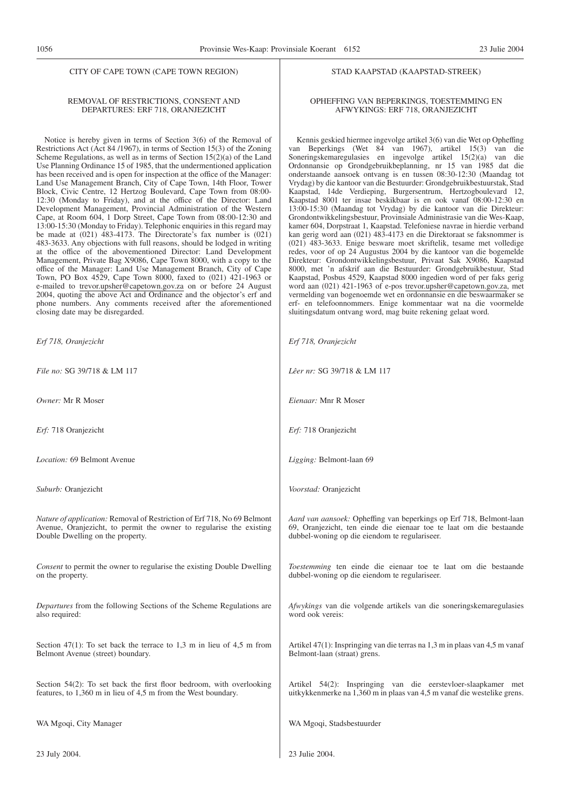#### CITY OF CAPE TOWN (CAPE TOWN REGION)

#### REMOVAL OF RESTRICTIONS, CONSENT AND DEPARTURES: ERF 718, ORANJEZICHT

Notice is hereby given in terms of Section 3(6) of the Removal of Restrictions Act (Act 84 /1967), in terms of Section 15(3) of the Zoning Scheme Regulations, as well as in terms of Section 15(2)(a) of the Land Use Planning Ordinance 15 of 1985, that the undermentioned application has been received and is open for inspection at the office of the Manager: Land Use Management Branch, City of Cape Town, 14th Floor, Tower Block, Civic Centre, 12 Hertzog Boulevard, Cape Town from 08:00- 12:30 (Monday to Friday), and at the office of the Director: Land Development Management, Provincial Administration of the Western Cape, at Room 604, 1 Dorp Street, Cape Town from 08:00-12:30 and 13:00-15:30 (Monday to Friday). Telephonic enquiries in this regard may be made at  $(021)$  483-4173. The Directorate's fax number is  $(021)$ 483-3633. Any objections with full reasons, should be lodged in writing at the office of the abovementioned Director: Land Development Management, Private Bag X9086, Cape Town 8000, with a copy to the office of the Manager: Land Use Management Branch, City of Cape Town, PO Box 4529, Cape Town 8000, faxed to (021) 421-1963 or e-mailed to trevor.upsher@capetown.gov.za on or before 24 August 2004, quoting the above Act and Ordinance and the objector's erf and phone numbers. Any comments received after the aforementioned closing date may be disregarded.

Erf 718, Oranjezich

*File no:* SG 39/718

Owner: Mr R Mose

Erf: 718 Oranjezicht

*Location:* 69 Belmo

*Suburb:* Oranjezicht

*Nature of application* Avenue, Oranjezich Double Dwelling or

*Consent* to permit the on the property.

*Departures* from the also required:

Section  $47(1)$ : To set Belmont Avenue (stre

Section  $54(2)$ : To s features, to  $1,360$  m

WA Mgoqi, City Ma

23 July 2004.

#### STAD KAAPSTAD (KAAPSTAD-STREEK)

#### OPHEFFING VAN BEPERKINGS, TOESTEMMING EN AFWYKINGS: ERF 718, ORANJEZICHT

Kennis geskied hiermee ingevolge artikel 3(6) van die Wet op Opheffing van Beperkings (Wet 84 van 1967), artikel 15(3) van die Soneringskemaregulasies en ingevolge artikel 15(2)(a) van die Ordonnansie op Grondgebruikbeplanning, nr 15 van 1985 dat die onderstaande aansoek ontvang is en tussen 08:30-12:30 (Maandag tot Vrydag) by die kantoor van die Bestuurder: Grondgebruikbestuurstak, Stad Kaapstad, 14de Verdieping, Burgersentrum, Hertzogboulevard 12, Kaapstad 8001 ter insae beskikbaar is en ook vanaf 08:00-12:30 en 13:00-15:30 (Maandag tot Vrydag) by die kantoor van die Direkteur: Grondontwikkelingsbestuur, Provinsiale Administrasie van die Wes-Kaap, kamer 604, Dorpstraat 1, Kaapstad. Telefoniese navrae in hierdie verband kan gerig word aan (021) 483-4173 en die Direktoraat se faksnommer is (021) 483-3633. Enige besware moet skriftelik, tesame met volledige redes, voor of op 24 Augustus 2004 by die kantoor van die bogemelde Direkteur: Grondontwikkelingsbestuur, Privaat Sak X9086, Kaapstad 8000, met 'n afskrif aan die Bestuurder: Grondgebruikbestuur, Stad Kaapstad, Posbus 4529, Kaapstad 8000 ingedien word of per faks gerig word aan (021) 421-1963 of e-pos trevor.upsher@capetown.gov.za, met vermelding van bogenoemde wet en ordonnansie en die beswaarmaker se erf- en telefoonnommers. Enige kommentaar wat na die voormelde sluitingsdatum ontvang word, mag buite rekening gelaat word.

| t                                                                                                                          | Erf 718, Oranjezicht                                                                                                                                                                        |
|----------------------------------------------------------------------------------------------------------------------------|---------------------------------------------------------------------------------------------------------------------------------------------------------------------------------------------|
| & LM 117                                                                                                                   | Lêer nr: SG 39/718 & LM 117                                                                                                                                                                 |
| r                                                                                                                          | <i>Eienaar:</i> Mnr R Moser                                                                                                                                                                 |
| t                                                                                                                          | Erf: 718 Oranjezicht                                                                                                                                                                        |
| nt Avenue                                                                                                                  | Ligging: Belmont-laan 69                                                                                                                                                                    |
|                                                                                                                            | Voorstad: Oranjezicht                                                                                                                                                                       |
| n: Removal of Restriction of Erf 718, No 69 Belmont<br>it, to permit the owner to regularise the existing<br>the property. | Aard van aansoek: Opheffing van beperkings op Erf 718, Belmont-laan<br>69, Oranjezicht, ten einde die eienaar toe te laat om die bestaande<br>dubbel-woning op die eiendom te regulariseer. |
| ne owner to regularise the existing Double Dwelling                                                                        | Toestemming ten einde die eienaar toe te laat om die bestaande<br>dubbel-woning op die eiendom te regulariseer.                                                                             |
| E following Sections of the Scheme Regulations are                                                                         | Afwykings van die volgende artikels van die soneringskemaregulasies<br>word ook vereis:                                                                                                     |
| et back the terrace to 1,3 m in lieu of 4,5 m from<br>reet) boundary.                                                      | Artikel 47(1): Inspringing van die terras na 1,3 m in plaas van 4,5 m vanaf<br>Belmont-laan (straat) grens.                                                                                 |
| et back the first floor bedroom, with overlooking<br>in lieu of 4,5 m from the West boundary.                              | Artikel 54(2): Inspringing van die eerstevloer-slaapkamer met<br>uitkykkenmerke na 1,360 m in plaas van 4,5 m vanaf die westelike grens.                                                    |
| anager                                                                                                                     | WA Mgoqi, Stadsbestuurder                                                                                                                                                                   |
|                                                                                                                            |                                                                                                                                                                                             |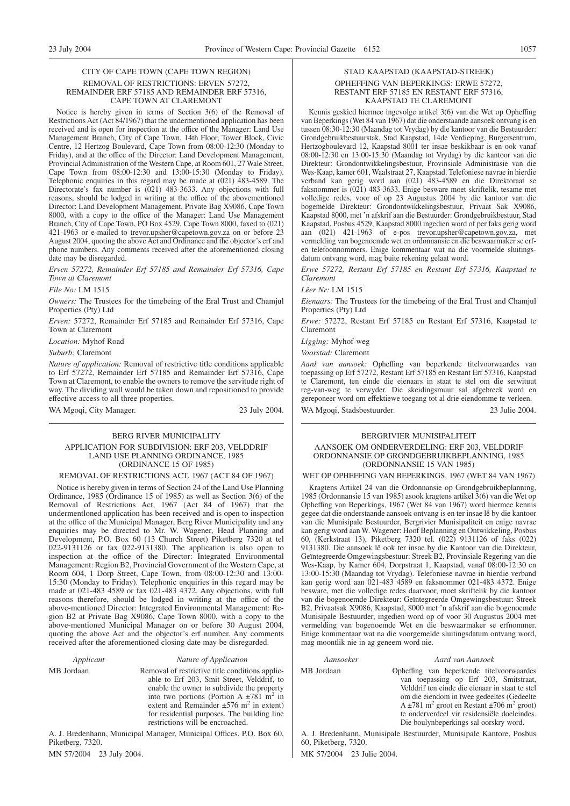#### CITY OF CAPE TOWN (CAPE TOWN REGION) REMOVAL OF RESTRICTIONS: ERVEN 57272, REMAINDER ERF 57185 AND REMAINDER ERF 57316, CAPE TOWN AT CLAREMONT

Notice is hereby given in terms of Section 3(6) of the Removal of Restrictions Act (Act 84/1967) that the undermentioned application has been received and is open for inspection at the office of the Manager: Land Use Management Branch, City of Cape Town, 14th Floor, Tower Block, Civic Centre, 12 Hertzog Boulevard, Cape Town from 08:00-12:30 (Monday to Friday), and at the office of the Director: Land Development Management, Provincial Administration of the Western Cape, at Room 601, 27 Wale Street, Cape Town from 08:00-12:30 and 13:00-15:30 (Monday to Friday). Telephonic enquiries in this regard may be made at (021) 483-4589. The Directorate's fax number is (021) 483-3633. Any objections with full reasons, should be lodged in writing at the office of the abovementioned Director: Land Development Management, Private Bag X9086, Cape Town 8000, with a copy to the office of the Manager: Land Use Management Branch, City of Cape Town, PO Box 4529, Cape Town 8000, faxed to (021) 421-1963 or e-mailed to trevor.upsher@capetown.gov.za on or before 23 August 2004, quoting the above Act and Ordinance and the objector's erf and phone numbers. Any comments received after the aforementioned closing date may be disregarded.

*Erven 57272, Remainder Erf 57185 and Remainder Erf 57316, Cape Town at Claremont*

*File No:* LM 1515

*Owners:* The Trustees for the timebeing of the Eral Trust and Chamjul Properties (Pty) Ltd

*Erven:* 57272, Remainder Erf 57185 and Remainder Erf 57316, Cape Town at Claremont

*Location:* Myhof Road

*Suburb:* Claremont

*Nature of application:* Removal of restrictive title conditions applicable to Erf 57272, Remainder Erf 57185 and Remainder Erf 57316, Cape Town at Claremont, to enable the owners to remove the servitude right of way. The dividing wall would be taken down and repositioned to provide effective access to all three properties.

WA Mgoqi, City Manager. 23 July 2004.

#### BERG RIVER MUNICIPALITY APPLICATION FOR SUBDIVISION: ERF 203, VELDDRIF LAND USE PLANNING ORDINANCE, 1985 (ORDINANCE 15 OF 1985)

#### REMOVAL OF RESTRICTIONS ACT, 1967 (ACT 84 OF 1967)

Notice is hereby given in terms of Section 24 of the Land Use Planning Ordinance, 1985 (Ordinance 15 of 1985) as well as Section 3(6) of the Removal of Restrictions Act, 1967 (Act 84 of 1967) that the undermentloned application has been received and is open to inspection at the office of the Municipal Manager, Berg River Municipality and any enquiries may be directed to Mr. W. Wagener, Head Planning and Development, P.O. Box 60 (13 Church Street) Piketberg 7320 at tel 022-9131126 or fax 022-9131380. The application is also open to inspection at the office of the Director: Integrated Environmental Management: Region B2, Provincial Government of the Western Cape, at Room 604, 1 Dorp Street, Cape Town, from 08:00-12:30 and 13:00- 15:30 (Monday to Friday). Telephonic enquiries in this regard may be made at 021-483 4589 or fax 021-483 4372. Any objections, with full reasons therefore, should be lodged in writing at the office of the above-mentioned Director: Integrated Environmental Management: Region B2 at Private Bag X9086, Cape Town 8000, with a copy to the above-mentioned Municipal Manager on or before 30 August 2004, quoting the above Act and the objector's erf number. Any comments received after the aforementioned closing date may be disregarded.

#### *Applicant Nature of Application*

MB Jordaan Removal of restrictive title conditions applicable to Erf 203, Smit Street, Velddrif, to enable the owner to subdivide the property into two portions (Portion A  $\pm 781$  m<sup>2</sup> in extent and Remainder  $\pm$ 576 m<sup>2</sup> in extent) for residential purposes. The building line restrictions will be encroached.

A. J. Bredenhann, Municipal Manager, Municipal Offices, P.O. Box 60, Piketberg, 7320.

MN 57/2004 23 July 2004.

#### STAD KAAPSTAD (KAAPSTAD-STREEK) OPHEFFING VAN BEPERKINGS: ERWE 57272, RESTANT ERF 57185 EN RESTANT ERF 57316, KAAPSTAD TE CLAREMONT

Kennis geskied hiermee ingevolge artikel 3(6) van die Wet op Opheffing van Beperkings (Wet 84 van 1967) dat die onderstaande aansoek ontvang is en tussen 08:30-12:30 (Maandag tot Vrydag) by die kantoor van die Bestuurder: Grondgebruikbestuurstak, Stad Kaapstad, 14de Verdieping, Burgersentrum, Hertzogboulevard 12, Kaapstad 8001 ter insae beskikbaar is en ook vanaf 08:00-12:30 en 13:00-15:30 (Maandag tot Vrydag) by die kantoor van die Direkteur: Grondontwikkelingsbestuur, Provinsiale Administrasie van die Wes-Kaap, kamer 601, Waalstraat 27, Kaapstad. Telefoniese navrae in hierdie verband kan gerig word aan (021) 483-4589 en die Direktoraat se faksnommer is (021) 483-3633. Enige besware moet skriftelik, tesame met volledige redes, voor of op 23 Augustus 2004 by die kantoor van die bogemelde Direkteur: Grondontwikkelingsbestuur, Privaat Sak X9086, Kaapstad 8000, met 'n afskrif aan die Bestuurder: Grondgebruikbestuur, Stad Kaapstad, Posbus 4529, Kaapstad 8000 ingedien word of per faks gerig word aan (021) 421-1963 of e-pos trevor.upsher@capetown.gov.za, met vermelding van bogenoemde wet en ordonnansie en die beswaarmaker se erfen telefoonnommers. Enige kommentaar wat na die voormelde sluitingsdatum ontvang word, mag buite rekening gelaat word.

*Erwe 57272, Restant Erf 57185 en Restant Erf 57316, Kaapstad te Claremont*

*Lêer Nr:* LM 1515

*Eienaars:* The Trustees for the timebeing of the Eral Trust and Chamjul Properties (Pty) Ltd

*Erwe:* 57272, Restant Erf 57185 en Restant Erf 57316, Kaapstad te Claremont

*Ligging:* Myhof-weg

*Voorstad:* Claremont

*Aard van aansoek:* Opheffing van beperkende titelvoorwaardes van toepassing op Erf 57272, Restant Erf 57185 en Restant Erf 57316, Kaapstad te Claremont, ten einde die eienaars in staat te stel om die serwituut reg-van-weg te verwyder. Die skeidingsmuur sal afgebreek word en gereponeer word om effektiewe toegang tot al drie eiendomme te verleen. WA Mgoqi, Stadsbestuurder. 23 Julie 2004.

#### BERGRIVIER MUNISIPALITEIT AANSOEK OM ONDERVERDELING: ERF 203, VELDDRIF ORDONNANSIE OP GRONDGEBRUIKBEPLANNING, 1985 (ORDONNANSIE 15 VAN 1985)

#### WET OP OPHEFFING VAN BEPERKINGS, 1967 (WET 84 VAN 1967)

Kragtens Artikel 24 van die Ordonnansie op Grondgebruikbeplanning, 1985 (Ordonnansie 15 van 1985) asook kragtens artikel 3(6) van die Wet op Opheffing van Beperkings, 1967 (Wet 84 van 1967) word hiermee kennis gegee dat die onderstaande aansoek ontvang is en ter insae lê by die kantoor van die Munisipale Bestuurder, Bergrivier Munisipaliteit en enige navrae kan gerig word aan W. Wagener: Hoof Beplanning en Ontwikkeling, Posbus 60, (Kerkstraat 13), Piketberg 7320 tel. (022) 9131126 of faks (022) 9131380. Die aansoek lê ook ter insae by die Kantoor van die Direkteur, Geïntegreerde Omgewingsbestuur: Streek B2, Provinsiale Regering van die Wes-Kaap, by Kamer 604, Dorpstraat 1, Kaapstad, vanaf 08:00-12:30 en 13:00-15:30 (Maandag tot Vrydag). Telefoniese navrae in hierdie verband kan gerig word aan 021-483 4589 en faksnommer 021-483 4372. Enige besware, met die volledige redes daarvoor, moet skriftelik by die kantoor van die bogenoemde Direkteur: Geïntegreerde Omgewingsbestuur: Streek B2, Privaatsak X9086, Kaapstad, 8000 met 'n afskrif aan die bogenoemde Munisipale Bestuurder, ingedien word op of voor 30 Augustus 2004 met vermelding van bogenoemde Wet en die beswaarmaker se erfnommer. Enige kommentaar wat na die voorgemelde sluitingsdatum ontvang word, mag moontlik nie in ag geneem word nie.

#### *Aansoeker Aard van Aansoek*

MB Jordaan Opheffing van beperkende titelvoorwaardes van toepassing op Erf 203, Smitstraat, Velddrif ten einde die eienaar in staat te stel om die eiendom in twee gedeeltes (Gedeelte A  $\pm 781$  m<sup>2</sup> groot en Restant  $\pm 706$  m<sup>2</sup> groot) te onderverdeel vir residensiële doeleindes. Die boulynbeperkings sal oorskry word.

A. J. Bredenhann, Munisipale Bestuurder, Munisipale Kantore, Posbus 60, Piketberg, 7320.

MK 57/2004 23 Julie 2004.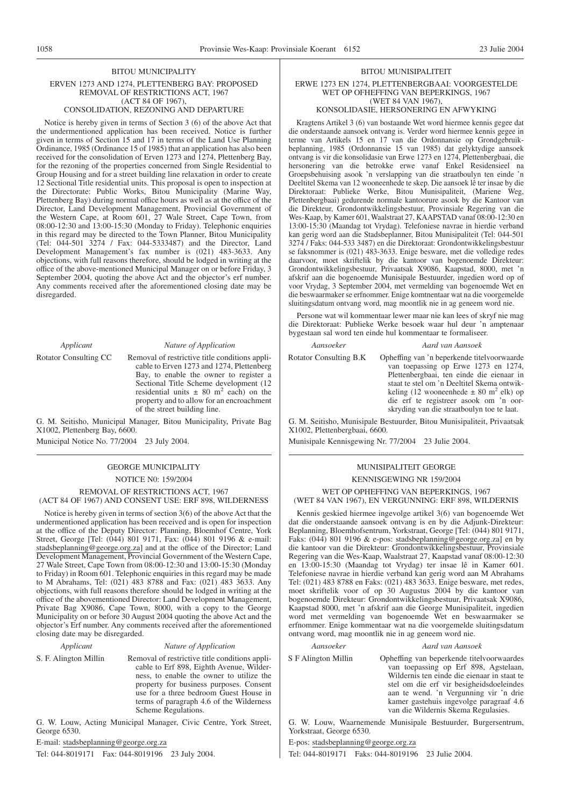#### BITOU MUNICIPALITY

#### ERVEN 1273 AND 1274, PLETTENBERG BAY: PROPOSED REMOVAL OF RESTRICTIONS ACT, 1967 (ACT 84 OF 1967),

## CONSOLIDATION, REZONING AND DEPARTURE

Notice is hereby given in terms of Section 3 (6) of the above Act that the undermentioned application has been received. Notice is further given in terms of Section 15 and 17 in terms of the Land Use Planning Ordinance, 1985 (Ordinance 15 of 1985) that an application has also been received for the consolidation of Erven 1273 and 1274, Plettenberg Bay, for the rezoning of the properties concerned from Single Residential to Group Housing and for a street building line relaxation in order to create 12 Sectional Title residential units. This proposal is open to inspection at the Directorate: Public Works, Bitou Municipality (Marine Way, Plettenberg Bay) during normal office hours as well as at the office of the Director, Land Development Management, Provincial Government of the Western Cape, at Room 601, 27 Wale Street, Cape Town, from 08:00-12:30 and 13:00-15:30 (Monday to Friday). Telephonic enquiries in this regard may be directed to the Town Planner, Bitou Municipality (Tel: 044-501 3274 / Fax: 044-5333487) and the Director, Land Development Management's fax number is (021) 483-3633. Any objections, with full reasons therefore, should be lodged in writing at the office of the above-mentioned Municipal Manager on or before Friday, 3 September 2004, quoting the above Act and the objector's erf number. Any comments received after the aforementioned closing date may be disregarded.

#### *Applicant Nature of Application*

Rotator Consulting CC Removal of restrictive title conditions applicable to Erven 1273 and 1274, Plettenberg Bay, to enable the owner to register a Sectional Title Scheme development (12 residential units  $\pm$  80 m<sup>2</sup> each) on the property and to allow for an encroachment of the street building line.

G. M. Seitisho, Municipal Manager, Bitou Municipality, Private Bag X1002, Plettenberg Bay, 6600.

Municipal Notice No. 77/2004 23 July 2004.

#### GEORGE MUNICIPALITY NOTICE N0: 159/2004 REMOVAL OF RESTRICTIONS ACT, 1967 (ACT 84 OF 1967) AND CONSENT USE: ERF 898, WILDERNESS

Notice is hereby given in terms of section 3(6) of the above Act that the undermentioned application has been received and is open for inspection at the office of the Deputy Director: Planning, Bloemhof Centre, York Street, George [Tel: (044) 801 9171, Fax: (044) 801 9196 & e-mail: stadsbeplanning@george.org.za] and at the office of the Director; Land Development Management, Provincial Government of the Western Cape, 27 Wale Street, Cape Town from 08:00-12:30 and 13:00-15:30 (Monday to Friday) in Room 601. Telephonic enquiries in this regard may be made to M Abrahams, Tel: (021) 483 8788 and Fax: (021) 483 3633. Any objections, with full reasons therefore should be lodged in writing at the office of the abovementioned Director: Land Development Management, Private Bag X9086, Cape Town, 8000, with a copy to the George Municipality on or before 30 August 2004 quoting the above Act and the objector's Erf number. Any comments received after the aforementioned closing date may be disregarded.

#### *Applicant Nature of Application*

S. F. Alington Millin Removal of restrictive title conditions applicable to Erf 898, Eighth Avenue, Wilderness, to enable the owner to utilize the property for business purposes. Consent use for a three bedroom Guest House in terms of paragraph 4.6 of the Wilderness Scheme Regulations.

G. W. Louw, Acting Municipal Manager, Civic Centre, York Street, George 6530.

E-mail: stadsbeplanning@george.org.za

Tel: 044-8019171 Fax: 044-8019196 23 July 2004.

#### BITOU MUNISIPALITEIT

#### ERWE 1273 EN 1274, PLETTENBERGBAAI: VOORGESTELDE WET OP OFHEFFING VAN BEPERKINGS, 1967 (WET 84 VAN 1967)

## KONSOLIDASIE, HERSONERING EN AFWYKING

Kragtens Artikel 3 (6) van bostaande Wet word hiermee kennis gegee dat die onderstaande aansoek ontvang is. Verder word hiermee kennis gegee in terme van Artikels 15 en 17 van die Ordonnansie op Grondgebruikbeplanning, 1985 (Ordonnansie 15 van 1985) dat gelyktydige aansoek ontvang is vir die konsolidasie van Erwe 1273 en 1274, Plettenbergbaai, die hersonering van die betrokke erwe vanaf Enkel Residensieel na Groepsbehuising asook 'n verslapping van die straatboulyn ten einde 'n Deeltitel Skema van 12 wooneenhede te skep. Die aansoek lê ter insae by die Direktoraat: Publieke Werke, Bitou Munisipaliteit, (Mariene Weg, Plettenbergbaai) gedurende normale kantoorure asook by die Kantoor van die Direkteur, Grondontwikkelingsbestuur, Provinsiale Regering van die Wes-Kaap, by Kamer 601, Waalstraat 27, KAAPSTAD vanaf 08:00-12:30 en 13:00-15:30 (Maandag tot Vrydag). Telefoniese navrae in hierdie verband kan gerig word aan die Stadsbeplanner, Bitou Munisipaliteit (Tel: 044-501 3274 / Faks: 044-533 3487) en die Direktoraat: Grondontwikkelingsbestuur se faksnommer is (021) 483-3633. Enige besware, met die volledige redes daarvoor, moet skriftelik by die kantoor van bogenoemde Direkteur: Grondontwikkelingsbestuur, Privaatsak X9086, Kaapstad, 8000, met 'n afskrif aan die bogenoemde Munisipale Bestuurder, ingedien word op of voor Vrydag, 3 September 2004, met vermelding van bogenoemde Wet en die beswaarmaker se erfnommer. Enige komtnentaar wat na die voorgemelde sluitingsdatum ontvang word, mag moontlik nie in ag geneem word nie.

Persone wat wil kommentaar lewer maar nie kan lees of skryf nie mag die Direktoraat: Publieke Werke besoek waar hul deur 'n amptenaar bygestaan sal word ten einde hul kommentaar te formaliseer.

#### *Aansoeker Aard van Aansoek*

Rotator Consulting B.K Opheffing van 'n beperkende titelvoorwaarde van toepassing op Erwe 1273 en 1274, Plettenbergbaai, ten einde die eienaar in staat te stel om 'n Deeltitel Skema ontwikkeling (12 wooneenhede  $\pm$  80 m<sup>2</sup> elk) op die erf te registreer asook om 'n oorskryding van die straatboulyn toe te laat.

G. M. Seitisho, Munisipale Bestuurder, Bitou Munisipaliteit, Privaatsak X1002, Plettenbergbaai, 6600.

Munisipale Kennisgewing Nr. 77/2004 23 Julie 2004.

# MUNISIPALITEIT GEORGE KENNISGEWING NR 159/2004

WET OP OPHEFFING VAN BEPERKINGS, 1967 (WET 84 VAN 1967), EN VERGUNNING: ERF 898, WILDERNIS

Kennis geskied hiermee ingevolge artikel 3(6) van bogenoemde Wet dat die onderstaande aansoek ontvang is en by die Adjunk-Direkteur: Beplanning, Bloemhofsentrum, Yorkstraat, George [Tel: (044) 801 9171, Faks: (044) 801 9196 & e-pos: stadsbeplanning@george.org.za] en by die kantoor van die Direkteur: Grondontwikkelingsbestuur, Provinsiale Regering van die Wes-Kaap, Waalstraat 27, Kaapstad vanaf 08:00-12:30 en 13:00-15:30 (Maandag tot Vrydag) ter insae lê in Kamer 601. Telefoniese navrae in hierdie verband kan gerig word aan M Abrahams Tel: (021) 483 8788 en Faks: (021) 483 3633. Enige besware, met redes, moet skriftelik voor of op 30 Augustus 2004 by die kantoor van bogenoemde Direkteur: Grondontwikkelingsbestuur, Privaatsak X9086, Kaapstad 8000, met 'n afskrif aan die George Munisipaliteit, ingedien word met vermelding van bogenoemde Wet en beswaarmaker se erfnommer. Enige kommentaar wat na die voorgemelde sluitingsdatum ontvang word, mag moontlik nie in ag geneem word nie.

#### *Aansoeker Aard van Aansoek*

S F Alington Millin Opheffing van beperkende titelvoorwaardes van toepassing op Erf 898, Agstelaan, Wildernis ten einde die eienaar in staat te stel om die erf vir besigheidsdoeleindes aan te wend. 'n Vergunning vir 'n drie kamer gastehuis ingevolge paragraaf 4.6 van die Wildernis Skema Regulasies.

G. W. Louw, Waarnemende Munisipale Bestuurder, Burgersentrum, Yorkstraat, George 6530.

E-pos: stadsbeplanning@george.org.za

Tel: 044-8019171 Faks: 044-8019196 23 Julie 2004.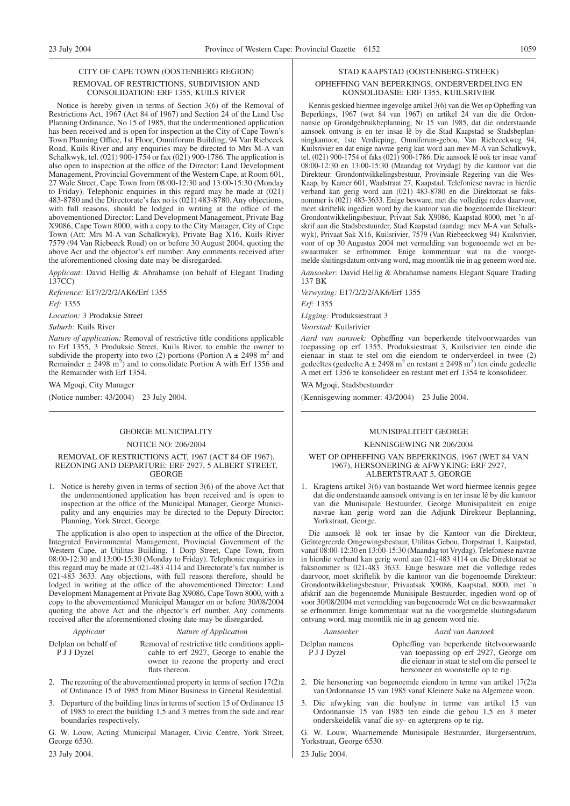#### CITY OF CAPE TOWN (OOSTENBERG REGION) REMOVAL OF RESTRICTIONS, SUBDIVISION AND CONSOLIDATION: ERF 1355, KUILS RIVER

Notice is hereby given in terms of Section 3(6) of the Removal of Restrictions Act, 1967 (Act 84 of 1967) and Section 24 of the Land Use Planning Ordinance, No 15 of 1985, that the undermentioned application has been received and is open for inspection at the City of Cape Town's Town Planning Office, 1st Floor, Omniforum Building, 94 Van Riebeeck Road, Kuils River and any enquiries may be directed to Mrs M-A van Schalkwyk, tel. (021) 900-1754 or fax (021) 900-1786. The application is also open to inspection at the office of the Director: Land Development Management, Provincial Government of the Western Cape, at Room 601, 27 Wale Street, Cape Town from 08:00-12:30 and 13:00-15:30 (Monday to Friday). Telephonic enquiries in this regard may be made at (021) 483-8780 and the Directorate's fax no is (021) 483-8780. Any objections, with full reasons, should be lodged in writing at the office of the abovementioned Director: Land Development Management, Private Bag X9086, Cape Town 8000, with a copy to the City Manager, City of Cape Town (Att: Mrs M-A van Schalkwyk), Private Bag X16, Kuils River 7579 (94 Van Riebeeck Road) on or before 30 August 2004, quoting the above Act and the objector's erf number. Any comments received after the aforementioned closing date may be disregarded.

*Applicant:* David Hellig & Abrahamse (on behalf of Elegant Trading 137CC)

*Reference:* E17/2/2/2/AK6/Erf 1355 *Erf:* 1355

*Location:* 3 Produksie Street

#### *Suburb:* Kuils River

*Nature of application:* Removal of restrictive title conditions applicable to Erf 1355, 3 Produksie Street, Kuils River, to enable the owner to subdivide the property into two (2) portions (Portion A  $\pm$  2498 m<sup>2</sup> and Remainder  $\pm$  2498 m<sup>2</sup>) and to consolidate Portion A with Erf 1356 and the Remainder with Erf 1354.

WA Mgoqi, City Manager

(Notice number: 43/2004) 23 July 2004.

#### GEORGE MUNICIPALITY

#### NOTICE NO: 206/2004

#### REMOVAL OF RESTRICTIONS ACT, 1967 (ACT 84 OF 1967), REZONING AND DEPARTURE: ERF 2927, 5 ALBERT STREET, GEORGE

1. Notice is hereby given in terms of section 3(6) of the above Act that the undermentioned application has been received and is open to inspection at the office of the Municipal Manager, George Municipality and any enquiries may be directed to the Deputy Director: Planning, York Street, George.

The application is also open to inspection at the office of the Director, Integrated Environmental Management, Provincial Government of the Western Cape, at Utilitas Building, 1 Dorp Street, Cape Town, from 08:00-12:30 and 13:00-15:30 (Monday to Friday). Telephonic enquiries in this regard may be made at 021-483 4114 and Directorate's fax number is 021-483 3633. Any objections, with full reasons therefore, should be lodged in writing at the office of the abovementioned Director: Land Development Management at Private Bag X9086, Cape Town 8000, with a copy to the abovementioned Municipal Manager on or before 30/08/2004 quoting the above Act and the objector's erf number. Any comments received after the aforementioned closing date may be disregarded.

| Applicant            | Nature of Application                  |
|----------------------|----------------------------------------|
| Delplan on behalf of | Removal of restrictive title condition |
| P J J Dyzel          | cable to erf 2927, George to e         |

ons applienable the owner to rezone the property and erect flats thereon.

- 2. The rezoning of the abovementioned property in terms of section 17(2)a of Ordinance 15 of 1985 from Minor Business to General Residential.
- 3. Departure of the building lines in terms of section 15 of Ordinance 15 of 1985 to erect the building 1,5 and 3 metres from the side and rear boundaries respectively.

G. W. Louw, Acting Municipal Manager, Civic Centre, York Street, George 6530.

23 July 2004.

#### STAD KAAPSTAD (OOSTENBERG-STREEK) OPHEFFING VAN BEPERKINGS, ONDERVERDELING EN KONSOLIDASIE: ERF 1355, KUILSRIVIER

Kennis geskied hiermee ingevolge artikel 3(6) van die Wet op Opheffing van Beperkings, 1967 (wet 84 van 1967) en artikel 24 van die die Ordonnansie op Grondgebruikbeplanning, Nr 15 van 1985, dat die onderstaande aansoek ontvang is en ter insae lê by die Stad Kaapstad se Stadsbeplanningkantoor, 1ste Verdieping, Omniforum-gebou, Van Riebeeckweg 94, Kuilsrivier en dat enige navrae gerig kan word aan mev M-A van Schalkwyk, tel. (021) 900-1754 of faks (021) 900-1786. Die aansoek lê ook ter insae vanaf 08:00-12:30 en 13:00-15:30 (Maandag tot Vrydag) by die kantoor van die Direkteur: Grondontwikkelingsbestuur, Provinsiale Regering van die Wes-Kaap, by Kamer 601, Waalstraat 27, Kaapstad. Telefoniese navrae in hierdie verband kan gerig word aan (021) 483-8780 en die Direktoraat se faksnommer is (021) 483-3633. Enige besware, met die volledige redes daarvoor, moet skriftelik ingedien word by die kantoor van die bogenoemde Direkteur: Grondontwikkelingsbestuur, Privaat Sak X9086, Kaapstad 8000, met 'n afskrif aan die Stadsbestuurder, Stad Kaapstad (aandag: mev M-A van Schalkwyk), Privaat Sak X16, Kuilsrivier, 7579 (Van Riebeeckweg 94) Kuilsrivier, voor of op 30 Augustus 2004 met vermelding van bogenoemde wet en beswaarmaker se erfnommer. Enige kommentaar wat na die voorgemelde sluitingsdatum ontvang word, mag moontlik nie in ag geneem word nie.

*Aansoeker:* David Hellig & Abrahamse namens Elegant Square Trading 137 BK

*Verwysing:* E17/2/2/2/AK6/Erf 1355

*Erf:* 1355

*Ligging:* Produksiestraat 3

*Voorstad:* Kuilsrivier

*Aard van aansoek:* Opheffing van beperkende titelvoorwaardes van toepassing op erf 1355, Produksiestraat 3, Kuilsrivier ten einde die eienaar in staat te stel om die eiendom te onderverdeel in twee (2) gedeeltes (gedeelte A  $\pm$  2498 m<sup>2</sup> en restant  $\pm$  2498 m<sup>2</sup>) ten einde gedeelte A met erf 1356 te konsolideer en restant met erf 1354 te konsolideer.

WA Mgoqi, Stadsbestuurder

(Kennisgewing nommer: 43/2004) 23 Julie 2004.

#### MUNISIPALITEIT GEORGE

#### KENNISGEWING NR 206/2004

#### WET OP OPHEFFING VAN BEPERKINGS, 1967 (WET 84 VAN 1967), HERSONERING & AFWYKING: ERF 2927, ALBERTSTRAAT 5, GEORGE

1. Kragtens artikel 3(6) van bostaande Wet word hiermee kennis gegee dat die onderstaande aansoek ontvang is en ter insae lê by die kantoor van die Munisipale Bestuurder, George Munisipaliteit en enige navrae kan gerig word aan die Adjunk Direkteur Beplanning, Yorkstraat, George.

Die aansoek lê ook ter insae by die Kantoor van die Direkteur, Geïntegreerde Omgewingsbestuur, Utilitas Gebou, Dorpstraat 1, Kaapstad, vanaf 08:00-12:30 en 13:00-15:30 (Maandag tot Vrydag). Telefoniese navrae in hierdie verband kan gerig word aan 021-483 4114 en die Direktoraat se faksnommer is 021-483 3633. Enige besware met die volledige redes daarvoor, moet skriftelik by die kantoor van die bogenoemde Direkteur: Grondontwikkelingsbestuur, Privaatsak X9086, Kaapstad, 8000, met 'n afskrif aan die bogenoemde Munisipale Bestuurder, ingedien word op of voor 30/08/2004 met vermelding van bogenoemde Wet en die beswaarmaker se erfnommer. Enige kommentaar wat na die voorgemelde sluitingsdatum ontvang word, mag moontlik nie in ag geneem word nie.

#### *Aansoeker Aard van Aansoek* Delplan namens P J J Dyzel

Opheffing van beperkende titelvoorwaarde van toepassing op erf 2927, George om die eienaar in staat te stel om die perseel te hersoneer en woonstelle op te rig.

- 2. Die hersonering van bogenoemde eiendom in terme van artikel 17(2)a van Ordonnansie 15 van 1985 vanaf Kleinere Sake na Algemene woon.
- 3. Die afwyking van die boulyne in terme van artikel 15 van Ordonnansie 15 van 1985 ten einde die gebou 1,5 en 3 meter onderskeidelik vanaf die sy- en agtergrens op te rig.

G. W. Louw, Waarnemende Munisipale Bestuurder, Burgersentrum, Yorkstraat, George 6530.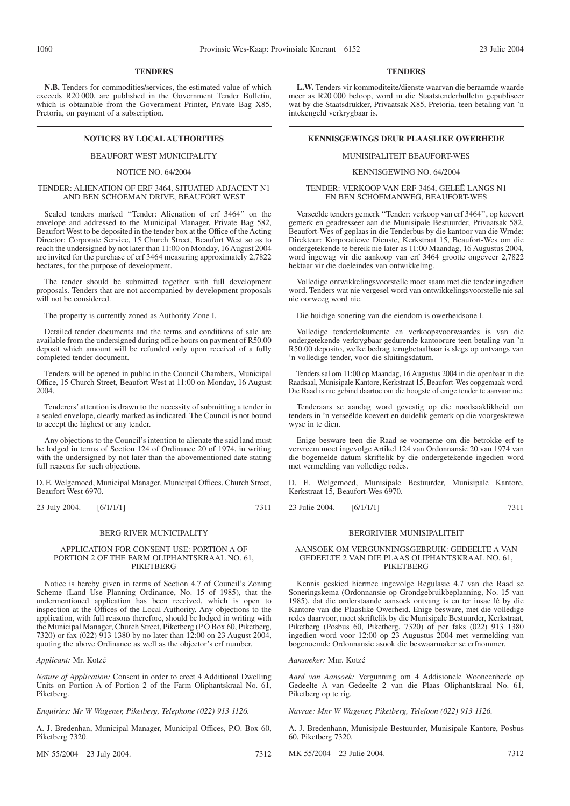#### **TENDERS**

**N.B.** Tenders for commodities/services, the estimated value of which exceeds R20 000, are published in the Government Tender Bulletin, which is obtainable from the Government Printer, Private Bag X85, Pretoria, on payment of a subscription.

#### BEAUFORT WEST MUNICIPALITY

#### NOTICE NO. 64/2004

#### TENDER: ALIENATION OF ERF 3464, SITUATED ADJACENT N1 AND BEN SCHOEMAN DRIVE, BEAUFORT WEST

Sealed tenders marked ''Tender: Alienation of erf 3464'' on the envelope and addressed to the Municipal Manager, Private Bag 582, Beaufort West to be deposited in the tender box at the Office of the Acting Director: Corporate Service, 15 Church Street, Beaufort West so as to reach the undersigned by not later than 11:00 on Monday, 16 August 2004 are invited for the purchase of erf 3464 measuring approximately 2,7822 hectares, for the purpose of development.

The tender should be submitted together with full development proposals. Tenders that are not accompanied by development proposals will not be considered.

The property is currently zoned as Authority Zone I.

Detailed tender documents and the terms and conditions of sale are available from the undersigned during office hours on payment of R50.00 deposit which amount will be refunded only upon receival of a fully completed tender document.

Tenders will be opened in public in the Council Chambers, Municipal Office, 15 Church Street, Beaufort West at 11:00 on Monday, 16 August 2004.

Tenderers' attention is drawn to the necessity of submitting a tender in a sealed envelope, clearly marked as indicated. The Council is not bound to accept the highest or any tender.

Any objections to the Council's intention to alienate the said land must be lodged in terms of Section 124 of Ordinance 20 of 1974, in writing with the undersigned by not later than the abovementioned date stating full reasons for such objections.

D. E. Welgemoed, Municipal Manager, Municipal Offices, Church Street, Beaufort West 6970.

23 July 2004. [6/1/1/1] 7311

#### BERG RIVER MUNICIPALITY

#### APPLICATION FOR CONSENT USE: PORTION A OF PORTION 2 OF THE FARM OLIPHANTSKRAAL NO. 61, PIKETBERG

Notice is hereby given in terms of Section 4.7 of Council's Zoning Scheme (Land Use Planning Ordinance, No. 15 of 1985), that the undermentioned application has been received, which is open to inspection at the Offices of the Local Authority. Any objections to the application, with full reasons therefore, should be lodged in writing with the Municipal Manager, Church Street, Piketberg (P O Box 60, Piketberg, 7320) or fax (022) 913 1380 by no later than 12:00 on 23 August 2004, quoting the above Ordinance as well as the objector's erf number.

*Applicant:* Mr. Kotzé

*Nature of Application:* Consent in order to erect 4 Additional Dwelling Units on Portion A of Portion 2 of the Farm Oliphantskraal No. 61, Piketberg.

*Enquiries: Mr W Wagener, Piketberg, Telephone (022) 913 1126.*

A. J. Bredenhan, Municipal Manager, Municipal Offices, P.O. Box 60, Piketberg 7320.

MN 55/2004 23 July 2004. 7312

#### **TENDERS**

**L.W.** Tenders vir kommoditeite/dienste waarvan die beraamde waarde meer as R20 000 beloop, word in die Staatstenderbulletin gepubliseer wat by die Staatsdrukker, Privaatsak X85, Pretoria, teen betaling van 'n intekengeld verkrygbaar is.

#### **NOTICES BY LOCAL AUTHORITIES KENNISGEWINGS DEUR PLAASLIKE OWERHEDE**

#### MUNISIPALITEIT BEAUFORT-WES

#### KENNISGEWING NO. 64/2004

TENDER: VERKOOP VAN ERF 3464, GELEË LANGS N1 EN BEN SCHOEMANWEG, BEAUFORT-WES

Verseëlde tenders gemerk ''Tender: verkoop van erf 3464'', op koevert gemerk en geadresseer aan die Munisipale Bestuurder, Privaatsak 582, Beaufort-Wes of geplaas in die Tenderbus by die kantoor van die Wrnde: Direkteur: Korporatiewe Dienste, Kerkstraat 15, Beaufort-Wes om die ondergetekende te bereik nie later as 11:00 Maandag, 16 Augustus 2004, word ingewag vir die aankoop van erf 3464 grootte ongeveer 2,7822 hektaar vir die doeleindes van ontwikkeling.

Volledige ontwikkelingsvoorstelle moet saam met die tender ingedien word. Tenders wat nie vergesel word van ontwikkelingsvoorstelle nie sal nie oorweeg word nie.

Die huidige sonering van die eiendom is owerheidsone I.

Volledige tenderdokumente en verkoopsvoorwaardes is van die ondergetekende verkrygbaar gedurende kantoorure teen betaling van 'n R50.00 deposito, welke bedrag terugbetaalbaar is slegs op ontvangs van 'n volledige tender, voor die sluitingsdatum.

Tenders sal om 11:00 op Maandag, 16 Augustus 2004 in die openbaar in die Raadsaal, Munisipale Kantore, Kerkstraat 15, Beaufort-Wes oopgemaak word. Die Raad is nie gebind daartoe om die hoogste of enige tender te aanvaar nie.

Tenderaars se aandag word gevestig op die noodsaaklikheid om tenders in 'n verseëlde koevert en duidelik gemerk op die voorgeskrewe wyse in te dien.

Enige besware teen die Raad se voorneme om die betrokke erf te vervreem moet ingevolge Artikel 124 van Ordonnansie 20 van 1974 van die bogemelde datum skriftelik by die ondergetekende ingedien word met vermelding van volledige redes.

D. E. Welgemoed, Munisipale Bestuurder, Munisipale Kantore, Kerkstraat 15, Beaufort-Wes 6970.

23 Julie 2004. [6/1/1/1] 7311

#### BERGRIVIER MUNISIPALITEIT

#### AANSOEK OM VERGUNNINGSGEBRUIK: GEDEELTE A VAN GEDEELTE 2 VAN DIE PLAAS OLIPHANTSKRAAL NO. 61, PIKETBERG

Kennis geskied hiermee ingevolge Regulasie 4.7 van die Raad se Soneringskema (Ordonnansie op Grondgebruikbeplanning, No. 15 van 1985), dat die onderstaande aansoek ontvang is en ter insae lê by die Kantore van die Plaaslike Owerheid. Enige besware, met die volledige redes daarvoor, moet skriftelik by die Munisipale Bestuurder, Kerkstraat, Piketberg (Posbus 60, Piketberg, 7320) of per faks (022) 913 1380 ingedien word voor 12:00 op 23 Augustus 2004 met vermelding van bogenoemde Ordonnansie asook die beswaarmaker se erfnommer.

*Aansoeker:* Mnr. Kotzé

*Aard van Aansoek:* Vergunning om 4 Addisionele Wooneenhede op Gedeelte A van Gedeelte 2 van die Plaas Oliphantskraal No. 61, Piketberg op te rig.

*Navrae: Mnr W Wagener, Piketberg, Telefoon (022) 913 1126.*

A. J. Bredenhann, Munisipale Bestuurder, Munisipale Kantore, Posbus 60, Piketberg 7320.

MK 55/2004 23 Julie 2004. 7312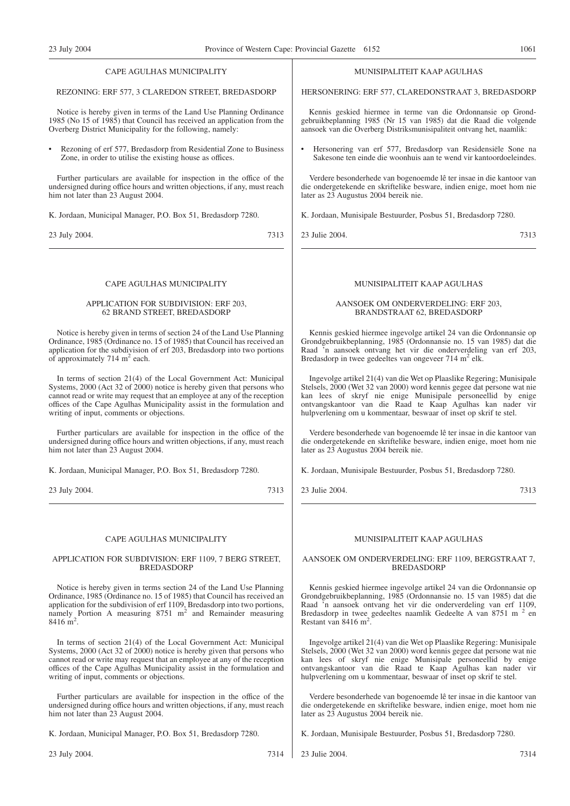#### CAPE AGULHAS MUNICIPALITY

#### REZONING: ERF 577, 3 CLAREDON STREET, BREDASDORP

Notice is hereby given in terms of the Land Use Planning Ordinance 1985 (No 15 of 1985) that Council has received an application from the Overberg District Municipality for the following, namely:

• Rezoning of erf 577, Bredasdorp from Residential Zone to Business Zone, in order to utilise the existing house as offices.

Further particulars are available for inspection in the office of the undersigned during office hours and written objections, if any, must reach him not later than 23 August 2004.

K. Jordaan, Municipal Manager, P.O. Box 51, Bredasdorp 7280.

23 July 2004. 7313

#### CAPE AGULHAS MUNICIPALITY

#### APPLICATION FOR SUBDIVISION: ERF 203, 62 BRAND STREET, BREDASDORP

Notice is hereby given in terms of section 24 of the Land Use Planning Ordinance, 1985 (Ordinance no. 15 of 1985) that Council has received an application for the subdivision of erf 203, Bredasdorp into two portions of approximately  $714 \text{ m}^2$  each.

In terms of section 21(4) of the Local Government Act: Municipal Systems, 2000 (Act 32 of 2000) notice is hereby given that persons who cannot read or write may request that an employee at any of the reception offices of the Cape Agulhas Municipality assist in the formulation and writing of input, comments or objections.

Further particulars are available for inspection in the office of the undersigned during office hours and written objections, if any, must reach him not later than 23 August 2004.

K. Jordaan, Municipal Manager, P.O. Box 51, Bredasdorp 7280.

23 July 2004. 7313

#### CAPE AGULHAS MUNICIPALITY

#### APPLICATION FOR SUBDIVISION: ERF 1109, 7 BERG STREET, BREDASDORP

Notice is hereby given in terms section 24 of the Land Use Planning Ordinance, 1985 (Ordinance no. 15 of 1985) that Council has received an application for the subdivision of erf 1109, Bredasdorp into two portions, namely Portion A measuring  $8751 \text{ m}^2$  and Remainder measuring 8416 m<sup>2</sup>.

In terms of section 21(4) of the Local Government Act: Municipal Systems, 2000 (Act 32 of 2000) notice is hereby given that persons who cannot read or write may request that an employee at any of the reception offices of the Cape Agulhas Municipality assist in the formulation and writing of input, comments or objections.

Further particulars are available for inspection in the office of the undersigned during office hours and written objections, if any, must reach him not later than 23 August 2004.

K. Jordaan, Municipal Manager, P.O. Box 51, Bredasdorp 7280.

#### MUNISIPALITEIT KAAP AGULHAS

HERSONERING: ERF 577, CLAREDONSTRAAT 3, BREDASDORP

Kennis geskied hiermee in terme van die Ordonnansie op Grondgebruikbeplanning 1985 (Nr 15 van 1985) dat die Raad die volgende aansoek van die Overberg Distriksmunisipaliteit ontvang het, naamlik:

• Hersonering van erf 577, Bredasdorp van Residensiële Sone na Sakesone ten einde die woonhuis aan te wend vir kantoordoeleindes.

Verdere besonderhede van bogenoemde lê ter insae in die kantoor van die ondergetekende en skriftelike besware, indien enige, moet hom nie later as 23 Augustus 2004 bereik nie.

K. Jordaan, Munisipale Bestuurder, Posbus 51, Bredasdorp 7280.

23 Julie 2004. 7313

#### MUNISIPALITEIT KAAP AGULHAS

#### AANSOEK OM ONDERVERDELING: ERF 203, BRANDSTRAAT 62, BREDASDORP

Kennis geskied hiermee ingevolge artikel 24 van die Ordonnansie op Grondgebruikbeplanning, 1985 (Ordonnansie no. 15 van 1985) dat die Raad 'n aansoek ontvang het vir die onderverdeling van erf 203, Bredasdorp in twee gedeeltes van ongeveer 714 m<sup>2</sup> elk.

Ingevolge artikel 21(4) van die Wet op Plaaslike Regering; Munisipale Stelsels, 2000 (Wet 32 van 2000) word kennis gegee dat persone wat nie kan lees of skryf nie enige Munisipale personeellid by enige ontvangskantoor van die Raad te Kaap Agulhas kan nader vir hulpverlening om u kommentaar, beswaar of inset op skrif te stel.

Verdere besonderhede van bogenoemde lê ter insae in die kantoor van die ondergetekende en skriftelike besware, indien enige, moet hom nie later as 23 Augustus 2004 bereik nie.

K. Jordaan, Munisipale Bestuurder, Posbus 51, Bredasdorp 7280.

23 Julie 2004. 7313

#### MUNISIPALITEIT KAAP AGULHAS

#### AANSOEK OM ONDERVERDELING: ERF 1109, BERGSTRAAT 7, BREDASDORP

Kennis geskied hiermee ingevolge artikel 24 van die Ordonnansie op Grondgebruikbeplanning, 1985 (Ordonnansie no. 15 van 1985) dat die Raad 'n aansoek ontvang het vir die onderverdeling van erf 1109, Bredasdorp in twee gedeeltes naamlik Gedeelte A van 8751 m<sup>2</sup> en Restant van 8416 m<sup>2</sup>.

Ingevolge artikel 21(4) van die Wet op Plaaslike Regering: Munisipale Stelsels, 2000 (Wet 32 van 2000) word kennis gegee dat persone wat nie kan lees of skryf nie enige Munisipale personeellid by enige ontvangskantoor van die Raad te Kaap Agulhas kan nader vir hulpverlening om u kommentaar, beswaar of inset op skrif te stel.

Verdere besonderhede van bogenoemde lê ter insae in die kantoor van die ondergetekende en skriftelike besware, indien enige, moet hom nie later as 23 Augustus 2004 bereik nie.

K. Jordaan, Munisipale Bestuurder, Posbus 51, Bredasdorp 7280.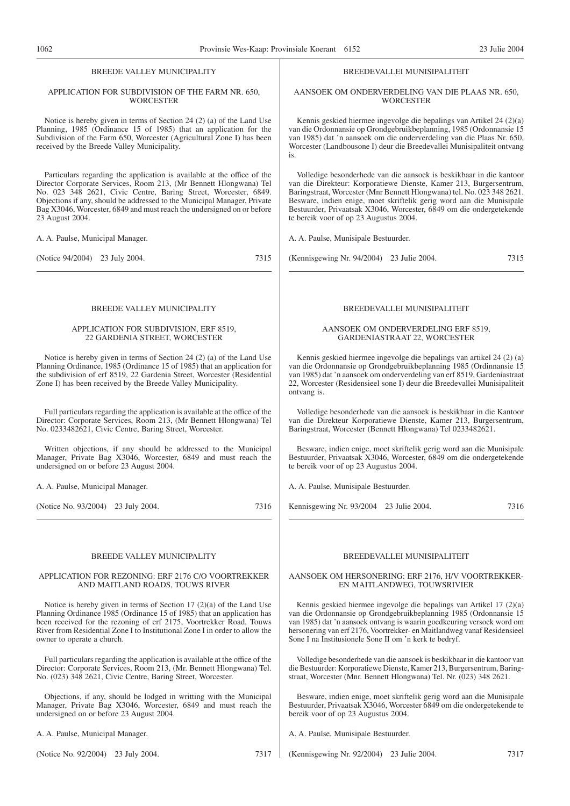#### BREEDE VALLEY MUNICIPALITY

#### APPLICATION FOR SUBDIVISION OF THE FARM NR. 650, **WORCESTER**

Notice is hereby given in terms of Section 24 (2) (a) of the Land Use Planning, 1985 (Ordinance 15 of 1985) that an application for the Subdivision of the Farm 650, Worcester (Agricultural Zone I) has been received by the Breede Valley Municipality.

Particulars regarding the application is available at the office of the Director Corporate Services, Room 213, (Mr Bennett Hlongwana) Tel No. 023 348 2621, Civic Centre, Baring Street, Worcester, 6849. Objections if any, should be addressed to the Municipal Manager, Private Bag X3046, Worcester, 6849 and must reach the undersigned on or before 23 August 2004.

A. A. Paulse, Municipal Manager.

(Notice 94/2004) 23 July 2004. 7315

#### BREEDE VALLEY MUNICIPALITY

#### APPLICATION FOR SUBDIVISION, ERF 8519, 22 GARDENIA STREET, WORCESTER

Notice is hereby given in terms of Section 24 (2) (a) of the Land Use Planning Ordinance, 1985 (Ordinance 15 of 1985) that an application for the subdivision of erf 8519, 22 Gardenia Street, Worcester (Residential Zone I) has been received by the Breede Valley Municipality.

Full particulars regarding the application is available at the office of the Director: Corporate Services, Room 213, (Mr Bennett Hlongwana) Tel No. 0233482621, Civic Centre, Baring Street, Worcester.

Written objections, if any should be addressed to the Municipal Manager, Private Bag X3046, Worcester, 6849 and must reach the undersigned on or before 23 August 2004.

A. A. Paulse, Municipal Manager.

(Notice No. 93/2004) 23 July 2004. 7316

#### BREEDE VALLEY MUNICIPALITY

#### APPLICATION FOR REZONING: ERF 2176 C/O VOORTREKKER AND MAITLAND ROADS, TOUWS RIVER

Notice is hereby given in terms of Section 17 (2)(a) of the Land Use Planning Ordinance 1985 (Ordinance 15 of 1985) that an application has been received for the rezoning of erf 2175, Voortrekker Road, Touws River from Residential Zone I to Institutional Zone I in order to allow the owner to operate a church.

Full particulars regarding the application is available at the office of the Director: Corporate Services, Room 213, (Mr. Bennett Hlongwana) Tel. No. (023) 348 2621, Civic Centre, Baring Street, Worcester.

Objections, if any, should be lodged in writting with the Municipal Manager, Private Bag X3046, Worcester, 6849 and must reach the undersigned on or before 23 August 2004.

A. A. Paulse, Municipal Manager.

(Notice No. 92/2004) 23 July 2004. 7317

#### BREEDEVALLEI MUNISIPALITEIT

#### AANSOEK OM ONDERVERDELING VAN DIE PLAAS NR. 650, **WORCESTER**

Kennis geskied hiermee ingevolge die bepalings van Artikel 24 (2)(a) van die Ordonnansie op Grondgebruikbeplanning, 1985 (Ordonnansie 15 van 1985) dat 'n aansoek om die onderverdeling van die Plaas Nr. 650, Worcester (Landbousone I) deur die Breedevallei Munisipaliteit ontvang is.

Volledige besonderhede van die aansoek is beskikbaar in die kantoor van die Direkteur: Korporatiewe Dienste, Kamer 213, Burgersentrum, Baringstraat, Worcester (Mnr Bennett Hlongwana) tel. No. 023 348 2621. Besware, indien enige, moet skriftelik gerig word aan die Munisipale Bestuurder, Privaatsak X3046, Worcester, 6849 om die ondergetekende te bereik voor of op 23 Augustus 2004.

A. A. Paulse, Munisipale Bestuurder.

(Kennisgewing Nr. 94/2004) 23 Julie 2004. 7315

#### BREEDEVALLEI MUNISIPALITEIT

#### AANSOEK OM ONDERVERDELING ERF 8519, GARDENIASTRAAT 22, WORCESTER

Kennis geskied hiermee ingevolge die bepalings van artikel 24 (2) (a) van die Ordonnansie op Grondgebruikbeplanning 1985 (Ordinnansie 15 van 1985) dat 'n aansoek om onderverdeling van erf 8519, Gardeniastraat 22, Worcester (Residensieel sone I) deur die Breedevallei Munisipaliteit ontvang is.

Volledige besonderhede van die aansoek is beskikbaar in die Kantoor van die Direkteur Korporatiewe Dienste, Kamer 213, Burgersentrum, Baringstraat, Worcester (Bennett Hlongwana) Tel 0233482621.

Besware, indien enige, moet skriftelik gerig word aan die Munisipale Bestuurder, Privaatsak X3046, Worcester, 6849 om die ondergetekende te bereik voor of op 23 Augustus 2004.

A. A. Paulse, Munisipale Bestuurder.

Kennisgewing Nr. 93/2004 23 Julie 2004. 7316

#### BREEDEVALLEI MUNISIPALITEIT

#### AANSOEK OM HERSONERING: ERF 2176, H/V VOORTREKKER-EN MAITLANDWEG, TOUWSRIVIER

Kennis geskied hiermee ingevolge die bepalings van Artikel 17 (2)(a) van die Ordonnansie op Grondgebruikbeplanning 1985 (Ordonnansie 15 van 1985) dat 'n aansoek ontvang is waarin goedkeuring versoek word om hersonering van erf 2176, Voortrekker- en Maitlandweg vanaf Residensieel Sone I na Institusionele Sone II om 'n kerk te bedryf.

Volledige besonderhede van die aansoek is beskikbaar in die kantoor van die Bestuurder: Korporatiewe Dienste, Kamer 213, Burgersentrum, Baringstraat, Worcester (Mnr. Bennett Hlongwana) Tel. Nr. (023) 348 2621.

Besware, indien enige, moet skriftelik gerig word aan die Munisipale Bestuurder, Privaatsak X3046, Worcester 6849 om die ondergetekende te bereik voor of op 23 Augustus 2004.

A. A. Paulse, Munisipale Bestuurder.

(Kennisgewing Nr. 92/2004) 23 Julie 2004. 7317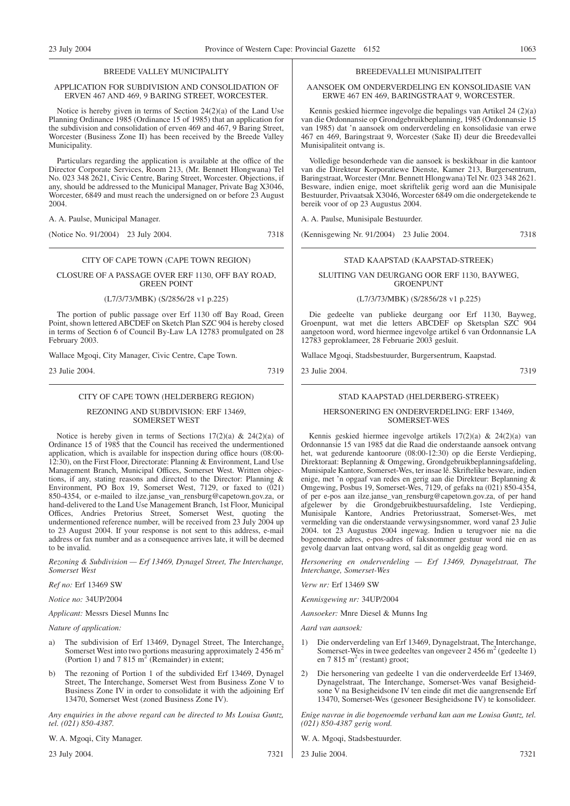#### BREEDE VALLEY MUNICIPALITY

#### APPLICATION FOR SUBDIVISION AND CONSOLIDATION OF ERVEN 467 AND 469, 9 BARING STREET, WORCESTER.

Notice is hereby given in terms of Section 24(2)(a) of the Land Use Planning Ordinance 1985 (Ordinance 15 of 1985) that an application for the subdivision and consolidation of erven 469 and 467, 9 Baring Street, Worcester (Business Zone II) has been received by the Breede Valley Municipality.

Particulars regarding the application is available at the office of the Director Corporate Services, Room 213, (Mr. Bennett Hlongwana) Tel No. 023 348 2621, Civic Centre, Baring Street, Worcester. Objections, if any, should be addressed to the Municipal Manager, Private Bag X3046, Worcester, 6849 and must reach the undersigned on or before 23 August 2004.

A. A. Paulse, Municipal Manager.

(Notice No. 91/2004) 23 July 2004. 7318

#### CITY OF CAPE TOWN (CAPE TOWN REGION)

#### CLOSURE OF A PASSAGE OVER ERF 1130, OFF BAY ROAD, GREEN POINT

#### (L7/3/73/MBK) (S/2856/28 v1 p.225)

The portion of public passage over Erf 1130 off Bay Road, Green Point, shown lettered ABCDEF on Sketch Plan SZC 904 is hereby closed in terms of Section 6 of Council By-Law LA 12783 promulgated on 28 February 2003.

Wallace Mgoqi, City Manager, Civic Centre, Cape Town.

23 Julie 2004. 7319

#### CITY OF CAPE TOWN (HELDERBERG REGION)

#### REZONING AND SUBDIVISION: ERF 13469, SOMERSET WEST

Notice is hereby given in terms of Sections  $17(2)(a)$  &  $24(2)(a)$  of Ordinance 15 of 1985 that the Council has received the undermentioned application, which is available for inspection during office hours (08:00- 12:30), on the First Floor, Directorate: Planning & Environment, Land Use Management Branch, Municipal Offices, Somerset West. Written objections, if any, stating reasons and directed to the Director: Planning & Environment, PO Box 19, Somerset West, 7129, or faxed to (021) 850-4354, or e-mailed to ilze.janse\_van\_rensburg@capetown.gov.za, or hand-delivered to the Land Use Management Branch, 1st Floor, Municipal Offices, Andries Pretorius Street, Somerset West, quoting the undermentioned reference number, will be received from 23 July 2004 up to 23 August 2004. If your response is not sent to this address, e-mail address or fax number and as a consequence arrives late, it will be deemed to be invalid.

*Rezoning & Subdivision — Erf 13469, Dynagel Street, The Interchange, Somerset West*

*Ref no:* Erf 13469 SW

*Notice no:* 34UP/2004

*Applicant:* Messrs Diesel Munns Inc

#### *Nature of application:*

- The subdivision of Erf 13469, Dynagel Street, The Interchange, Somerset West into two portions measuring approximately  $2\,456\,\mathrm{m}^2$ (Portion 1) and 7 815  $m<sup>2</sup>$  (Remainder) in extent:
- b) The rezoning of Portion 1 of the subdivided Erf 13469, Dynagel Street, The Interchange, Somerset West from Business Zone V to Business Zone IV in order to consolidate it with the adjoining Erf 13470, Somerset West (zoned Business Zone IV).

*Any enquiries in the above regard can be directed to Ms Louisa Guntz, tel. (021) 850-4387.*

W. A. Mgoqi, City Manager.

23 July 2004. 7321

#### BREEDEVALLEI MUNISIPALITEIT

AANSOEK OM ONDERVERDELING EN KONSOLIDASIE VAN ERWE 467 EN 469, BARINGSTRAAT 9, WORCESTER.

Kennis geskied hiermee ingevolge die bepalings van Artikel 24 (2)(a) van die Ordonnansie op Grondgebruikbeplanning, 1985 (Ordonnansie 15 van 1985) dat 'n aansoek om onderverdeling en konsolidasie van erwe 467 en 469, Baringstraat 9, Worcester (Sake II) deur die Breedevallei Munisipaliteit ontvang is.

Volledige besonderhede van die aansoek is beskikbaar in die kantoor van die Direkteur Korporatiewe Dienste, Kamer 213, Burgersentrum, Baringstraat, Worcester (Mnr. Bennett Hlongwana) Tel Nr. 023 348 2621. Besware, indien enige, moet skriftelik gerig word aan die Munisipale Bestuurder, Privaatsak X3046, Worcester 6849 om die ondergetekende te bereik voor of op 23 Augustus 2004.

A. A. Paulse, Munisipale Bestuurder.

(Kennisgewing Nr. 91/2004) 23 Julie 2004. 7318

#### STAD KAAPSTAD (KAAPSTAD-STREEK)

#### SLUITING VAN DEURGANG OOR ERF 1130, BAYWEG, **GROENPUNT**

#### (L7/3/73/MBK) (S/2856/28 v1 p.225)

Die gedeelte van publieke deurgang oor Erf 1130, Bayweg, Groenpunt, wat met die letters ABCDEF op Sketsplan SZC 904 aangetoon word, word hiermee ingevolge artikel 6 van Ordonnansie LA 12783 geproklameer, 28 Februarie 2003 gesluit.

Wallace Mgoqi, Stadsbestuurder, Burgersentrum, Kaapstad.

23 Julie 2004. 7319

## STAD KAAPSTAD (HELDERBERG-STREEK)

#### HERSONERING EN ONDERVERDELING: ERF 13469, SOMERSET-WES

Kennis geskied hiermee ingevolge artikels 17(2)(a) & 24(2)(a) van Ordonnansie 15 van 1985 dat die Raad die onderstaande aansoek ontvang het, wat gedurende kantoorure (08:00-12:30) op die Eerste Verdieping, Direktoraat: Beplanning & Omgewing, Grondgebruikbeplanningsafdeling, Munisipale Kantore, Somerset-Wes, ter insae lê. Skriftelike besware, indien enige, met 'n opgaaf van redes en gerig aan die Direkteur: Beplanning & Omgewing, Posbus 19, Somerset-Wes, 7129, of gefaks na (021) 850-4354, of per e-pos aan ilze.janse\_van\_rensburg@capetown.gov.za, of per hand afgelewer by die Grondgebruikbestuursafdeling, 1ste Verdieping, Munisipale Kantore, Andries Pretoriusstraat, Somerset-Wes, met vermelding van die onderstaande verwysingsnommer, word vanaf 23 Julie 2004. tot 23 Augustus 2004 ingewag. Indien u terugvoer nie na die bogenoemde adres, e-pos-adres of faksnommer gestuur word nie en as gevolg daarvan laat ontvang word, sal dit as ongeldig geag word.

*Hersonering en onderverdeling — Erf 13469, Dynagelstraat, The Interchange, Somerset-Wes*

*Verw nr:* Erf 13469 SW

*Kennisgewing nr:* 34UP/2004

*Aansoeker:* Mnre Diesel & Munns Ing

*Aard van aansoek:*

- 1) Die onderverdeling van Erf 13469, Dynagelstraat, The Interchange, Somerset-Wes in twee gedeeltes van ongeveer  $2\,456\,\mathrm{m}^2$  (gedeelte 1) en  $7.815 \text{ m}^2$  (restant) groot:
- 2) Die hersonering van gedeelte 1 van die onderverdeelde Erf 13469, Dynagelstraat, The Interchange, Somerset-Wes vanaf Besigheidsone V na Besigheidsone IV ten einde dit met die aangrensende Erf 13470, Somerset-Wes (gesoneer Besigheidsone IV) te konsolideer.

*Enige navrae in die bogenoemde verband kan aan me Louisa Guntz, tel. (021) 850-4387 gerig word.*

- W. A. Mgoqi, Stadsbestuurder.
- 23 Julie 2004. 7321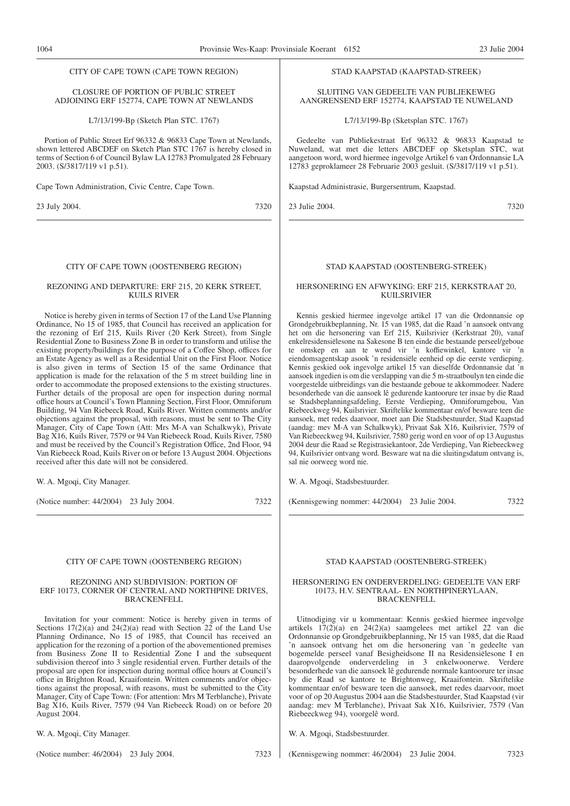#### CITY OF CAPE TOWN (CAPE TOWN REGION)

#### CLOSURE OF PORTION OF PUBLIC STREET ADJOINING ERF 152774, CAPE TOWN AT NEWLANDS

L7/13/199-Bp (Sketch Plan STC. 1767)

Portion of Public Street Erf 96332 & 96833 Cape Town at Newlands, shown lettered ABCDEF on Sketch Plan STC 1767 is hereby closed in terms of Section 6 of Council Bylaw LA 12783 Promulgated 28 February 2003. (S/3817/119 v1 p.51).

Cape Town Administration, Civic Centre, Cape Town.

23 July 2004. 7320

#### CITY OF CAPE TOWN (OOSTENBERG REGION)

#### REZONING AND DEPARTURE: ERF 215, 20 KERK STREET, KUILS RIVER

Notice is hereby given in terms of Section 17 of the Land Use Planning Ordinance, No 15 of 1985, that Council has received an application for the rezoning of Erf 215, Kuils River (20 Kerk Street), from Single Residential Zone to Business Zone B in order to transform and utilise the existing property/buildings for the purpose of a Coffee Shop, offices for an Estate Agency as well as a Residential Unit on the First Floor. Notice is also given in terms of Section 15 of the same Ordinance that application is made for the relaxation of the 5 m street building line in order to accommodate the proposed extensions to the existing structures. Further details of the proposal are open for inspection during normal office hours at Council's Town Planning Section, First Floor, Omniforum Building, 94 Van Riebeeck Road, Kuils River. Written comments and/or objections against the proposal, with reasons, must be sent to The City Manager, City of Cape Town (Att: Mrs M-A van Schalkwyk), Private Bag X16, Kuils River, 7579 or 94 Van Riebeeck Road, Kuils River, 7580 and must be received by the Council's Registration Office, 2nd Floor, 94 Van Riebeeck Road, Kuils River on or before 13 August 2004. Objections received after this date will not be considered.

W. A. Mgoqi, City Manager.

(Notice number: 44/2004) 23 July 2004. 7322

#### CITY OF CAPE TOWN (OOSTENBERG REGION)

#### REZONING AND SUBDIVISION: PORTION OF ERF 10173, CORNER OF CENTRAL AND NORTHPINE DRIVES, BRACKENFELL

Invitation for your comment: Notice is hereby given in terms of Sections 17(2)(a) and 24(2)(a) read with Section 22 of the Land Use Planning Ordinance, No 15 of 1985, that Council has received an application for the rezoning of a portion of the abovementioned premises from Business Zone II to Residential Zone I and the subsequent subdivision thereof into 3 single residential erven. Further details of the proposal are open for inspection during normal office hours at Council's office in Brighton Road, Kraaifontein. Written comments and/or objections against the proposal, with reasons, must be submitted to the City Manager, City of Cape Town: (For attention: Mrs M Terblanche), Private Bag X16, Kuils River, 7579 (94 Van Riebeeck Road) on or before 20 August 2004.

W. A. Mgoqi, City Manager.

(Notice number: 46/2004) 23 July 2004. 7323

#### STAD KAAPSTAD (KAAPSTAD-STREEK)

SLUITING VAN GEDEELTE VAN PUBLIEKEWEG AANGRENSEND ERF 152774, KAAPSTAD TE NUWELAND

L7/13/199-Bp (Sketsplan STC. 1767)

Gedeelte van Publiekestraat Erf 96332 & 96833 Kaapstad te Nuweland, wat met die letters ABCDEF op Sketsplan STC, wat aangetoon word, word hiermee ingevolge Artikel 6 van Ordonnansie LA 12783 geproklameer 28 Februarie 2003 gesluit. (S/3817/119 v1 p.51).

Kaapstad Administrasie, Burgersentrum, Kaapstad.

23 Julie 2004. 7320

#### STAD KAAPSTAD (OOSTENBERG-STREEK)

#### HERSONERING EN AFWYKING: ERF 215, KERKSTRAAT 20, KUILSRIVIER

Kennis geskied hiermee ingevolge artikel 17 van die Ordonnansie op Grondgebruikbeplanning, Nr. 15 van 1985, dat die Raad 'n aansoek ontvang het om die hersonering van Erf 215, Kuilsrivier (Kerkstraat 20), vanaf enkelresidensiëlesone na Sakesone B ten einde die bestaande perseel/geboue te omskep en aan te wend vir 'n koffiewinkel, kantore vir 'n eiendomsagentskap asook 'n residensiële eenheid op die eerste verdieping. Kennis geskied ook ingevolge artikel 15 van dieselfde Ordonnansie dat 'n aansoek ingedien is om die verslapping van die 5 m-straatboulyn ten einde die voorgestelde uitbreidings van die bestaande geboue te akkommodeer. Nadere besonderhede van die aansoek lê gedurende kantoorure ter insae by die Raad se Stadsbeplanningsafdeling, Eerste Verdieping, Omniforumgebou, Van Riebeeckweg 94, Kuilsrivier. Skriftelike kommentaar en/of besware teen die aansoek, met redes daarvoor, moet aan Die Stadsbestuurder, Stad Kaapstad (aandag: mev M-A van Schalkwyk), Privaat Sak X16, Kuilsrivier, 7579 of Van Riebeeckweg 94, Kuilsrivier, 7580 gerig word en voor of op 13 Augustus 2004 deur die Raad se Registrasiekantoor, 2de Verdieping, Van Riebeeckweg 94, Kuilsrivier ontvang word. Besware wat na die sluitingsdatum ontvang is, sal nie oorweeg word nie.

W. A. Mgoqi, Stadsbestuurder.

(Kennisgewing nommer: 44/2004) 23 Julie 2004. 7322

#### STAD KAAPSTAD (OOSTENBERG-STREEK)

#### HERSONERING EN ONDERVERDELING: GEDEELTE VAN ERF 10173, H.V. SENTRAAL- EN NORTHPINERYLAAN, BRACKENFELL

Uitnodiging vir u kommentaar: Kennis geskied hiermee ingevolge artikels 17(2)(a) en 24(2)(a) saamgelees met artikel 22 van die Ordonnansie op Grondgebruikbeplanning, Nr 15 van 1985, dat die Raad 'n aansoek ontvang het om die hersonering van 'n gedeelte van bogemelde perseel vanaf Besigheidsone II na Residensiëlesone I en daaropvolgende onderverdeling in 3 enkelwoonerwe. Verdere besonderhede van die aansoek lê gedurende normale kantoorure ter insae by die Raad se kantore te Brightonweg, Kraaifontein. Skriftelike kommentaar en/of besware teen die aansoek, met redes daarvoor, moet voor of op 20 Augustus 2004 aan die Stadsbestuurder, Stad Kaapstad (vir aandag: mev M Terblanche), Privaat Sak X16, Kuilsrivier, 7579 (Van Riebeeckweg 94), voorgelê word.

W. A. Mgoqi, Stadsbestuurder.

(Kennisgewing nommer: 46/2004) 23 Julie 2004. 7323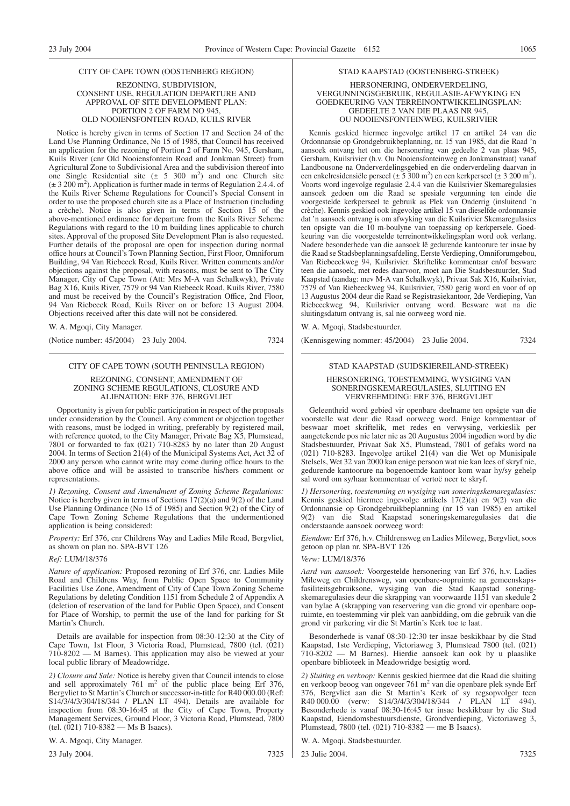#### CITY OF CAPE TOWN (OOSTENBERG REGION)

REZONING, SUBDIVISION, CONSENT USE, REGULATION DEPARTURE AND APPROVAL OF SITE DEVELOPMENT PLAN: PORTION 2 OF FARM NO 945, OLD NOOIENSFONTEIN ROAD, KUILS RIVER

Notice is hereby given in terms of Section 17 and Section 24 of the Land Use Planning Ordinance, No 15 of 1985, that Council has received an application for the rezoning of Portion 2 of Farm No. 945, Gersham, Kuils River (cnr Old Nooiensfontein Road and Jonkman Street) from Agricultural Zone to Subdivisional Area and the subdivision thereof into one Single Residential site  $(\pm 5, 300, m^2)$  and one Church site  $(\pm 3200 \text{ m}^2)$ . Application is further made in terms of Regulation 2.4.4. of the Kuils River Scheme Regulations for Council's Special Consent in order to use the proposed church site as a Place of Instruction (including a crèche). Notice is also given in terms of Section 15 of the above-mentioned ordinance for departure from the Kuils River Scheme Regulations with regard to the 10 m building lines applicable to church sites. Approval of the proposed Site Development Plan is also requested. Further details of the proposal are open for inspection during normal office hours at Council's Town Planning Section, First Floor, Omniforum Building, 94 Van Riebeeck Road, Kuils River. Written comments and/or objections against the proposal, with reasons, must be sent to The City Manager, City of Cape Town (Att: Mrs M-A van Schalkwyk), Private Bag X16, Kuils River, 7579 or 94 Van Riebeeck Road, Kuils River, 7580 and must be received by the Council's Registration Office, 2nd Floor, 94 Van Riebeeck Road, Kuils River on or before 13 August 2004. Objections received after this date will not be considered.

W. A. Mgoqi, City Manager.

(Notice number: 45/2004) 23 July 2004. 7324

#### CITY OF CAPE TOWN (SOUTH PENINSULA REGION)

REZONING, CONSENT, AMENDMENT OF ZONING SCHEME REGULATIONS, CLOSURE AND ALIENATION: ERF 376, BERGVLIET

Opportunity is given for public participation in respect of the proposals under consideration by the Council. Any comment or objection together with reasons, must be lodged in writing, preferably by registered mail, with reference quoted, to the City Manager, Private Bag X5, Plumstead, 7801 or forwarded to fax (021) 710-8283 by no later than 20 August 2004. In terms of Section 21(4) of the Municipal Systems Act, Act 32 of 2000 any person who cannot write may come during office hours to the above office and will be assisted to transcribe his/hers comment or representations.

*1) Rezoning, Consent and Amendment of Zoning Scheme Regulations:* Notice is hereby given in terms of Sections  $17(2)(a)$  and  $9(2)$  of the Land Use Planning Ordinance (No 15 of 1985) and Section 9(2) of the City of Cape Town Zoning Scheme Regulations that the undermentioned application is being considered:

*Property:* Erf 376, cnr Childrens Way and Ladies Mile Road, Bergvliet, as shown on plan no. SPA-BVT 126

#### *Ref:* LUM/18/376

*Nature of application:* Proposed rezoning of Erf 376, cnr. Ladies Mile Road and Childrens Way, from Public Open Space to Community Facilities Use Zone, Amendment of City of Cape Town Zoning Scheme Regulations by deleting Condition 1151 from Schedule 2 of Appendix A (deletion of reservation of the land for Public Open Space), and Consent for Place of Worship, to permit the use of the land for parking for St Martin's Church.

Details are available for inspection from 08:30-12:30 at the City of Cape Town, 1st Floor, 3 Victoria Road, Plumstead, 7800 (tel. (021) 710-8202 — M Barnes). This application may also be viewed at your local public library of Meadowridge.

*2) Closure and Sale:* Notice is hereby given that Council intends to close and sell approximately  $761 \text{ m}^2$  of the public place being Erf 376, Bergvliet to St Martin's Church or successor-in-title for R40 000.00 (Ref: S14/3/4/3/304/18/344 / PLAN LT 494). Details are available for inspection from 08:30-16:45 at the City of Cape Town, Property Management Services, Ground Floor, 3 Victoria Road, Plumstead, 7800 (tel. (021) 710-8382 — Ms B Isaacs).

W. A. Mgoqi, City Manager.

23 July 2004. 7325

#### STAD KAAPSTAD (OOSTENBERG-STREEK)

#### HERSONERING, ONDERVERDELING, VERGUNNINGSGEBRUIK, REGULASIE-AFWYKING EN GOEDKEURING VAN TERREINONTWIKKELINGSPLAN: GEDEELTE 2 VAN DIE PLAAS NR 945, OU NOOIENSFONTEINWEG, KUILSRIVIER

Kennis geskied hiermee ingevolge artikel 17 en artikel 24 van die Ordonnansie op Grondgebruikbeplanning, nr. 15 van 1985, dat die Raad 'n aansoek ontvang het om die hersonering van gedeelte 2 van plaas 945, Gersham, Kuilsrivier (h.v. Ou Nooiensfonteinweg en Jonkmanstraat) vanaf Landbousone na Onderverdelingsgebied en die onderverdeling daarvan in een enkelresidensiële perseel ( $\pm 5,300 \text{ m}^2$ ) en een kerkperseel ( $\pm 3,200 \text{ m}^2$ ). Voorts word ingevolge regulasie 2.4.4 van die Kuilsrivier Skemaregulasies aansoek gedoen om die Raad se spesiale vergunning ten einde die voorgestelde kerkperseel te gebruik as Plek van Onderrig (insluitend 'n crèche). Kennis geskied ook ingevolge artikel 15 van dieselfde ordonnansie dat 'n aansoek ontvang is om afwyking van die Kuilsrivier Skemaregulasies ten opsigte van die 10 m-boulyne van toepassing op kerkpersele. Goedkeuring van die voorgestelde terreinontwikkelingsplan word ook verlang. Nadere besonderhede van die aansoek lê gedurende kantoorure ter insae by die Raad se Stadsbeplanningsafdeling, Eerste Verdieping, Omniforumgebou, Van Riebeeckweg 94, Kuilsrivier. Skriftelike kommentaar en/of besware teen die aansoek, met redes daarvoor, moet aan Die Stadsbestuurder, Stad Kaapstad (aandag: mev M-A van Schalkwyk), Privaat Sak X16, Kuilsrivier, 7579 of Van Riebeeckweg 94, Kuilsrivier, 7580 gerig word en voor of op 13 Augustus 2004 deur die Raad se Registrasiekantoor, 2de Verdieping, Van Riebeeckweg 94, Kuilsrivier ontvang word. Besware wat na die sluitingsdatum ontvang is, sal nie oorweeg word nie.

W. A. Mgoqi, Stadsbestuurder.

(Kennisgewing nommer: 45/2004) 23 Julie 2004. 7324

### STAD KAAPSTAD (SUIDSKIEREILAND-STREEK) HERSONERING, TOESTEMMING, WYSIGING VAN

## SONERINGSKEMAREGULASIES, SLUITING EN VERVREEMDING: ERF 376, BERGVLIET

Geleentheid word gebied vir openbare deelname ten opsigte van die voorstelle wat deur die Raad oorweeg word. Enige kommentaar of beswaar moet skriftelik, met redes en verwysing, verkieslik per aangetekende pos nie later nie as 20 Augustus 2004 ingedien word by die Stadsbestuurder, Privaat Sak X5, Plumstead, 7801 of gefaks word na (021) 710-8283. Ingevolge artikel 21(4) van die Wet op Munisipale Stelsels, Wet 32 van 2000 kan enige persoon wat nie kan lees of skryf nie, gedurende kantoorure na bogenoemde kantoor kom waar hy/sy gehelp sal word om sy/haar kommentaar of vertoë neer te skryf.

*1) Hersonering, toestemming en wysiging van soneringskemaregulasies:* Kennis geskied hiermee ingevolge artikels 17(2)(a) en 9(2) van die Ordonnansie op Grondgebruikbeplanning (nr 15 van 1985) en artikel 9(2) van die Stad Kaapstad soneringskemaregulasies dat die onderstaande aansoek oorweeg word:

*Eiendom:* Erf 376, h.v. Childrensweg en Ladies Mileweg, Bergvliet, soos getoon op plan nr. SPA-BVT 126

#### *Verw:* LUM/18/376

*Aard van aansoek:* Voorgestelde hersonering van Erf 376, h.v. Ladies Mileweg en Childrensweg, van openbare-oopruimte na gemeenskapsfasiliteitsgebruiksone, wysiging van die Stad Kaapstad soneringskemaregulasies deur die skrapping van voorwaarde 1151 van skedule 2 van bylae A (skrapping van reservering van die grond vir openbare oopruimte, en toestemming vir plek van aanbidding, om die gebruik van die grond vir parkering vir die St Martin's Kerk toe te laat.

Besonderhede is vanaf 08:30-12:30 ter insae beskikbaar by die Stad Kaapstad, 1ste Verdieping, Victoriaweg 3, Plumstead 7800 (tel. (021) 710-8202 — M Barnes). Hierdie aansoek kan ook by u plaaslike openbare biblioteek in Meadowridge besigtig word.

*2) Sluiting en verkoop:* Kennis geskied hiermee dat die Raad die sluiting en verkoop beoog van ongeveer 761 m<sup>2</sup> van die openbare plek synde Erf 376, Bergvliet aan die St Martin's Kerk of sy regsopvolger teen R40 000.00 (verw: S14/3/4/3/304/18/344 / PLAN LT 494). Besonderhede is vanaf 08:30-16:45 ter insae beskikbaar by die Stad Kaapstad, Eiendomsbestuursdienste, Grondverdieping, Victoriaweg 3, Plumstead, 7800 (tel. (021) 710-8382 — me B Isaacs).

W. A. Mgoqi, Stadsbestuurder.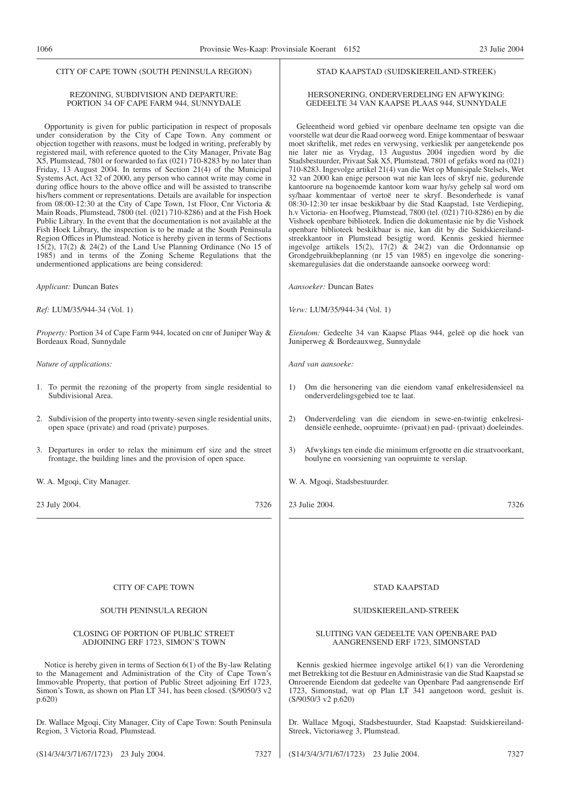#### CITY OF CAPE TOWN (SOUTH PENINSULA REGION)

#### REZONING, SUBDIVISION AND DEPARTURE: PORTION 34 OF CAPE FARM 944, SUNNYDALE

Opportunity is given for public participation in respect of proposals under consideration by the City of Cape Town. Any comment or objection together with reasons, must be lodged in writing, preferably by registered mail, with reference quoted to the City Manager, Private Bag X5, Plumstead, 7801 or forwarded to fax (021) 710-8283 by no later than Friday, 13 August 2004. In terms of Section 21(4) of the Municipal Systems Act, Act 32 of 2000, any person who cannot write may come in during office hours to the above office and will be assisted to transcribe his/hers comment or representations. Details are available for inspection from 08:00-12:30 at the City of Cape Town, 1st Floor, Cnr Victoria & Main Roads, Plumstead, 7800 (tel.  $(021)$  710-8286) and at the Fish Hoek Public Library. In the event that the documentation is not available at the Fish Hoek Library, the inspection is to be made at the South Peninsula Region Offices in Plumstead. Notice is hereby given in terms of Sections 15(2), 17(2) & 24(2) of the Land Use Planning Ordinance (No 15 of 1985) and in terms of the Zoning Scheme Regulations that the undermentioned applications are being considered:

*Applicant:* Duncan Bates

*Ref:* LUM/35/944-34 (Vol. 1)

*Property:* Portion 34 of Cape Farm 944, located on cnr of Juniper Way & Bordeaux Road, Sunnydale

*Nature of applications:*

- 1. To permit the rezoning of the property from single residential to Subdivisional Area.
- 2. Subdivision of the property into twenty-seven single residential units, open space (private) and road (private) purposes.
- 3. Departures in order to relax the minimum erf size and the street frontage, the building lines and the provision of open space.
- W. A. Mgoqi, City Manager.

23 July 2004. 7326

#### STAD KAAPSTAD (SUIDSKIEREILAND-STREEK)

#### HERSONERING, ONDERVERDELING EN AFWYKING: GEDEELTE 34 VAN KAAPSE PLAAS 944, SUNNYDALE

Geleentheid word gebied vir openbare deelname ten opsigte van die voorstelle wat deur die Raad oorweeg word. Enige kommentaar of beswaar moet skriftelik, met redes en verwysing, verkieslik per aangetekende pos nie later nie as Vrydag, 13 Augustus 2004 ingedien word by die Stadsbestuurder, Privaat Sak X5, Plumstead, 7801 of gefaks word na (021) 710-8283. Ingevolge artikel 21(4) van die Wet op Munisipale Stelsels, Wet 32 van 2000 kan enige persoon wat nie kan lees of skryf nie, gedurende kantoorure na bogenoemde kantoor kom waar hy/sy gehelp sal word om sy/haar kommentaar of vertoë neer te skryf. Besonderhede is vanaf 08:30-12:30 ter insae beskikbaar by die Stad Kaapstad, 1ste Verdieping, h.v Victoria- en Hoofweg, Plumstead, 7800 (tel. (021) 710-8286) en by die Vishoek openbare biblioteek. Indien die dokumentasie nie by die Vishoek openbare biblioteek beskikbaar is nie, kan dit by die Suidskiereilandstreekkantoor in Plumstead besigtig word. Kennis geskied hiermee ingevolge artikels 15(2), 17(2) & 24(2) van die Ordonnansie op Grondgebruikbeplanning (nr 15 van 1985) en ingevolge die soneringskemaregulasies dat die onderstaande aansoeke oorweeg word:

*Aansoeker:* Duncan Bates

*Verw:* LUM/35/944-34 (Vol. 1)

*Eiendom:* Gedeelte 34 van Kaapse Plaas 944, geleë op die hoek van Juniperweg & Bordeauxweg, Sunnydale

*Aard van aansoeke:*

- 1) Om die hersonering van die eiendom vanaf enkelresidensieel na onderverdelingsgebied toe te laat.
- 2) Onderverdeling van die eiendom in sewe-en-twintig enkelresidensiële eenhede, oopruimte- (privaat) en pad- (privaat) doeleindes.
- 3) Afwykings ten einde die minimum erfgrootte en die straatvoorkant, boulyne en voorsiening van oopruimte te verslap.
- W. A. Mgoqi, Stadsbestuurder.
- 23 Julie 2004. 7326

#### CITY OF CAPE TOWN

#### SOUTH PENINSULA REGION

#### CLOSING OF PORTION OF PUBLIC STREET ADJOINING ERF 1723, SIMON'S TOWN

Notice is hereby given in terms of Section 6(1) of the By-law Relating to the Management and Administration of the City of Cape Town's Immovable Property, that portion of Public Street adjoining Erf 1723, Simon's Town, as shown on Plan LT 341, has been closed. (S/9050/3 v2) p.620)

Dr. Wallace Mgoqi, City Manager, City of Cape Town: South Peninsula Region, 3 Victoria Road, Plumstead.

STAD KAAPSTAD

#### SUIDSKIEREILAND-STREEK

#### SLUITING VAN GEDEELTE VAN OPENBARE PAD AANGRENSEND ERF 1723, SIMONSTAD

Kennis geskied hiermee ingevolge artikel 6(1) van die Verordening met Betrekking tot die Bestuur en Administrasie van die Stad Kaapstad se Onroerende Eiendom dat gedeelte van Openbare Pad aangrensende Erf 1723, Simonstad, wat op Plan LT 341 aangetoon word, gesluit is. (S/9050/3 v2 p.620)

Dr. Wallace Mgoqi, Stadsbestuurder, Stad Kaapstad: Suidskiereiland-Streek, Victoriaweg 3, Plumstead.

(S14/3/4/3/71/67/1723) 23 July 2004. 7327

(S14/3/4/3/71/67/1723) 23 Julie 2004. 7327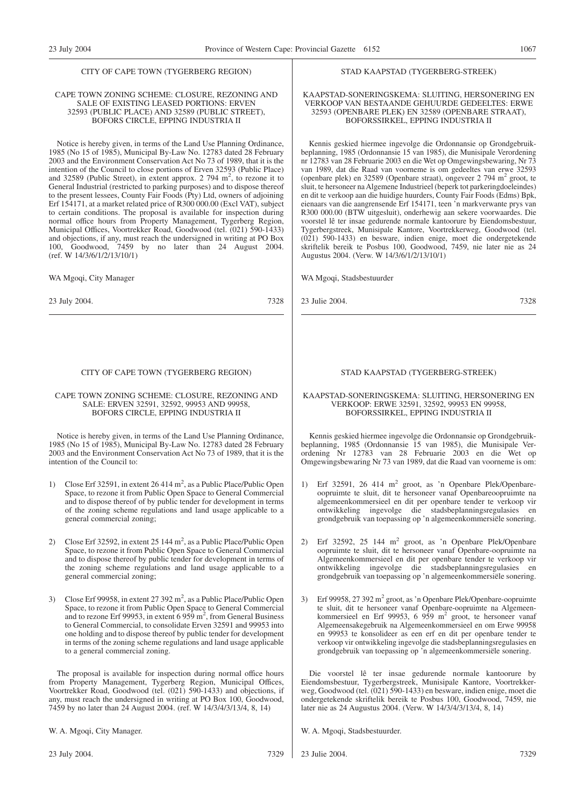#### CITY OF CAPE TOWN (TYGERBERG REGION)

#### CAPE TOWN ZONING SCHEME: CLOSURE, REZONING AND SALE OF EXISTING LEASED PORTIONS: ERVEN 32593 (PUBLIC PLACE) AND 32589 (PUBLIC STREET), BOFORS CIRCLE, EPPING INDUSTRIA II

Notice is hereby given, in terms of the Land Use Planning Ordinance, 1985 (No 15 of 1985), Municipal By-Law No. 12783 dated 28 February 2003 and the Environment Conservation Act No 73 of 1989, that it is the intention of the Council to close portions of Erven 32593 (Public Place) and 32589 (Public Street), in extent approx. 2 794  $m^2$ , to rezone it to General Industrial (restricted to parking purposes) and to dispose thereof to the present lessees, County Fair Foods (Pty) Ltd, owners of adjoining Erf 154171, at a market related price of R300 000.00 (Excl VAT), subject to certain conditions. The proposal is available for inspection during normal office hours from Property Management, Tygerberg Region, Municipal Offices, Voortrekker Road, Goodwood (tel. (021) 590-1433) and objections, if any, must reach the undersigned in writing at PO Box 100, Goodwood, 7459 by no later than 24 August 2004. (ref. W 14/3/6/1/2/13/10/1)

WA Mgoqi, City Manager

23 July 2004. 7328

#### CITY OF CAPE TOWN (TYGERBERG REGION)

#### CAPE TOWN ZONING SCHEME: CLOSURE, REZONING AND SALE: ERVEN 32591, 32592, 99953 AND 99958, BOFORS CIRCLE, EPPING INDUSTRIA II

Notice is hereby given, in terms of the Land Use Planning Ordinance, 1985 (No 15 of 1985), Municipal By-Law No. 12783 dated 28 February 2003 and the Environment Conservation Act No 73 of 1989, that it is the intention of the Council to:

- 1) Close Erf 32591, in extent  $26414 \text{ m}^2$ , as a Public Place/Public Open Space, to rezone it from Public Open Space to General Commercial and to dispose thereof of by public tender for development in terms of the zoning scheme regulations and land usage applicable to a general commercial zoning;
- 2) Close Erf 32592, in extent  $25144 \text{ m}^2$ , as a Public Place/Public Open Space, to rezone it from Public Open Space to General Commercial and to dispose thereof by public tender for development in terms of the zoning scheme regulations and land usage applicable to a general commercial zoning;
- 3) Close Erf 99958, in extent  $27$  392 m<sup>2</sup>, as a Public Place/Public Open Space, to rezone it from Public Open Space to General Commercial and to rezone Erf 99953, in extent 6 959 m<sup>2</sup>, from General Business to General Commercial, to consolidate Erven 32591 and 99953 into one holding and to dispose thereof by public tender for development in terms of the zoning scheme regulations and land usage applicable to a general commercial zoning.

The proposal is available for inspection during normal office hours from Property Management, Tygerberg Region, Municipal Offices, Voortrekker Road, Goodwood (tel. (021) 590-1433) and objections, if any, must reach the undersigned in writing at PO Box 100, Goodwood, 7459 by no later than 24 August 2004. (ref. W 14/3/4/3/13/4, 8, 14)

W. A. Mgoqi, City Manager.

#### STAD KAAPSTAD (TYGERBERG-STREEK)

#### KAAPSTAD-SONERINGSKEMA: SLUITING, HERSONERING EN VERKOOP VAN BESTAANDE GEHUURDE GEDEELTES: ERWE 32593 (OPENBARE PLEK) EN 32589 (OPENBARE STRAAT), BOFORSSIRKEL, EPPING INDUSTRIA II

Kennis geskied hiermee ingevolge die Ordonnansie op Grondgebruikbeplanning, 1985 (Ordonnansie 15 van 1985), die Munisipale Verordening nr 12783 van 28 Februarie 2003 en die Wet op Omgewingsbewaring, Nr 73 van 1989, dat die Raad van voorneme is om gedeeltes van erwe 32593 (openbare plek) en 32589 (Openbare straat), ongeveer 2 794 m2 groot, te sluit, te hersoneer na Algemene Industrieel (beperk tot parkeringdoeleindes) en dit te verkoop aan die huidige huurders, County Fair Foods (Edms) Bpk, eienaars van die aangrensende Erf 154171, teen 'n markverwante prys van R300 000.00 (BTW uitgesluit), onderhewig aan sekere voorwaardes. Die voorstel lê ter insae gedurende normale kantoorure by Eiendomsbestuur, Tygerbergstreek, Munisipale Kantore, Voortrekkerweg, Goodwood (tel. (021) 590-1433) en besware, indien enige, moet die ondergetekende skriftelik bereik te Posbus 100, Goodwood, 7459, nie later nie as 24 Augustus 2004. (Verw. W 14/3/6/1/2/13/10/1)

WA Mgoqi, Stadsbestuurder

23 Julie 2004. 7328

#### STAD KAAPSTAD (TYGERBERG-STREEK)

#### KAAPSTAD-SONERINGSKEMA: SLUITING, HERSONERING EN VERKOOP: ERWE 32591, 32592, 99953 EN 99958, BOFORSSIRKEL, EPPING INDUSTRIA II

Kennis geskied hiermee ingevolge die Ordonnansie op Grondgebruikbeplanning, 1985 (Ordonnansie 15 van 1985), die Munisipale Verordening Nr 12783 van 28 Februarie 2003 en die Wet op Omgewingsbewaring Nr 73 van 1989, dat die Raad van voorneme is om:

- 1) Erf 32591, 26 414 m2 groot, as 'n Openbare Plek/Openbareoopruimte te sluit, dit te hersoneer vanaf Openbareoopruimte na algemeenkommersieel en dit per openbare tender te verkoop vir ontwikkeling ingevolge die stadsbeplanningsregulasies en grondgebruik van toepassing op 'n algemeenkommersiële sonering.
- 2) Erf 32592, 25 144 m2 groot, as 'n Openbare Plek/Openbare oopruimte te sluit, dit te hersoneer vanaf Openbare-oopruimte na Algemeenkommersieel en dit per openbare tender te verkoop vir ontwikkeling ingevolge die stadsbeplanningsregulasies en grondgebruik van toepassing op 'n algemeenkommersiële sonering.
- Erf 99958, 27 392 m<sup>2</sup> groot, as 'n Openbare Plek/Openbare-oopruimte te sluit, dit te hersoneer vanaf Openbare-oopruimte na Algemeen-<br>kommersieel en Erf 99953, 6 959 m<sup>2</sup> groot, te hersoneer vanaf Algemeensakegebruik na Algemeenkommersieel en om Erwe 99958 en 99953 te konsolideer as een erf en dit per openbare tender te verkoop vir ontwikkeling ingevolge die stadsbeplanningsregulasies en grondgebruik van toepassing op 'n algemeenkommersiële sonering.

Die voorstel lê ter insae gedurende normale kantoorure by Eiendomsbestuur, Tygerbergstreek, Munisipale Kantore, Voortrekkerweg, Goodwood (tel. (021) 590-1433) en besware, indien enige, moet die ondergetekende skriftelik bereik te Posbus 100, Goodwood, 7459, nie later nie as 24 Augustus 2004. (Verw. W 14/3/4/3/13/4, 8, 14)

W. A. Mgoqi, Stadsbestuurder.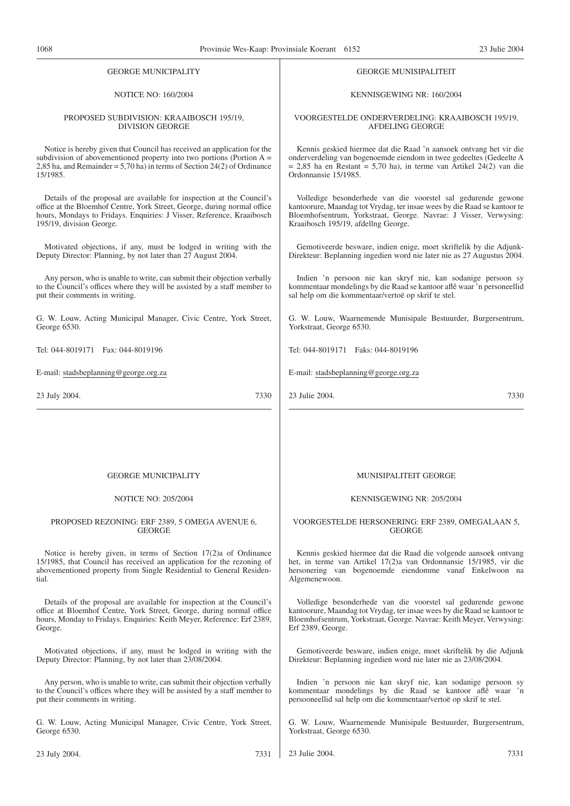| 1 V V V<br>Trovinsic was ixaap. Trovinsiale ixocram                        |                                                                          |
|----------------------------------------------------------------------------|--------------------------------------------------------------------------|
| <b>GEORGE MUNICIPALITY</b>                                                 | <b>GEORGE MUNISIPALITEIT</b>                                             |
| <b>NOTICE NO: 160/2004</b>                                                 | KENNISGEWING NR: 160/2004                                                |
| PROPOSED SUBDIVISION: KRAAIBOSCH 195/19,                                   | VOORGESTELDE ONDERVERDELING: KRAAIBOSCH 195/19,                          |
| <b>DIVISION GEORGE</b>                                                     | AFDELING GEORGE                                                          |
| Notice is hereby given that Council has received an application for the    | Kennis geskied hiermee dat die Raad 'n aansoek ontvang het vir die       |
| subdivision of abovementioned property into two portions (Portion $A =$    | onderverdeling van bogenoemde eiendom in twee gedeeltes (Gedeelte A      |
| 2,85 ha, and Remainder = $5,70$ ha) in terms of Section 24(2) of Ordinance | $= 2,85$ ha en Restant $= 5,70$ ha), in terme van Artikel 24(2) van die  |
| 15/1985.                                                                   | Ordonnansie 15/1985.                                                     |
| Details of the proposal are available for inspection at the Council's      | Volledige besonderhede van die voorstel sal gedurende gewone             |
| office at the Bloemhof Centre, York Street, George, during normal office   | kantoorure, Maandag tot Vrydag, ter insae wees by die Raad se kantoor te |
| hours, Mondays to Fridays. Enquiries: J Visser, Reference, Kraaibosch      | Bloemhofsentrum, Yorkstraat, George. Navrae: J Visser, Verwysing:        |
| 195/19, division George.                                                   | Kraaibosch 195/19, afdellng George.                                      |
| Motivated objections, if any, must be lodged in writing with the           | Gemotiveerde besware, indien enige, moet skriftelik by die Adjunk-       |
| Deputy Director: Planning, by not later than 27 August 2004.               | Direkteur: Beplanning ingedien word nie later nie as 27 Augustus 2004.   |
| Any person, who is unable to write, can submit their objection verbally    | Indien 'n persoon nie kan skryf nie, kan sodanige persoon sy             |
| to the Council's offices where they will be assisted by a staff member to  | kommentaar mondelings by die Raad se kantoor aflê waar 'n personeellid   |
| put their comments in writing.                                             | sal help om die kommentaar/vertoë op skrif te stel.                      |
| G. W. Louw, Acting Municipal Manager, Civic Centre, York Street,           | G. W. Louw, Waarnemende Munisipale Bestuurder, Burgersentrum,            |
| George 6530.                                                               | Yorkstraat, George 6530.                                                 |
| Tel: 044-8019171  Fax: 044-8019196                                         | Tel: 044-8019171  Faks: 044-8019196                                      |
| E-mail: stadsbeplanning@george.org.za                                      | E-mail: stadsbeplanning@george.org.za                                    |
| 23 July 2004.                                                              | 23 Julie 2004.                                                           |
| 7330                                                                       | 7330                                                                     |
|                                                                            |                                                                          |
| <b>GEORGE MUNICIPALITY</b>                                                 | <b>MUNISIPALITEIT GEORGE</b>                                             |
| <b>NOTICE NO: 205/2004</b>                                                 | KENNISGEWING NR: 205/2004                                                |
| PROPOSED REZONING: ERF 2389, 5 OMEGA AVENUE 6,                             | VOORGESTELDE HERSONERING: ERF 2389, OMEGALAAN 5,                         |
| <b>GEORGE</b>                                                              | <b>GEORGE</b>                                                            |
| Notice is hereby given, in terms of Section $17(2)a$ of Ordinance          | Kennis geskied hiermee dat die Raad die volgende aansoek ontvang         |
| 15/1985, that Council has received an application for the rezoning of      | het, in terme van Artikel 17(2)a van Ordonnansie 15/1985, vir die        |
| abovementioned property from Single Residential to General Residen-        | hersonering van bogenoemde eiendomme vanaf Enkelwoon na                  |
| tial.                                                                      | Algemenewoon.                                                            |
| Details of the proposal are available for inspection at the Council's      | Volledige besonderhede van die voorstel sal gedurende gewone             |
| office at Bloemhof Centre, York Street, George, during normal office       | kantoorure, Maandag tot Vrydag, ter insae wees by die Raad se kantoor te |
| hours, Monday to Fridays. Enquiries: Keith Meyer, Reference: Erf 2389,     | Bloemhofsentrum, Yorkstraat, George. Navrae: Keith Meyer, Verwysing:     |
| George.                                                                    | Erf 2389, George.                                                        |
| Motivated objections, if any, must be lodged in writing with the           | Gemotiveerde besware, indien enige, moet skriftelik by die Adjunk        |
| Deputy Director: Planning, by not later than 23/08/2004.                   | Direkteur: Beplanning ingedien word nie later nie as 23/08/2004.         |
|                                                                            |                                                                          |

Any person, who is unable to write, can submit their objection verbally to the Council's offices where they will be assisted by a staff member to Indien 'n persoon nie kan skryf nie, kan sodanige persoon sy kommentaar mondelings by die Raad se kantoor aflê waar 'n persooneellid sal help om die kommentaar/vertoë op skrif te stel.

Yorkstraat, George 6530.

G. W. Louw, Waarnemende Munisipale Bestuurder, Burgersentrum,

G. W. Louw, Acting Municipal Manager, Civic Centre, York Street, George 6530.

put their comments in writing.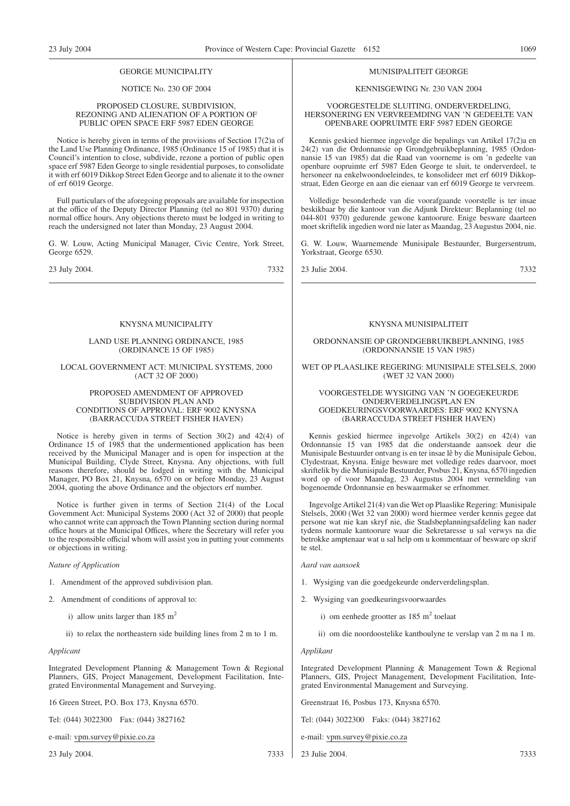#### GEORGE MUNICIPALITY

#### NOTICE No. 230 OF 2004

#### PROPOSED CLOSURE, SUBDIVISION, REZONING AND ALIENATION OF A PORTION OF PUBLIC OPEN SPACE ERF 5987 EDEN GEORGE

Notice is hereby given in terms of the provisions of Section 17(2)a of the Land Use Planning Ordinance, 1985 (Ordinance 15 of 1985) that it is Council's intention to close, subdivide, rezone a portion of public open space erf 5987 Eden George to single residential purposes, to consolidate it with erf 6019 Dikkop Street Eden George and to alienate it to the owner of erf 6019 George.

Full particulars of the aforegoing proposals are available for inspection at the office of the Deputy Director Planning (tel no 801 9370) during normal office hours. Any objections thereto must be lodged in writing to reach the undersigned not later than Monday, 23 August 2004.

G. W. Louw, Acting Municipal Manager, Civic Centre, York Street, George 6529.

23 July 2004. 7332

#### KNYSNA MUNICIPALITY

#### LAND USE PLANNING ORDINANCE, 1985 (ORDINANCE 15 OF 1985)

LOCAL GOVERNMENT ACT: MUNICIPAL SYSTEMS, 2000 (ACT 32 OF 2000)

#### PROPOSED AMENDMENT OF APPROVED SUBDIVISION PLAN AND CONDITIONS OF APPROVAL: ERF 9002 KNYSNA (BARRACCUDA STREET FISHER HAVEN)

Notice is hereby given in terms of Section 30(2) and 42(4) of Ordinance 15 of 1985 that the undermentioned application has been received by the Municipal Manager and is open for inspection at the Municipal Building, Clyde Street, Knysna. Any objections, with full reasons therefore, should be lodged in writing with the Municipal Manager, PO Box 21, Knysna, 6570 on or before Monday, 23 August 2004, quoting the above Ordinance and the objectors erf number.

Notice is further given in terms of Section 21(4) of the Local Govemment Act: Municipal Systems 2000 (Act 32 of 2000) that people who cannot write can approach the Town Planning section during normal office hours at the Municipal Offices, where the Secretary will refer you to the responsible official whom will assist you in putting your comments or objections in writing.

#### *Nature of Application*

- 1. Amendment of the approved subdivision plan.
- 2. Amendment of conditions of approval to:
	- i) allow units larger than  $185 \text{ m}^2$
	- ii) to relax the northeastern side building lines from 2 m to 1 m.

#### *Applicant*

Integrated Development Planning & Management Town & Regional Planners, GIS, Project Management, Development Facilitation, Integrated Environmental Management and Surveying.

16 Green Street, P.O. Box 173, Knysna 6570.

Tel: (044) 3022300 Fax: (044) 3827162

e-mail: vpm.survey@pixie.co.za

23 July 2004. 7333

#### MUNISIPALITEIT GEORGE

#### KENNISGEWING Nr. 230 VAN 2004

#### VOORGESTELDE SLUITING, ONDERVERDELING, HERSONERING EN VERVREEMDING VAN 'N GEDEELTE VAN OPENBARE OOPRUIMTE ERF 5987 EDEN GEORGE

Kennis geskied hiermee ingevolge die bepalings van Artikel 17(2)a en 24(2) van die Ordonnansie op Grondgebruikbeplanning, 1985 (Ordonnansie 15 van 1985) dat die Raad van voorneme is om 'n gedeelte van openbare oopruimte erf 5987 Eden George te sluit, te onderverdeel, te hersoneer na enkelwoondoeleindes, te konsolideer met erf 6019 Dikkopstraat, Eden George en aan die eienaar van erf 6019 George te vervreem.

Volledige besonderhede van die voorafgaande voorstelle is ter insae beskikbaar by die kantoor van die Adjunk Direkteur: Beplanning (tel no 044-801 9370) gedurende gewone kantoorure. Enige besware daarteen moet skriftelik ingedien word nie later as Maandag, 23 Augustus 2004, nie.

G. W. Louw, Waarnemende Munisipale Bestuurder, Burgersentrum, Yorkstraat, George 6530.

23 Julie 2004. 7332

#### KNYSNA MUNISIPALITEIT

ORDONNANSIE OP GRONDGEBRUIKBEPLANNING, 1985 (ORDONNANSIE 15 VAN 1985)

WET OP PLAASLIKE REGERING: MUNISIPALE STELSELS, 2000 (WET 32 VAN 2000)

#### VOORGESTELDE WYSIGING VAN 'N GOEGEKEURDE ONDERVERDELINGSPLAN EN GOEDKEURINGSVOORWAARDES: ERF 9002 KNYSNA (BARRACCUDA STREET FISHER HAVEN)

Kennis geskied hiermee ingevolge Artikels 30(2) en 42(4) van Ordonnansie 15 van 1985 dat die onderstaande aansoek deur die Munisipale Bestuurder ontvang is en ter insae lê by die Munisipale Gebou, Clydestraat, Knysna. Enige besware met volledige redes daarvoor, moet skriftelik by die Munisipale Bestuurder, Posbus 21, Knysna, 6570 ingedien word op of voor Maandag, 23 Augustus 2004 met vermelding van bogenoemde Ordonnansie en beswaarmaker se erfnommer.

Ingevolge Artikel 21(4) van die Wet op Plaaslike Regering: Munisipale Stelsels, 2000 (Wet 32 van 2000) word hiermee verder kennis gegee dat persone wat nie kan skryf nie, die Stadsbeplanningsafdeling kan nader tydens normale kantoorure waar die Sekretaresse u sal verwys na die betrokke amptenaar wat u sal help om u kommentaar of besware op skrif te stel.

*Aard van aansoek*

- 1. Wysiging van die goedgekeurde onderverdelingsplan.
- 2. Wysiging van goedkeuringsvoorwaardes
	- i) om eenhede grootter as  $185 \text{ m}^2$  toelaat
	- ii) om die noordoostelike kantboulyne te verslap van 2 m na 1 m.

#### *Applikant*

Integrated Development Planning & Management Town & Regional Planners, GIS, Project Management, Development Facilitation, Integrated Environmental Management and Surveying.

Greenstraat 16, Posbus 173, Knysna 6570.

Tel: (044) 3022300 Faks: (044) 3827162

e-mail: vpm.survey@pixie.co.za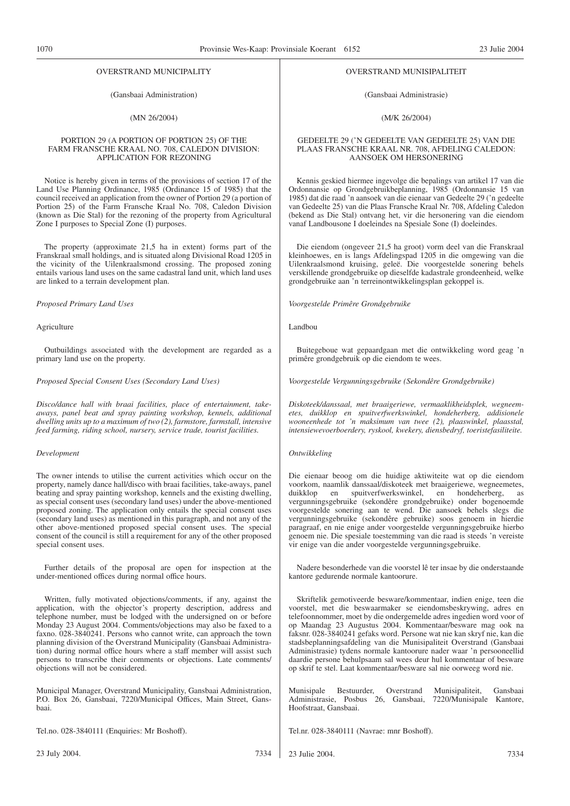#### OVERSTRAND MUNICIPALITY

#### (Gansbaai Administration)

(MN 26/2004)

#### PORTION 29 (A PORTION OF PORTION 25) OF THE FARM FRANSCHE KRAAL NO. 708, CALEDON DIVISION: APPLICATION FOR REZONING

Notice is hereby given in terms of the provisions of section 17 of the Land Use Planning Ordinance, 1985 (Ordinance 15 of 1985) that the council received an application from the owner of Portion 29 (a portion of Portion 25) of the Farm Fransche Kraal No. 708, Caledon Division (known as Die Stal) for the rezoning of the property from Agricultural Zone I purposes to Special Zone (I) purposes.

The property (approximate 21,5 ha in extent) forms part of the Franskraal small holdings, and is situated along Divisional Road 1205 in the vicinity of the Uilenkraalsmond crossing. The proposed zoning entails various land uses on the same cadastral land unit, which land uses are linked to a terrain development plan.

*Proposed Primary Land Uses*

Agriculture

Outbuildings associated with the development are regarded as a primary land use on the property.

#### *Proposed Special Consent Uses (Secondary Land Uses)*

*Disco/dance hall with braai facilities, place of entertainment, takeaways, panel beat and spray painting workshop, kennels, additional dwelling units up to a maximum of two (2), farmstore, farmstall, intensive feed farming, riding school, nursery, service trade, tourist facilities.*

#### *Development*

The owner intends to utilise the current activities which occur on the property, namely dance hall/disco with braai facilities, take-aways, panel beating and spray painting workshop, kennels and the existing dwelling, as special consent uses (secondary land uses) under the above-mentioned proposed zoning. The application only entails the special consent uses (secondary land uses) as mentioned in this paragraph, and not any of the other above-mentioned proposed special consent uses. The special consent of the council is still a requirement for any of the other proposed special consent uses.

Further details of the proposal are open for inspection at the under-mentioned offices during normal office hours.

Written, fully motivated objections/comments, if any, against the application, with the objector's property description, address and telephone number, must be lodged with the undersigned on or before Monday 23 August 2004. Comments/objections may also be faxed to a faxno. 028-3840241. Persons who cannot write, can approach the town planning division of the Overstrand Municipality (Gansbaai Administration) during normal office hours where a staff member will assist such persons to transcribe their comments or objections. Late comments/ objections will not be considered.

Municipal Manager, Overstrand Municipality, Gansbaai Administration, P.O. Box 26, Gansbaai, 7220/Municipal Offices, Main Street, Gansbaai.

Tel.no. 028-3840111 (Enquiries: Mr Boshoff).

#### OVERSTRAND MUNISIPALITEIT

#### (Gansbaai Administrasie)

#### (M/K 26/2004)

#### GEDEELTE 29 ('N GEDEELTE VAN GEDEELTE 25) VAN DIE PLAAS FRANSCHE KRAAL NR. 708, AFDELING CALEDON: AANSOEK OM HERSONERING

Kennis geskied hiermee ingevolge die bepalings van artikel 17 van die Ordonnansie op Grondgebruikbeplanning, 1985 (Ordonnansie 15 van 1985) dat die raad 'n aansoek van die eienaar van Gedeelte 29 ('n gedeelte van Gedeelte 25) van die Plaas Fransche Kraal Nr. 708, Afdeling Caledon (bekend as Die Stal) ontvang het, vir die hersonering van die eiendom vanaf Landbousone I doeleindes na Spesiale Sone (I) doeleindes.

Die eiendom (ongeveer 21,5 ha groot) vorm deel van die Franskraal kleinhoewes, en is langs Afdelingspad 1205 in die omgewing van die Uilenkraalsmond kruising, geleë. Die voorgestelde sonering behels verskillende grondgebruike op dieselfde kadastrale grondeenheid, welke grondgebruike aan 'n terreinontwikkelingsplan gekoppel is.

*Voorgestelde Primêre Grondgebruike*

Landbou

Buitegeboue wat gepaardgaan met die ontwikkeling word geag 'n primêre grondgebruik op die eiendom te wees.

*Voorgestelde Vergunningsgebruike (Sekondêre Grondgebruike)*

*Diskoteek/danssaal, met braaigeriewe, vermaaklikheidsplek, wegneemetes, duikklop en spuitverfwerkswinkel, hondeherberg, addisionele wooneenhede tot 'n maksimum van twee (2), plaaswinkel, plaasstal, intensiewevoerboerdery, ryskool, kwekery, diensbedryf, toeristefasiliteite.*

#### *Ontwikkeling*

Die eienaar beoog om die huidige aktiwiteite wat op die eiendom voorkom, naamlik danssaal/diskoteek met braaigeriewe, wegneemetes, duikklop en spuitverfwerkswinkel, en hondeherberg, as vergunningsgebruike (sekondêre grondgebruike) onder bogenoemde voorgestelde sonering aan te wend. Die aansoek behels slegs die vergunningsgebruike (sekondêre gebruike) soos genoem in hierdie paragraaf, en nie enige ander voorgestelde vergunningsgebruike hierbo genoem nie. Die spesiale toestemming van die raad is steeds 'n vereiste vir enige van die ander voorgestelde vergunningsgebruike.

Nadere besonderhede van die voorstel lê ter insae by die onderstaande kantore gedurende normale kantoorure.

Skriftelik gemotiveerde besware/kommentaar, indien enige, teen die voorstel, met die beswaarmaker se eiendomsbeskrywing, adres en telefoonnommer, moet by die ondergemelde adres ingedien word voor of op Maandag 23 Augustus 2004. Kommentaar/besware mag ook na faksnr. 028-3840241 gefaks word. Persone wat nie kan skryf nie, kan die stadsbeplanningsafdeling van die Munisipaliteit Overstrand (Gansbaai Administrasie) tydens normale kantoorure nader waar 'n persooneellid daardie persone behulpsaam sal wees deur hul kommentaar of besware op skrif te stel. Laat kommentaar/besware sal nie oorweeg word nie.

Munisipale Bestuurder, Overstrand Munisipaliteit, Gansbaai Administrasie, Posbus 26, Gansbaai, 7220/Munisipale Kantore, Hoofstraat, Gansbaai.

Tel.nr. 028-3840111 (Navrae: mnr Boshoff).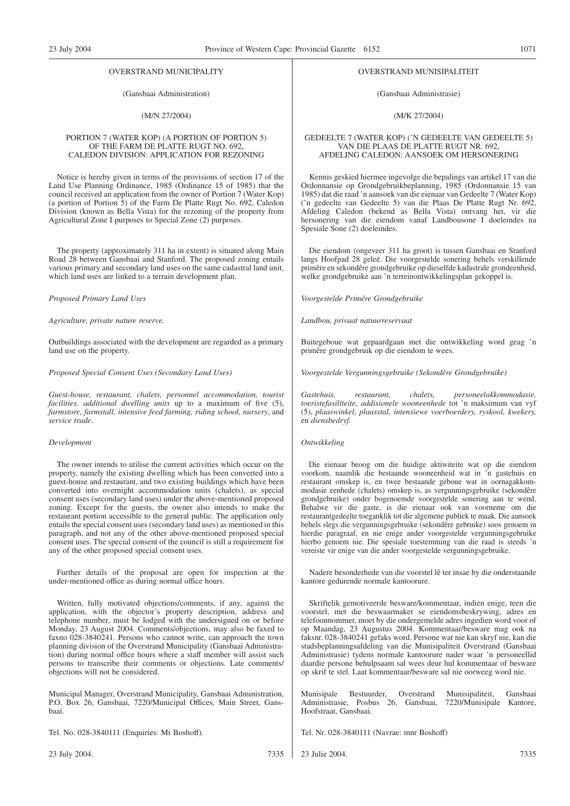#### OVERSTRAND MUNICIPALITY

#### (Gansbaai Administration)

#### (M/N 27/2004)

#### PORTION 7 (WATER KOP) (A PORTION OF PORTION 5) OF THE FARM DE PLATTE RUGT NO. 692, CALEDON DIVISION: APPLICATION FOR REZONING

Notice is hereby given in terms of the provisions of section 17 of the Land Use Planning Ordinance, 1985 (Ordinance 15 of 1985) that the council received an application from the owner of Portion 7 (Water Kop) (a portion of Portion 5) of the Farm De Platte Rugt No. 692, Caledon Division (known as Bella Vista) for the rezoning of the property from Agricultural Zone I purposes to Special Zone (2) purposes.

The property (approximately 311 ha in extent) is situated along Main Road 28 between Gansbaai and Stanford. The proposed zoning entails various primary and secondary land uses on the same cadastral land unit, which land uses are linked to a terrain development plan.

#### *Proposed Primary Land Uses*

*Agriculture, private nature reserve.*

Outbuildings associated with the development are regarded as a primary land use on the property.

#### *Proposed Special Consent Uses (Secondary Land Uses)*

*Guest-house, restaurant, chalets, personnel accommodation, tourist facilities, additional dwelling units* up to a maximum of five (5), *farmstore, farmstall, intensive feed farming, riding school, nursery*, and *service trade*.

#### *Development*

The owner intends to utilise the current activities which occur on the property, namely the existing dwelling which has been converted into a guest-house and restaurant, and two existing buildings which have been converted into overnight accommodation units (chalets), as special consent uses (secondary land uses) under the above-mentioned proposed zoning. Except for the guests, the owner also intends to make the restaurant portion accessible to the general public. The application only entails the special consent uses (secondary land uses) as mentioned in this paragraph, and not any of the other above-mentioned proposed special consent uses. The special consent of the council is still a requirement for any of the other proposed special consent uses.

Further details of the proposal are open for inspection at the under-mentioned office as during normal office hours.

Written, fully motivated objections/comments, if any, against the application, with the objector's property description, address and telephone number, must be lodged with the undersigned on or before Monday, 23 August 2004. Comments/objections, may also be faxed to faxno 028-3840241. Persons who cannot write, can approach the town planning division of the Overstrand Municipality (Gansbaai Administration) during normal office hours where a staff member will assist such persons to transcribe their comments or objections. Late comments/ objections will not be considered.

Municipal Manager, Overstrand Municipality, Gansbaai Administration, P.O. Box 26, Gansbaai, 7220/Municipal Offices, Main Street, Gansbaai.

Tel. No. 028-3840111 (Enquiries: Mr Boshoff).

23 July 2004. 7335

#### OVERSTRAND MUNISIPALITEIT

(Gansbaai Administrasie)

#### (M/K 27/2004)

#### GEDEELTE 7 (WATER KOP) ('N GEDEELTE VAN GEDEELTE 5) VAN DIE PLAAS DE PLATTE RUGT NR. 692, AFDELING CALEDON: AANSOEK OM HERSONERING

Kennis geskied hiermee ingevolge die bepalings van artikel 17 van die Ordonnansie op Grondgebruikbeplanning, 1985 (Ordonnansie 15 van 1985) dat die raad 'n aansoek van die eienaar van Gedeelte 7 (Water Kop) ('n gedeelte van Gedeelte 5) van die Plaas De Platte Rugt Nr. 692, Afdeling Caledon (bekend as Bella Vista) ontvang het, vir die hersonering van die eiendom vanaf Landbousone I doeleindes na Spesiale Sone (2) doeleindes.

Die eiendom (ongeveer 311 ha groot) is tussen Gansbaai en Stanford langs Hoofpad 28 geleë. Die voorgestelde sonering behels verskillende primêre en sekondêre grondgebruike op dieselfde kadastrale grondeenheid, welke grondgebruike aan 'n terreinontwikkelingsplan gekoppel is.

*Voorgestelde Primêre Grondgebruike*

*Landbou, privaat natuurreservaat*

Buitegeboue wat gepaardgaan met die ontwikkeling word geag 'n primêre grondgebruik op die eiendom te wees.

*Voorgestelde Vergunningsgebruike (Sekondêre Grondgebruike)*

*Gastehuis, restaurant, chalets, personeelakkommodasie, toeristefasiliteite, addisionele wooneenhede* tot 'n maksimum van vyf (5), *plaaswinkel, plaasstal, intensiewe voerboerdery, ryskool, kwekery,* en *diensbedryf.*

#### *Ontwikkeling*

Die eienaar beoog om die huidige aktiwiteite wat op die eiendom voorkom, naamlik die bestaande wooneenheid wat in 'n gastehuis en restaurant omskep is, en twee bestaande geboue wat in oornagakkommodasie eenhede (chalets) omskep is, as vergunningsgebruike (sekondêre grondgebruike) onder bogenoemde voorgestelde sonering aan te wend. Behalwe vir die gaste, is die eienaar ook van voorneme om die restaurantgedeelte toeganklik tot die algemene publiek te maak. Die aansoek behels slegs die vergunningsgebruike (sekondêre gebruike) soos genoem in hierdie paragraaf, en nie enige ander voorgestelde vergunningsgebruike hierbo genoem nie. Die spesiale toestemming van die raad is steeds 'n vereiste vir enige van die ander voorgestelde vergunningsgebruike.

Nadere besonderhede van die voorstel lê ter insae by die onderstaande kantore gedurende normale kantoorure.

Skriftelik gemotiveerde besware/kommentaar, indien enige, teen die voorstel, met die beswaarmaker se eiendomsbeskrywing, adres en telefoonnommer, moet by die ondergemelde adres ingedien word voor of op Maandag, 23 Augustus 2004. Kommentaar/besware mag ook na faksnr. 028-3840241 gefaks word. Persone wat nie kan skryf nie, kan die stadsbeplanningsafdeling van die Munisipaliteit Overstrand (Gansbaai Administrasie) tydens normale kantoorure nader waar 'n personeellid daardie persone behulpsaam sal wees deur hul kommentaar of besware op skrif te stel. Laat kommentaar/besware sal nie oorweeg word nie.

Munisipale Bestuurder, Overstrand Munisipaliteit, Gansbaai Administrasie, Posbus 26, Gansbaai, 7220/Munisipale Kantore, Hoofstraat, Gansbaai.

Tel. Nr. 028-3840111 (Navrae: mnr Boshoff)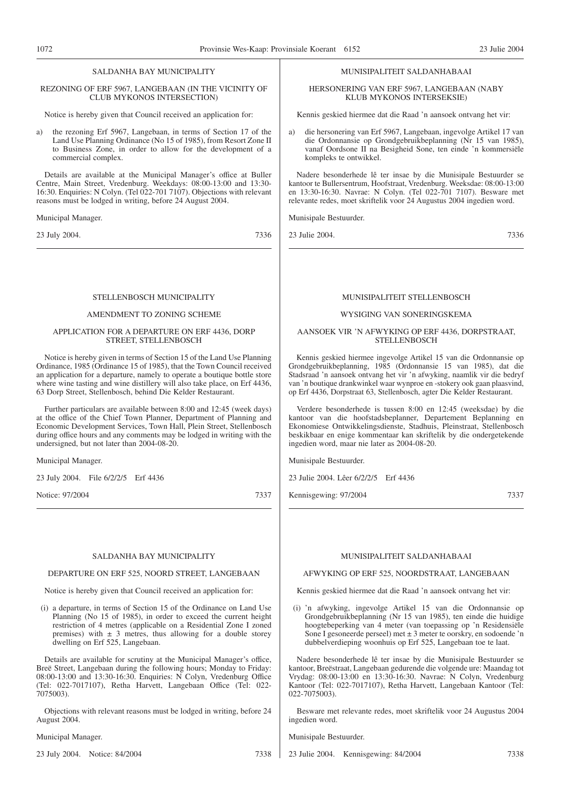#### SALDANHA BAY MUNICIPALITY

#### REZONING OF ERF 5967, LANGEBAAN (IN THE VICINITY OF CLUB MYKONOS INTERSECTION)

Notice is hereby given that Council received an application for:

a) the rezoning Erf 5967, Langebaan, in terms of Section 17 of the Land Use Planning Ordinance (No 15 of 1985), from Resort Zone II to Business Zone, in order to allow for the development of a commercial complex.

Details are available at the Municipal Manager's office at Buller Centre, Main Street, Vredenburg. Weekdays: 08:00-13:00 and 13:30- 16:30. Enquiries: N Colyn. (Tel 022-701 7107). Objections with relevant reasons must be lodged in writing, before 24 August 2004.

#### Municipal Manager.

23 July 2004. 7336

#### STELLENBOSCH MUNICIPALITY

#### AMENDMENT TO ZONING SCHEME

#### APPLICATION FOR A DEPARTURE ON ERF 4436, DORP STREET, STELLENBOSCH

Notice is hereby given in terms of Section 15 of the Land Use Planning Ordinance, 1985 (Ordinance 15 of 1985), that the Town Council received an application for a departure, namely to operate a boutique bottle store where wine tasting and wine distillery will also take place, on Erf 4436, 63 Dorp Street, Stellenbosch, behind Die Kelder Restaurant.

Further particulars are available between 8:00 and 12:45 (week days) at the office of the Chief Town Planner, Department of Planning and Economic Development Services, Town Hall, Plein Street, Stellenbosch during office hours and any comments may be lodged in writing with the undersigned, but not later than 2004-08-20.

Municipal Manager.

23 July 2004. File 6/2/2/5 Erf 4436

Notice: 97/2004 7337

#### SALDANHA BAY MUNICIPALITY

#### DEPARTURE ON ERF 525, NOORD STREET, LANGEBAAN

Notice is hereby given that Council received an application for:

(i) a departure, in terms of Section 15 of the Ordinance on Land Use Planning (No 15 of 1985), in order to exceed the current height restriction of 4 metres (applicable on a Residential Zone I zoned premises) with  $\pm$  3 metres, thus allowing for a double storey dwelling on Erf 525, Langebaan.

Details are available for scrutiny at the Municipal Manager's office, Breë Street, Langebaan during the following hours; Monday to Friday: 08:00-13:00 and 13:30-16:30. Enquiries: N Colyn, Vredenburg Office (Tel: 022-7017107), Retha Harvett, Langebaan Office (Tel: 022- 7075003).

Objections with relevant reasons must be lodged in writing, before 24 August 2004.

Municipal Manager.

23 July 2004. Notice: 84/2004 7338

### MUNISIPALITEIT SALDANHABAAI

HERSONERING VAN ERF 5967, LANGEBAAN (NABY KLUB MYKONOS INTERSEKSIE)

Kennis geskied hiermee dat die Raad 'n aansoek ontvang het vir:

a) die hersonering van Erf 5967, Langebaan, ingevolge Artikel 17 van die Ordonnansie op Grondgebruikbeplanning (Nr 15 van 1985), vanaf Oordsone II na Besigheid Sone, ten einde 'n kommersiële kompleks te ontwikkel.

Nadere besonderhede lê ter insae by die Munisipale Bestuurder se kantoor te Bullersentrum, Hoofstraat, Vredenburg. Weeksdae: 08:00-13:00 en 13:30-16:30. Navrae: N Colyn. (Tel 022-701 7107). Besware met relevante redes, moet skriftelik voor 24 Augustus 2004 ingedien word.

Munisipale Bestuurder.

23 Julie 2004. 7336

### MUNISIPALITEIT STELLENBOSCH

#### WYSIGING VAN SONERINGSKEMA

#### AANSOEK VIR 'N AFWYKING OP ERF 4436, DORPSTRAAT, **STELLENBOSCH**

Kennis geskied hiermee ingevolge Artikel 15 van die Ordonnansie op Grondgebruikbeplanning, 1985 (Ordonnansie 15 van 1985), dat die Stadsraad 'n aansoek ontvang het vir 'n afwyking, naamlik vir die bedryf van 'n boutique drankwinkel waar wynproe en -stokery ook gaan plaasvind, op Erf 4436, Dorpstraat 63, Stellenbosch, agter Die Kelder Restaurant.

Verdere besonderhede is tussen 8:00 en 12:45 (weeksdae) by die kantoor van die hoofstadsbeplanner, Departement Beplanning en Ekonomiese Ontwikkelingsdienste, Stadhuis, Pleinstraat, Stellenbosch beskikbaar en enige kommentaar kan skriftelik by die ondergetekende ingedien word, maar nie later as 2004-08-20.

Munisipale Bestuurder.

23 Julie 2004. Lêer 6/2/2/5 Erf 4436

Kennisgewing: 97/2004 7337

#### MUNISIPALITEIT SALDANHABAAI

#### AFWYKING OP ERF 525, NOORDSTRAAT, LANGEBAAN

Kennis geskied hiermee dat die Raad 'n aansoek ontvang het vir:

(i) 'n afwyking, ingevolge Artikel 15 van die Ordonnansie op Grondgebruikbeplanning (Nr 15 van 1985), ten einde die huidige hoogtebeperking van 4 meter (van toepassing op 'n Residensiële Sone I gesoneerde perseel) met  $\pm 3$  meter te oorskry, en sodoende 'n dubbelverdieping woonhuis op Erf 525, Langebaan toe te laat.

Nadere besonderhede lê ter insae by die Munisipale Bestuurder se kantoor, Breëstraat, Langebaan gedurende die volgende ure: Maandag tot Vrydag: 08:00-13:00 en 13:30-16:30. Navrae: N Colyn, Vredenburg Kantoor (Tel: 022-7017107), Retha Harvett, Langebaan Kantoor (Tel: 022-7075003).

Besware met relevante redes, moet skriftelik voor 24 Augustus 2004 ingedien word.

Munisipale Bestuurder.

23 Julie 2004. Kennisgewing: 84/2004 7338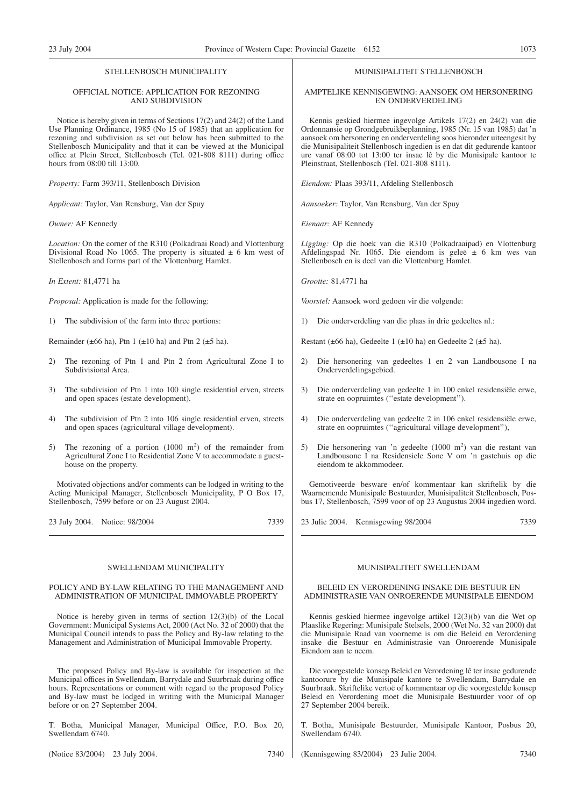#### STELLENBOSCH MUNICIPALITY

#### OFFICIAL NOTICE: APPLICATION FOR REZONING AND SUBDIVISION

Notice is hereby given in terms of Sections 17(2) and 24(2) of the Land Use Planning Ordinance, 1985 (No 15 of 1985) that an application for rezoning and subdivision as set out below has been submitted to the Stellenbosch Municipality and that it can be viewed at the Municipal office at Plein Street, Stellenbosch (Tel. 021-808 8111) during office hours from 08:00 till 13:00.

*Property:* Farm 393/11, Stellenbosch Division

*Applicant:* Taylor, Van Rensburg, Van der Spuy

*Owner:* AF Kennedy

*Location:* On the corner of the R310 (Polkadraai Road) and Vlottenburg Divisional Road No 1065. The property is situated  $\pm$  6 km west of Stellenbosch and forms part of the Vlottenburg Hamlet.

*In Extent:* 81,4771 ha

*Proposal:* Application is made for the following:

1) The subdivision of the farm into three portions:

Remainder ( $\pm 66$  ha), Ptn 1 ( $\pm 10$  ha) and Ptn 2 ( $\pm 5$  ha).

- 2) The rezoning of Ptn 1 and Ptn 2 from Agricultural Zone I to Subdivisional Area.
- 3) The subdivision of Ptn 1 into 100 single residential erven, streets and open spaces (estate development).
- 4) The subdivision of Ptn 2 into 106 single residential erven, streets and open spaces (agricultural village development).
- 5) The rezoning of a portion  $(1000 \text{ m}^2)$  of the remainder from Agricultural Zone I to Residential Zone V to accommodate a guesthouse on the property.

Motivated objections and/or comments can be lodged in writing to the Acting Municipal Manager, Stellenbosch Municipality, P O Box 17, Stellenbosch, 7599 before or on 23 August 2004.

23 July 2004. Notice: 98/2004 7339

SWELLENDAM MUNICIPALITY

#### POLICY AND BY-LAW RELATING TO THE MANAGEMENT AND ADMINISTRATION OF MUNICIPAL IMMOVABLE PROPERTY

Notice is hereby given in terms of section 12(3)(b) of the Local Government: Municipal Systems Act, 2000 (Act No. 32 of 2000) that the Municipal Council intends to pass the Policy and By-law relating to the Management and Administration of Municipal Immovable Property.

The proposed Policy and By-law is available for inspection at the Municipal offices in Swellendam, Barrydale and Suurbraak during office hours. Representations or comment with regard to the proposed Policy and By-law must be lodged in writing with the Municipal Manager before or on 27 September 2004.

T. Botha, Municipal Manager, Municipal Office, P.O. Box 20, Swellendam 6740.

(Notice 83/2004) 23 July 2004. 7340

MUNISIPALITEIT STELLENBOSCH

#### AMPTELIKE KENNlSGEWING: AANSOEK OM HERSONERING EN ONDERVERDELING

Kennis geskied hiermee ingevolge Artikels 17(2) en 24(2) van die Ordonnansie op Grondgebruikbeplanning, 1985 (Nr. 15 van 1985) dat 'n aansoek om hersonering en onderverdeling soos hieronder uiteengesit by die Munisipaliteit Stellenbosch ingedien is en dat dit gedurende kantoor ure vanaf 08:00 tot 13:00 ter insae lê by die Munisipale kantoor te Pleinstraat, Stellenbosch (Tel. 021-808 8111).

*Eiendom:* Plaas 393/11, Afdeling Stellenbosch

*Aansoeker:* Taylor, Van Rensburg, Van der Spuy

*Eienaar:* AF Kennedy

*Ligging:* Op die hoek van die R310 (Polkadraaipad) en Vlottenburg Afdelingspad Nr. 1065. Die eiendom is geleë  $\pm$  6 km wes van Stellenbosch en is deel van die Vlottenburg Hamlet.

*Grootte:* 81,4771 ha

*Voorstel:* Aansoek word gedoen vir die volgende:

1) Die onderverdeling van die plaas in drie gedeeltes nl.:

Restant (±66 ha), Gedeelte 1 (±10 ha) en Gedeelte 2 (±5 ha).

- 2) Die hersonering van gedeeltes 1 en 2 van Landbousone I na Onderverdelingsgebied.
- 3) Die onderverdeling van gedeelte 1 in 100 enkel residensiële erwe, strate en oopruimtes (''estate development'').
- 4) Die onderverdeling van gedeelte 2 in 106 enkel residensiële erwe, strate en oopruimtes (''agricultural village development''),
- 5) Die hersonering van 'n gedeelte (1000 m<sup>2</sup>) van die restant van Landbousone I na Residensiele Sone V om 'n gastehuis op die eiendom te akkommodeer.

Gemotiveerde besware en/of kommentaar kan skriftelik by die Waarnemende Munisipale Bestuurder, Munisipaliteit Stellenbosch, Posbus 17, Stellenbosch, 7599 voor of op 23 Augustus 2004 ingedien word.

23 Julie 2004. Kennisgewing 98/2004 7339

#### MUNISIPALITEIT SWELLENDAM

#### BELEID EN VERORDENING INSAKE DIE BESTUUR EN ADMINISTRASIE VAN ONROERENDE MUNISIPALE EIENDOM

Kennis geskied hiermee ingevolge artikel 12(3)(b) van die Wet op Plaaslike Regering: Munisipale Stelsels, 2000 (Wet No. 32 van 2000) dat die Munisipale Raad van voorneme is om die Beleid en Verordening insake die Bestuur en Administrasie van Onroerende Munisipale Eiendom aan te neem.

Die voorgestelde konsep Beleid en Verordening lê ter insae gedurende kantoorure by die Munisipale kantore te Swellendam, Barrydale en Suurbraak. Skriftelike vertoë of kommentaar op die voorgestelde konsep Beleid en Verordening moet die Munisipale Bestuurder voor of op 27 September 2004 bereik.

T. Botha, Munisipale Bestuurder, Munisipale Kantoor, Posbus 20, Swellendam 6740.

(Kennisgewing 83/2004) 23 Julie 2004. 7340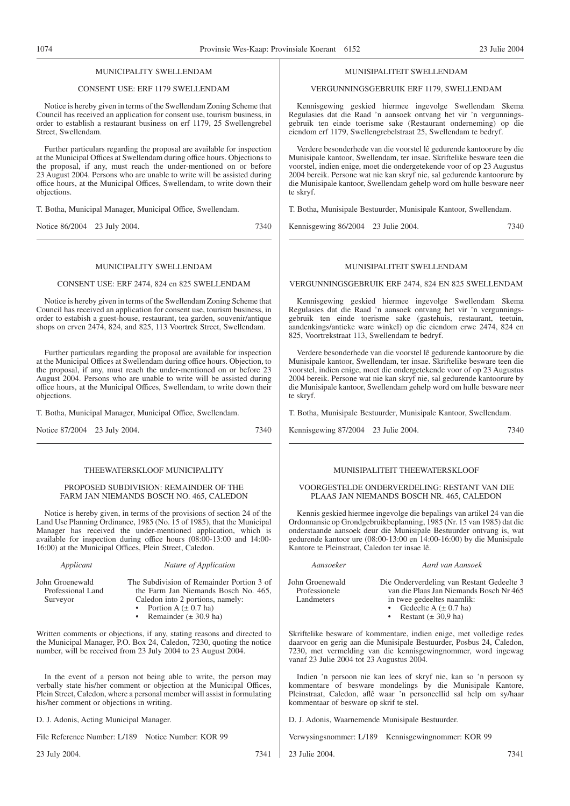#### MUNICIPALITY SWELLENDAM

#### CONSENT USE: ERF 1179 SWELLENDAM

Notice is hereby given in terms of the Swellendam Zoning Scheme that Council has received an application for consent use, tourism business, in order to establish a restaurant business on erf 1179, 25 Swellengrebel Street, Swellendam.

Further particulars regarding the proposal are available for inspection at the Municipal Offices at Swellendam during office hours. Objections to the proposal, if any, must reach the under-mentioned on or before 23 August 2004. Persons who are unable to write will be assisted during office hours, at the Municipal Offices, Swellendam, to write down their objections.

T. Botha, Municipal Manager, Municipal Office, Swellendam.

Notice 86/2004 23 July 2004. 7340

#### MUNICIPALITY SWELLENDAM

#### CONSENT USE: ERF 2474, 824 en 825 SWELLENDAM

Notice is hereby given in terms of the Swellendam Zoning Scheme that Council has received an application for consent use, tourism business, in order to estabish a guest-house, restaurant, tea garden, souvenir/antique shops on erven 2474, 824, and 825, 113 Voortrek Street, Swellendam.

Further particulars regarding the proposal are available for inspection at the Municipal Offices at Swellendam during office hours. Objection, to the proposal, if any, must reach the under-mentioned on or before 23 August 2004. Persons who are unable to write will be assisted during office hours, at the Municipal Offices, Swellendam, to write down their objections.

T. Botha, Municipal Manager, Municipal Office, Swellendam.

Notice 87/2004 23 July 2004. 7340

#### THEEWATERSKLOOF MUNICIPALITY

PROPOSED SUBDIVISION: REMAINDER OF THE FARM JAN NIEMANDS BOSCH NO. 465, CALEDON

Notice is hereby given, in terms of the provisions of section 24 of the Land Use Planning Ordinance, 1985 (No. 15 of 1985), that the Municipal Manager has received the under-mentioned application, which is available for inspection during office hours (08:00-13:00 and 14:00- 16:00) at the Municipal Offices, Plein Street, Caledon.

| John Groenewald   |  |
|-------------------|--|
| Professional Land |  |
| $\sim$ $\sim$     |  |

*Applicant Nature of Application* The Subdivision of Remainder Portion 3 of

the Farm Jan Niemands Bosch No. 465, Caledon into 2 portions, namely:

Surveyor

- Portion A  $(\pm 0.7 \text{ ha})$
- Remainder  $(\pm 30.9 \text{ ha})$

Written comments or objections, if any, stating reasons and directed to the Municipal Manager, P.O. Box 24, Caledon, 7230, quoting the notice number, will be received from 23 July 2004 to 23 August 2004.

In the event of a person not being able to write, the person may verbally state his/her comment or objection at the Municipal Offices, Plein Street, Caledon, where a personal member will assist in formulating his/her comment or objections in writing.

D. J. Adonis, Acting Municipal Manager.

File Reference Number: L/189 Notice Number: KOR 99

23 July 2004. 7341

#### MUNISIPALITEIT SWELLENDAM

#### VERGUNNINGSGEBRUIK ERF 1179, SWELLENDAM

Kennisgewing geskied hiermee ingevolge Swellendam Skema Regulasies dat die Raad 'n aansoek ontvang het vir 'n vergunningsgebruik ten einde toerisme sake (Restaurant onderneming) op die eiendom erf 1179, Swellengrebelstraat 25, Swellendam te bedryf.

Verdere besonderhede van die voorstel lê gedurende kantoorure by die Munisipale kantoor, Swellendam, ter insae. Skriftelike besware teen die voorstel, indien enige, moet die ondergetekende voor of op 23 Augustus 2004 bereik. Persone wat nie kan skryf nie, sal gedurende kantoorure by die Munisipale kantoor, Swellendam gehelp word om hulle besware neer te skryf.

T. Botha, Munisipale Bestuurder, Munisipale Kantoor, Swellendam.

Kennisgewing 86/2004 23 Julie 2004. 7340

#### MUNISIPALITEIT SWELLENDAM

VERGUNNINGSGEBRUIK ERF 2474, 824 EN 825 SWELLENDAM

Kennisgewing geskied hiermee ingevolge Swellendam Skema Regulasies dat die Raad 'n aansoek ontvang het vir 'n vergunningsgebruik ten einde toerisme sake (gastehuis, restaurant, teetuin, aandenkings/antieke ware winkel) op die eiendom erwe 2474, 824 en 825, Voortrekstraat 113, Swellendam te bedryf.

Verdere besonderhede van die voorstel lê gedurende kantoorure by die Munisipale kantoor, Swellendam, ter insae. Skriftelike besware teen die voorstel, indien enige, moet die ondergetekende voor of op 23 Augustus 2004 bereik. Persone wat nie kan skryf nie, sal gedurende kantoorure by die Munisipale kantoor, Swellendam gehelp word om hulle besware neer te skryf.

T. Botha, Munisipale Bestuurder, Munisipale Kantoor, Swellendam.

Kennisgewing 87/2004 23 Julie 2004. 7340

#### MUNISIPALITEIT THEEWATERSKLOOF

#### VOORGESTELDE ONDERVERDELING: RESTANT VAN DIE PLAAS JAN NIEMANDS BOSCH NR. 465, CALEDON

Kennis geskied hiermee ingevolge die bepalings van artikel 24 van die Ordonnansie op Grondgebruikbeplanning, 1985 (Nr. 15 van 1985) dat die onderstaande aansoek deur die Munisipale Bestuurder ontvang is, wat gedurende kantoor ure (08:00-13:00 en 14:00-16:00) by die Munisipale Kantore te Pleinstraat, Caledon ter insae lê.

*Aansoeker Aard van Aansoek* John Groenewald Professionele Die Onderverdeling van Restant Gedeelte 3 van die Plaas Jan Niemands Bosch Nr 465

in twee gedeeltes naamlik:

- Gedeelte A  $(\pm 0.7 \text{ ha})$
- Restant  $(\pm 30.9 \text{ ha})$

Skriftelike besware of kommentare, indien enige, met volledige redes daarvoor en gerig aan die Munisipale Bestuurder, Posbus 24, Caledon, 7230, met vermelding van die kennisgewingnommer, word ingewag vanaf 23 Julie 2004 tot 23 Augustus 2004.

Indien 'n persoon nie kan lees of skryf nie, kan so 'n persoon sy kommentare of besware mondelings by die Munisipale Kantore, Pleinstraat, Caledon, aflê waar 'n personeellid sal help om sy/haar kommentaar of besware op skrif te stel.

D. J. Adonis, Waarnemende Munisipale Bestuurder.

Verwysingsnommer: L/189 Kennisgewingnommer: KOR 99

23 Julie 2004. 7341

Landmeters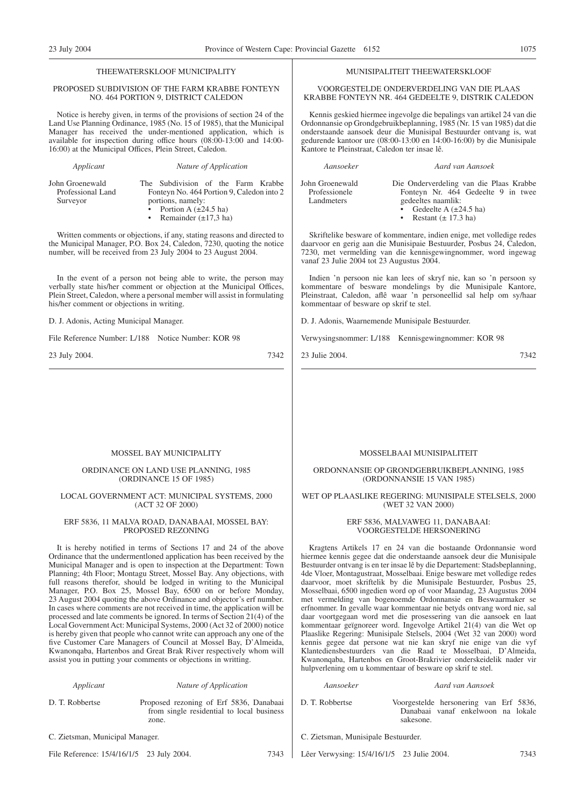#### THEEWATERSKLOOF MUNICIPALITY

#### PROPOSED SUBDIVISION OF THE FARM KRABBE FONTEYN NO. 464 PORTION 9, DISTRICT CALEDON

Notice is hereby given, in terms of the provisions of section 24 of the Land Use Planning Ordinance, 1985 (No. 15 of 1985), that the Municipal Manager has received the under-mentioned application, which is available for inspection during office hours (08:00-13:00 and 14:00- 16:00) at the Municipal Offices, Plein Street, Caledon.

*Applicant Nature of Application*

John Groenewald Professional Land Surveyor

The Subdivision of the Farm Krabbe Fonteyn No. 464 Portion 9, Caledon into 2 portions, namely: Portion A  $(\pm 24.5 \text{ ha})$ Remainder  $(\pm 17,3 \text{ ha})$ 

Written comments or objections, if any, stating reasons and directed to the Municipal Manager, P.O. Box 24, Caledon, 7230, quoting the notice number, will be received from 23 July 2004 to 23 August 2004.

In the event of a person not being able to write, the person may verbally state his/her comment or objection at the Municipal Offices, Plein Street, Caledon, where a personal member will assist in formulating his/her comment or objections in writing.

D. J. Adonis, Acting Municipal Manager.

File Reference Number: L/188 Notice Number: KOR 98

23 July 2004. 7342

#### MUNISIPALITEIT THEEWATERSKLOOF

VOORGESTELDE ONDERVERDELING VAN DIE PLAAS KRABBE FONTEYN NR. 464 GEDEELTE 9, DISTRIK CALEDON

Kennis geskied hiermee ingevolge die bepalings van artikel 24 van die Ordonnansie op Grondgebruikbeplanning, 1985 (Nr. 15 van 1985) dat die onderstaande aansoek deur die Munisipal Bestuurder ontvang is, wat gedurende kantoor ure (08:00-13:00 en 14:00-16:00) by die Munisipale Kantore te Pleinstraat, Caledon ter insae lê.

| John Groenewald | Die Onderverdeling van die Plaas Krabbe |
|-----------------|-----------------------------------------|
| Professionele   | Fonteyn Nr. 464 Gedeelte 9 in twee      |
| Landmeters      | gedeeltes naamlik:                      |
|                 | • Gedeelte A $(\pm 24.5 \text{ ha})$    |
|                 | Restant $(\pm 17.3 \text{ ha})$         |

*Aansoeker Aard van Aansoek*

Skriftelike besware of kommentare, indien enige, met volledige redes daarvoor en gerig aan die Munisipaie Bestuurder, Posbus 24, Caledon, 7230, met vermelding van die kennisgewingnommer, word ingewag vanaf 23 Julie 2004 tot 23 Augustus 2004.

Indien 'n persoon nie kan lees of skryf nie, kan so 'n persoon sy kommentare of besware mondelings by die Munisipale Kantore, Pleinstraat, Caledon, aflê waar 'n personeellid sal help om sy/haar kommentaar of besware op skrif te stel.

D. J. Adonis, Waarnemende Munisipale Bestuurder.

Verwysingsnommer: L/188 Kennisgewingnommer: KOR 98

23 Julie 2004. 7342

#### MOSSEL BAY MUNICIPALITY

#### ORDINANCE ON LAND USE PLANNING, 1985 (ORDINANCE 15 OF 1985)

#### LOCAL GOVERNMENT ACT: MUNICIPAL SYSTEMS, 2000 (ACT 32 OF 2000)

#### ERF 5836, 11 MALVA ROAD, DANABAAI, MOSSEL BAY: PROPOSED REZONING

It is hereby notified in terms of Sections 17 and 24 of the above Ordinance that the undermentloned application has been received by the Municipal Manager and is open to inspection at the Department: Town Planning; 4th Floor; Montagu Street, Mossel Bay. Any objections, with full reasons therefor, should be lodged in writing to the Municipal Manager, P.O. Box 25, Mossel Bay, 6500 on or before Monday, 23 August 2004 quoting the above Ordinance and objector's erf number. In cases where comments are not received in time, the application will be processed and late comments be ignored. In terms of Section 21(4) of the Local Government Act: Municipal Systems, 2000 (Act 32 of 2000) notice is hereby given that people who cannot write can approach any one of the five Customer Care Managers of Council at Mossel Bay, D'Almeida, Kwanonqaba, Hartenbos and Great Brak River respectively whom will assist you in putting your comments or objections in writting.

#### *Applicant Nature of Application*

D. T. Robbertse Proposed rezoning of Erf 5836, Danabaai from single residential to local business zone.

C. Zietsman, Municipal Manager.

File Reference: 15/4/16/1/5 23 July 2004. 7343

#### MOSSELBAAI MUNISIPALITEIT

#### ORDONNANSIE OP GRONDGEBRUIKBEPLANNING, 1985 (ORDONNANSIE 15 VAN 1985)

#### WET OP PLAASLIKE REGERING: MUNISIPALE STELSELS, 2000 (WET 32 VAN 2000)

#### ERF 5836, MALVAWEG 11, DANABAAI: VOORGESTELDE HERSONERING

Kragtens Artikels 17 en 24 van die bostaande Ordonnansie word hiermee kennis gegee dat die onderstaande aansoek deur die Munisipale Bestuurder ontvang is en ter insae lê by die Departement: Stadsbeplanning, 4de Vloer, Montagustraat, Mosselbaai. Enige besware met volledige redes daarvoor, moet skriftelik by die Munisipale Bestuurder, Posbus 25, Mosselbaai, 6500 ingedien word op of voor Maandag, 23 Augustus 2004 met vermelding van bogenoemde Ordonnansie en Beswaarmaker se erfnommer. In gevalle waar kommentaar nie betyds ontvang word nie, sal daar voortgegaan word met die prosessering van die aansoek en laat kommentaar geïgnoreer word. Ingevolge Artikel 21(4) van die Wet op Plaaslike Regering: Munisipale Stelsels, 2004 (Wet 32 van 2000) word kennis gegee dat persone wat nie kan skryf nie enige van die vyf Klantediensbestuurders van die Raad te Mosselbaai, D'Almeida, Kwanonqaba, Hartenbos en Groot-Brakrivier onderskeidelik nader vir hulpverlening om u kommentaar of besware op skrif te stel.

#### *Aansoeker Aard van Aansoek*

D. T. Robbertse Voorgestelde hersonering van Erf 5836, Danabaai vanaf enkelwoon na lokale sakesone.

- C. Zietsman, Munisipale Bestuurder.
- Lêer Verwysing: 15/4/16/1/5 23 Julie 2004. 7343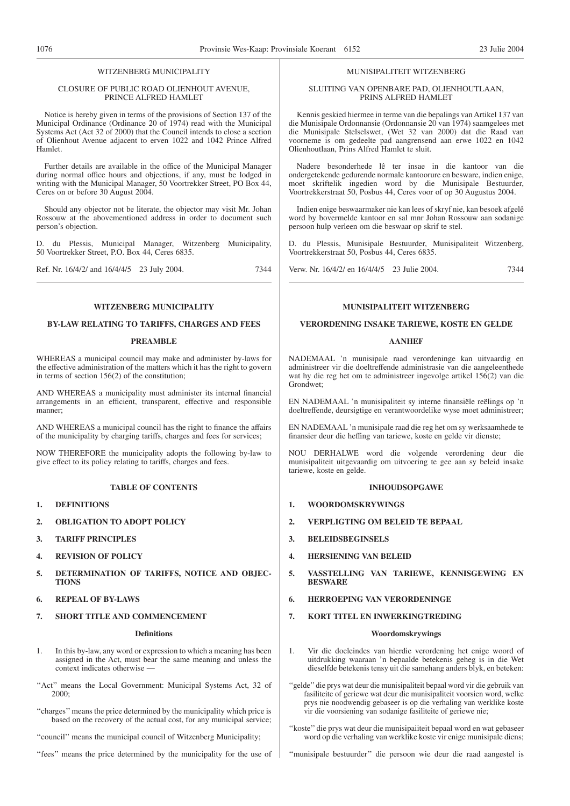#### WITZENBERG MUNICIPALITY

#### CLOSURE OF PUBLIC ROAD OLIENHOUT AVENUE, PRINCE ALFRED HAMLET

Notice is hereby given in terms of the provisions of Section 137 of the Municipal Ordinance (Ordinance 20 of 1974) read with the Municipal Systems Act (Act 32 of 2000) that the Council intends to close a section of Olienhout Avenue adjacent to erven 1022 and 1042 Prince Alfred Hamlet.

Further details are available in the office of the Municipal Manager during normal office hours and objections, if any, must be lodged in writing with the Municipal Manager, 50 Voortrekker Street, PO Box 44, Ceres on or before 30 August 2004.

Should any objector not be literate, the objector may visit Mr. Johan Rossouw at the abovementioned address in order to document such person's objection.

D. du Plessis, Municipal Manager, Witzenberg Municipality, 50 Voortrekker Street, P.O. Box 44, Ceres 6835.

Ref. Nr. 16/4/2/ and 16/4/4/5 23 July 2004. 7344

#### **WITZENBERG MUNICIPALITY**

#### **BY-LAW RELATING TO TARIFFS, CHARGES AND FEES**

#### **PREAMBLE**

WHEREAS a municipal council may make and administer by-laws for the effective administration of the matters which it has the right to govern in terms of section 156(2) of the constitution;

AND WHEREAS a municipality must administer its internal financial arrangements in an efficient, transparent, effective and responsible manner;

AND WHEREAS a municipal council has the right to finance the affairs of the municipality by charging tariffs, charges and fees for services;

NOW THEREFORE the municipality adopts the following by-law to give effect to its policy relating to tariffs, charges and fees.

#### **TABLE OF CONTENTS**

- **1. DEFINITIONS**
- **2. OBLIGATION TO ADOPT POLICY**
- **3. TARIFF PRINCIPLES**
- **4. REVISION OF POLICY**
- **5. DETERMINATION OF TARIFFS, NOTICE AND OBJEC-TIONS**
- **6. REPEAL OF BY-LAWS**
- **7. SHORT TITLE AND COMMENCEMENT**

#### **Definitions**

- 1. In this by-law, any word or expression to which a meaning has been assigned in the Act, must bear the same meaning and unless the context indicates otherwise —
- "Act" means the Local Government: Municipal Systems Act, 32 of 2000;
- ''charges'' means the price determined by the municipality which price is based on the recovery of the actual cost, for any municipal service;

''council'' means the municipal council of Witzenberg Municipality;

''fees'' means the price determined by the municipality for the use of

#### MUNISIPALITEIT WITZENBERG

#### SLUITING VAN OPENBARE PAD, OLIENHOUTLAAN, PRINS ALFRED HAMLET

Kennis geskied hiermee in terme van die bepalings van Artikel 137 van die Munisipale Ordonnansie (Ordonnansie 20 van 1974) saamgelees met die Munisipale Stelselswet, (Wet 32 van 2000) dat die Raad van voorneme is om gedeelte pad aangrensend aan erwe 1022 en 1042 Olienhoutlaan, Prins Alfred Hamlet te sluit.

Nadere besonderhede lê ter insae in die kantoor van die ondergetekende gedurende normale kantoorure en besware, indien enige, moet skriftelik ingedien word by die Munisipale Bestuurder, Voortrekkerstraat 50, Posbus 44, Ceres voor of op 30 Augustus 2004.

Indien enige beswaarmaker nie kan lees of skryf nie, kan besoek afgelê word by bovermelde kantoor en sal mnr Johan Rossouw aan sodanige persoon hulp verleen om die beswaar op skrif te stel.

D. du Plessis, Munisipale Bestuurder, Munisipaliteit Witzenberg, Voortrekkerstraat 50, Posbus 44, Ceres 6835.

Verw. Nr. 16/4/2/ en 16/4/4/5 23 Julie 2004. 7344

#### **MUNISIPALITEIT WITZENBERG**

#### **VERORDENING INSAKE TARIEWE, KOSTE EN GELDE**

#### **AANHEF**

NADEMAAL 'n munisipale raad verordeninge kan uitvaardig en administreer vir die doeltreffende administrasie van die aangeleenthede wat hy die reg het om te administreer ingevolge artikel 156(2) van die Grondwet;

EN NADEMAAL 'n munisipaliteit sy interne finansiële reëlings op 'n doeltreffende, deursigtige en verantwoordelike wyse moet administreer;

EN NADEMAAL 'n munisipale raad die reg het om sy werksaamhede te finansier deur die heffing van tariewe, koste en gelde vir dienste;

NOU DERHALWE word die volgende verordening deur die munisipaliteit uitgevaardig om uitvoering te gee aan sy beleid insake tariewe, koste en gelde.

#### **INHOUDSOPGAWE**

- **1. WOORDOMSKRYWINGS**
- **2. VERPLIGTING OM BELEID TE BEPAAL**
- **3. BELEIDSBEGINSELS**
- **4. HERSIENING VAN BELEID**
- **5. VASSTELLING VAN TARIEWE, KENNISGEWING EN BESWARE**
- **6. HERROEPING VAN VERORDENINGE**
- **7. KORT TITEL EN INWERKINGTREDING**

#### **Woordomskrywings**

- 1. Vir die doeleindes van hierdie verordening het enige woord of uitdrukking waaraan 'n bepaalde betekenis geheg is in die Wet dieselfde betekenis tensy uit die samehang anders blyk, en beteken:
- ''gelde''die prys wat deur die munisipaliteit bepaal word vir die gebruik van fasiliteite of geriewe wat deur die munisipaliteit voorsien word, welke prys nie noodwendig gebaseer is op die verhaling van werklike koste vir die voorsiening van sodanige fasiliteite of geriewe nie;

''koste'' die prys wat deur die munisipaiiteit bepaal word en wat gebaseer word op die verhaling van werklike koste vir enige munisipale diens;

''munisipale bestuurder'' die persoon wie deur die raad aangestel is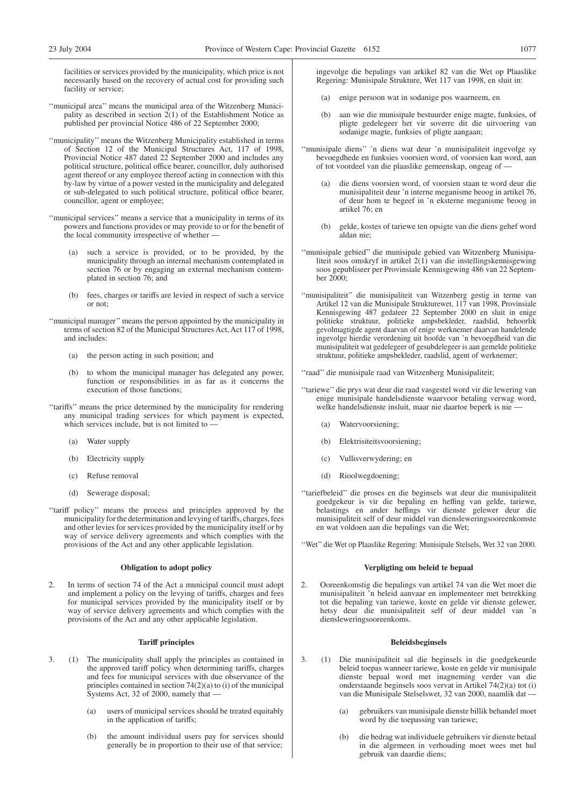facilities or services provided by the municipality, which price is not necessarily based on the recovery of actual cost for providing such facility or service;

- ''municipal area'' means the municipal area of the Witzenberg Municipality as described in section  $2(1)$  of the Establishment Notice as published per provincial Notice 486 of 22 September 2000;
- ''municipality'' means the Witzenberg Municipality established in terms of Section 12 of the Municipal Structures Act, 117 of 1998, Provincial Notice 487 dated 22 September 2000 and includes any political structure, political office bearer, councillor, duly authorised agent thereof or any employee thereof acting in connection with this by-law by virtue of a power vested in the municipality and delegated or sub-delegated to such political structure, political office bearer, councillor, agent or employee;
- ''municipal services'' means a service that a municipality in terms of its powers and functions provides or may provide to or for the benefit of the local community irrespective of whether -
	- (a) such a service is provided, or to be provided, by the municipality through an internal mechanism contemplated in section 76 or by engaging an external mechanism contemplated in section 76; and
	- (b) fees, charges or tariffs are levied in respect of such a service or not;
- ''municipal manager'' means the person appointed by the municipality in terms of section 82 of the Municipal Structures Act, Act 117 of 1998, and includes:
	- (a) the person acting in such position; and
	- (b) to whom the municipal manager has delegated any power, function or responsibilities in as far as it concerns the execution of those functions;
- ''tariffs'' means the price determined by the municipality for rendering any municipal trading services for which payment is expected, which services include, but is not limited to
	- (a) Water supply
	- (b) Electricity supply
	- (c) Refuse removal
	- (d) Sewerage disposal;
- ''tariff policy'' means the process and principles approved by the municipality for the determination and levying of tariffs, charges, fees and other levies for services provided by the municipality itself or by way of service delivery agreements and which complies with the provisions of the Act and any other applicable legislation.

#### **Obligation to adopt policy**

2. In terms of section 74 of the Act a municipal council must adopt and implement a policy on the levying of tariffs, charges and fees for municipal services provided by the municipality itself or by way of service delivery agreements and which complies with the provisions of the Act and any other applicable legislation.

#### **Tariff principles**

- 3. (1) The municipality shall apply the principles as contained in the approved tariff policy when determining tariffs, charges and fees for municipal services with due observance of the principles contained in section  $74(2)(a)$  to (i) of the municipal Systems Act, 32 of 2000, namely that —
	- (a) users of municipal services should be treated equitably in the application of tariffs;
	- (b) the amount individual users pay for services should generally be in proportion to their use of that service;

ingevolge die bepalings van arkikel 82 van die Wet op Plaaslike Regering: Munisipale Strukture, Wet 117 van 1998, en sluit in:

- (a) enige persoon wat in sodanige pos waarneem, en
- (b) aan wie die munisipale bestuurder enige magte, funksies, of pligte gedelegeer het vir soverre dit die uitvoering van sodanige magte, funksies of pligte aangaan;
- ''munisipale diens'' 'n diens wat deur 'n munisipaliteit ingevolge sy bevoegdhede en funksies voorsien word, of voorsien kan word, aan of tot voordeel van die plaaslike gemeenskap, ongeag of —
	- (a) die diens voorsien word, of voorsien staan te word deur die munisipaliteit deur 'n interne meganisme beoog in artikel 76, of deur hom te begeef in 'n eksterne meganisme beoog in artikel 76; en
	- (b) gelde, kostes of tariewe ten opsigte van die diens gehef word aldan nie;
- ''munisipale gebied'' die munisipale gebied van Witzenberg Munisipaliteit soos omskryf in artikel 2(1) van die instellingskennisgewing soos gepubliseer per Provinsiale Kennisgewing 486 van 22 September 2000;
- ''munisipaliteit'' die munisipaliteit van Witzenberg gestig in terme van Artikel 12 van die Munisipale Strukturewet, 117 van 1998, Provinsiale Kennisgewing 487 gedateer 22 September 2000 en sluit in enige politieke struktuur, politieke ampsbekleder, raadslid, behoorlik gevolmagtigde agent daarvan of enige werknemer daarvan handelende ingevolge hierdie verordening uit hoofde van 'n bevoegdheid van die munisipaliteit wat gedelegeer of gesubdelegeer is aan gemelde politieke struktuur, politieke ampsbekleder, raadslid, agent of werknemer;

''raad'' die munisipale raad van Witzenberg Munisipaliteit;

- ''tariewe'' die prys wat deur die raad vasgestel word vir die lewering van enige munisipale handelsdienste waarvoor betaling verwag word, welke handelsdienste insluit, maar nie daartoe beperk is nie —
	- (a) Watervoorsiening;
	- (b) Elektrisiteitsvoorsiening;
	- (c) Vullisverwydering; en
	- (d) Rioolwegdoening;
- ''tariefbeleid'' die proses en die beginsels wat deur die munisipaliteit goedgekeur is vir die bepaling en heffing van gelde, tariewe, belastings en ander heffings vir dienste gelewer deur die munisipaliteit self of deur middel van diensleweringsooreenkomste en wat voldoen aan die bepalings van die Wet;

''Wet'' die Wet op Plaaslike Regering: Munisipale Stelsels, Wet 32 van 2000.

#### **Verpligting om beleid te bepaal**

2. Ooreenkomstig die bepalings van artikel 74 van die Wet moet die munisipaliteit 'n beleid aanvaar en implementeer met betrekking tot die bepaling van tariewe, koste en gelde vir dienste gelewer, hetsy deur die munisipaliteit self of deur middel van 'n diensleweringsooreenkoms.

#### **Beleidsbeginsels**

- 3. (1) Die munisipaliteit sal die beginsels in die goedgekeurde beleid toepas wanneer tariewe, koste en gelde vir munisipale dienste bepaal word met inagneming verder van die onderstaande beginsels soos vervat in Artikel 74(2)(a) tot (i) van die Munisipale Stelselswet, 32 van 2000, naamlik dat —
	- (a) gebruikers van munisipale dienste billik behandel moet word by die toepassing van tariewe;
	- (b) die bedrag wat individuele gebruikers vir dienste betaal in die algemeen in verhouding moet wees met hul gebruik van daardie diens;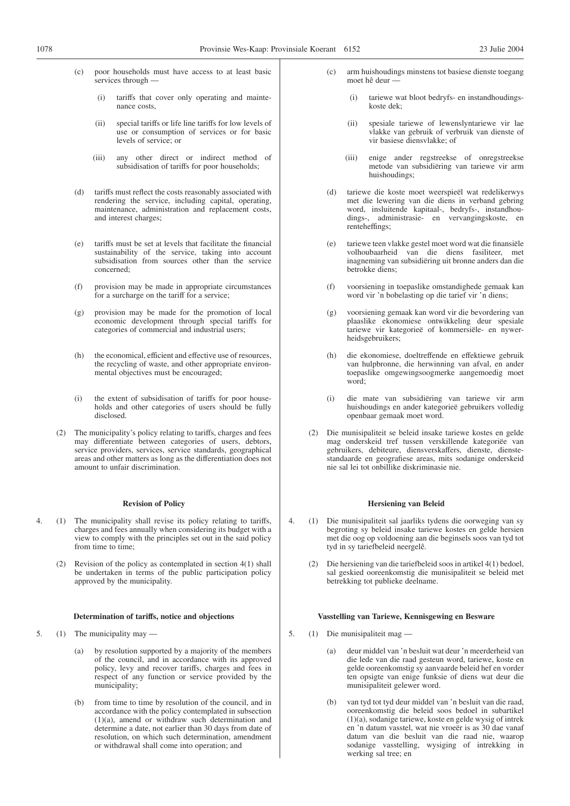- poor households must have access to at least basic services through —
	- (i) tariffs that cover only operating and maintenance costs,
	- (ii) special tariffs or life line tariffs for low levels of use or consumption of services or for basic levels of service; or
	- (iii) any other direct or indirect method of subsidisation of tariffs for poor households;
- (d) tariffs must reflect the costs reasonably associated with rendering the service, including capital, operating, maintenance, administration and replacement costs, and interest charges;
- (e) tariffs must be set at levels that facilitate the financial sustainability of the service, taking into account subsidisation from sources other than the service concerned;
- (f) provision may be made in appropriate circumstances for a surcharge on the tariff for a service;
- (g) provision may be made for the promotion of local economic development through special tariffs for categories of commercial and industrial users;
- (h) the economical, efficient and effective use of resources, the recycling of waste, and other appropriate environmental objectives must be encouraged;
- (i) the extent of subsidisation of tariffs for poor households and other categories of users should be fully disclosed.
- (2) The municipality's policy relating to tariffs, charges and fees may differentiate between categories of users, debtors, service providers, services, service standards, geographical areas and other matters as long as the differentiation does not amount to unfair discrimination.

#### **Revision of Policy**

- 4. (1) The municipality shall revise its policy relating to tariffs, charges and fees annually when considering its budget with a view to comply with the principles set out in the said policy from time to time;
	- (2) Revision of the policy as contemplated in section 4(1) shall be undertaken in terms of the public participation policy approved by the municipality.

#### **Determination of tariffs, notice and objections**

- 5. (1) The municipality may
	- (a) by resolution supported by a majority of the members of the council, and in accordance with its approved policy, levy and recover tariffs, charges and fees in respect of any function or service provided by the municipality;
	- (b) from time to time by resolution of the council, and in accordance with the policy contemplated in subsection (1)(a), amend or withdraw such determination and determine a date, not earlier than 30 days from date of resolution, on which such determination, amendment or withdrawal shall come into operation; and
- (c) arm huishoudings minstens tot basiese dienste toegang moet hê deur —
	- (i) tariewe wat bloot bedryfs- en instandhoudingskoste dek;
	- (ii) spesiale tariewe of lewenslyntariewe vir lae vlakke van gebruik of verbruik van dienste of vir basiese diensvlakke; of
	- (iii) enige ander regstreekse of onregstreekse metode van subsidiëring van tariewe vir arm huishoudings;
- (d) tariewe die koste moet weerspieël wat redelikerwys met die lewering van die diens in verband gebring word, insluitende kapitaal-, bedryfs-, instandhoudings-, administrasie- en vervangingskoste, en renteheffings;
- (e) tariewe teen vlakke gestel moet word wat die finansiële volhoubaarheid van die diens fasiliteer, met inagneming van subsidiëring uit bronne anders dan die betrokke diens;
- (f) voorsiening in toepaslike omstandighede gemaak kan word vir 'n bobelasting op die tarief vir 'n diens;
- (g) voorsiening gemaak kan word vir die bevordering van plaaslike ekonomiese ontwikkeling deur spesiale tariewe vir kategorieë of kommersiële- en nywerheidsgebruikers;
- (h) die ekonomiese, doeltreffende en effektiewe gebruik van hulpbronne, die herwinning van afval, en ander toepaslike omgewingsoogmerke aangemoedig moet word;
- (i) die mate van subsidiëring van tariewe vir arm huishoudings en ander kategorieë gebruikers volledig openbaar gemaak moet word.
- (2) Die munisipaliteit se beleid insake tariewe kostes en gelde mag onderskeid tref tussen verskillende kategoriëe van gebruikers, debiteure, diensverskaffers, dienste, dienstestandaarde en geografiese areas, mits sodanige onderskeid nie sal lei tot onbillike diskriminasie nie.

#### **Hersiening van Beleid**

- 4. (1) Die munisipaliteit sal jaarliks tydens die oorweging van sy begroting sy beleid insake tariewe kostes en gelde hersien met die oog op voldoening aan die beginsels soos van tyd tot tyd in sy tariefbeleid neergelê.
	- (2) Die hersiening van die tariefbeleid soos in artikel 4(1) bedoel, sal geskied ooreenkomstig die munisipaliteit se beleid met betrekking tot publieke deelname.

#### **Vasstelling van Tariewe, Kennisgewing en Besware**

- 5. (1) Die munisipaliteit mag
	- (a) deur middel van 'n besluit wat deur 'n meerderheid van die lede van die raad gesteun word, tariewe, koste en gelde ooreenkomstig sy aanvaarde beleid hef en vorder ten opsigte van enige funksie of diens wat deur die munisipaliteit gelewer word.
	- (b) van tyd tot tyd deur middel van 'n besluit van die raad, ooreenkomstig die beleid soos bedoel in subartikel (1)(a), sodanige tariewe, koste en gelde wysig of intrek en 'n datum vasstel, wat nie vroeër is as 30 dae vanaf datum van die besluit van die raad nie, waarop sodanige vasstelling, wysiging of intrekking in werking sal tree; en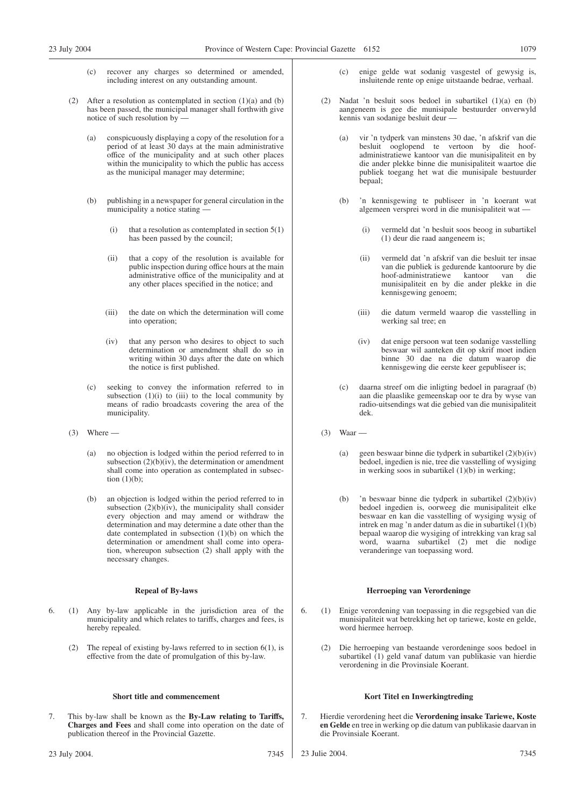- (c) recover any charges so determined or amended, including interest on any outstanding amount.
- (2) After a resolution as contemplated in section  $(1)(a)$  and  $(b)$ has been passed, the municipal manager shall forthwith give notice of such resolution by —
	- (a) conspicuously displaying a copy of the resolution for a period of at least 30 days at the main administrative office of the municipality and at such other places within the municipality to which the public has access as the municipal manager may determine;
	- (b) publishing in a newspaper for general circulation in the municipality a notice stating —
		- (i) that a resolution as contemplated in section  $5(1)$ has been passed by the council;
		- (ii) that a copy of the resolution is available for public inspection during office hours at the main administrative office of the municipality and at any other places specified in the notice; and
		- (iii) the date on which the determination will come into operation;
		- (iv) that any person who desires to object to such determination or amendment shall do so in writing within 30 days after the date on which the notice is first published.
	- (c) seeking to convey the information referred to in subsection  $(1)(i)$  to  $(iii)$  to the local community by means of radio broadcasts covering the area of the municipality.
- $(3)$  Where
	- (a) no objection is lodged within the period referred to in subsection  $(2)(b)(iv)$ , the determination or amendment shall come into operation as contemplated in subsection (1)(b);
	- (b) an objection is lodged within the period referred to in subsection  $(2)(b)(iv)$ , the municipality shall consider every objection and may amend or withdraw the determination and may determine a date other than the date contemplated in subsection (1)(b) on which the determination or amendment shall come into operation, whereupon subsection (2) shall apply with the necessary changes.

#### **Repeal of By-laws**

- 6. (1) Any by-law applicable in the jurisdiction area of the municipality and which relates to tariffs, charges and fees, is hereby repealed.
	- (2) The repeal of existing by-laws referred to in section 6(1), is effective from the date of promulgation of this by-law.

#### **Short title and commencement**

7. This by-law shall be known as the **By-Law relating to Tariffs, Charges and Fees** and shall come into operation on the date of publication thereof in the Provincial Gazette.

- (c) enige gelde wat sodanig vasgestel of gewysig is, insluitende rente op enige uitstaande bedrae, verhaal.
- (2) Nadat 'n besluit soos bedoel in subartikel (1)(a) en (b) aangeneem is gee die munisipale bestuurder onverwyld kennis van sodanige besluit deur —
	- (a) vir 'n tydperk van minstens 30 dae, 'n afskrif van die besluit ooglopend te vertoon by die hoofadministratiewe kantoor van die munisipaliteit en by die ander plekke binne die munisipaliteit waartoe die publiek toegang het wat die munisipale bestuurder bepaal;
	- 'n kennisgewing te publiseer in 'n koerant wat algemeen versprei word in die munisipaliteit wat —
		- (i) vermeld dat 'n besluit soos beoog in subartikel (1) deur die raad aangeneem is;
		- (ii) vermeld dat 'n afskrif van die besluit ter insae van die publiek is gedurende kantoorure by die hoof-administratiewe kantoor van die munisipaliteit en by die ander plekke in die kennisgewing genoem;
		- (iii) die datum vermeld waarop die vasstelling in werking sal tree; en
		- (iv) dat enige persoon wat teen sodanige vasstelling beswaar wil aanteken dit op skrif moet indien binne 30 dae na die datum waarop die kennisgewing die eerste keer gepubliseer is;
	- (c) daarna streef om die inligting bedoel in paragraaf (b) aan die plaaslike gemeenskap oor te dra by wyse van radio-uitsendings wat die gebied van die munisipaliteit dek.
- (3) Waar
	- (a) geen beswaar binne die tydperk in subartikel (2)(b)(iv) bedoel, ingedien is nie, tree die vasstelling of wysiging in werking soos in subartikel (1)(b) in werking;
	- (b) 'n beswaar binne die tydperk in subartikel (2)(b)(iv) bedoel ingedien is, oorweeg die munisipaliteit elke beswaar en kan die vasstelling of wysiging wysig of intrek en mag 'n ander datum as die in subartikel (1)(b) bepaal waarop die wysiging of intrekking van krag sal word, waarna subartikel (2) met die nodige veranderinge van toepassing word.

#### **Herroeping van Verordeninge**

- 6. (1) Enige verordening van toepassing in die regsgebied van die munisipaliteit wat betrekking het op tariewe, koste en gelde, word hiermee herroep.
	- (2) Die herroeping van bestaande verordeninge soos bedoel in subartikel (1) geld vanaf datum van publikasie van hierdie verordening in die Provinsiale Koerant.

#### **Kort Titel en Inwerkingtreding**

- 7. Hierdie verordening heet die **Verordening insake Tariewe, Koste en Gelde** en tree in werking op die datum van publikasie daarvan in die Provinsiale Koerant.
- 23 Julie 2004. 7345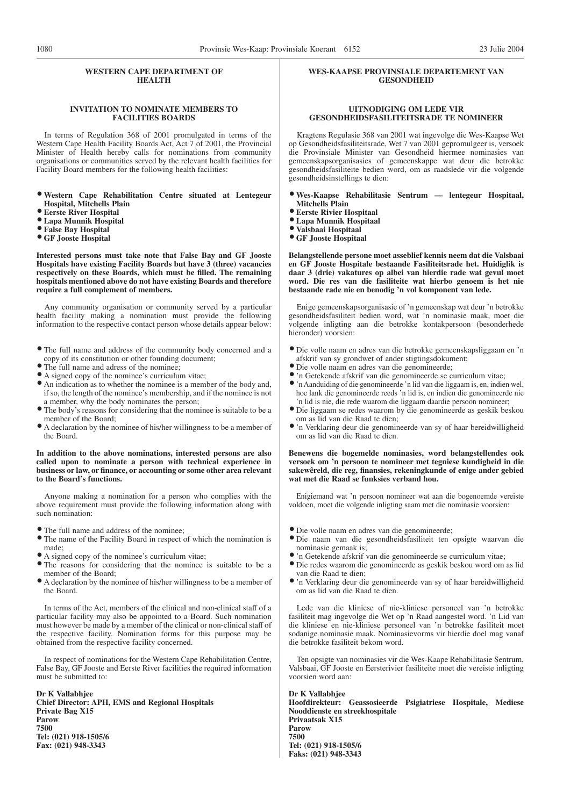#### **WESTERN CAPE DEPARTMENT OF HEALTH**

#### **INVITATION TO NOMINATE MEMBERS TO FACILITIES BOARDS**

In terms of Regulation 368 of 2001 promulgated in terms of the Western Cape Health Facility Boards Act, Act 7 of 2001, the Provincial Minister of Health hereby calls for nominations from community organisations or communities served by the relevant health facilities for Facility Board members for the following health facilities:

- <sup>O</sup> **Western Cape Rehabilitation Centre situated at Lentegeur Hospital, Mitchells Plain**
- <sup>O</sup> **Eerste River Hospital**
- <sup>O</sup> **Lapa Munnik Hospital**
- <sup>O</sup> **False Bay Hospital**
- <sup>O</sup> **GF Jooste Hospital**

**Interested persons must take note that False Bay and GF Jooste Hospitals have existing Facility Boards but have 3 (three) vacancies respectively on these Boards, which must be filled. The remaining hospitals mentioned above do not have existing Boards and therefore require a full complement of members.**

Any community organisation or community served by a particular health facility making a nomination must provide the following information to the respective contact person whose details appear below:

- <sup>O</sup> The full name and address of the community body concerned and a copy of its constitution or other founding document;
- <sup>O</sup> The full name and adress of the nominee;
- <sup>O</sup> A signed copy of the nominee's curriculum vitae;
- <sup>O</sup> An indication as to whether the nominee is a member of the body and, if so, the length of the nominee's membership, and if the nominee is not a member, why the body nominates the person;
- <sup>O</sup> The body's reasons for considering that the nominee is suitable to be a member of the Board;
- <sup>O</sup> A declaration by the nominee of his/her willingness to be a member of the Board.

**In addition to the above nominations, interested persons are also called upon to nominate a person with technical experience in business or law, or finance, or accounting or some other area relevant to the Board's functions.**

Anyone making a nomination for a person who complies with the above requirement must provide the following information along with such nomination:

- <sup>O</sup> The full name and address of the nominee;
- <sup>O</sup> The name of the Facility Board in respect of which the nomination is made;
- <sup>O</sup> A signed copy of the nominee's curriculum vitae;
- <sup>O</sup> The reasons for considering that the nominee is suitable to be a member of the Board;
- <sup>O</sup> A declaration by the nominee of his/her willingness to be a member of the Board.

In terms of the Act, members of the clinical and non-clinical staff of a particular facility may also be appointed to a Board. Such nomination must however be made by a member of the clinical or non-clinical staff of the respective facility. Nomination forms for this purpose may be obtained from the respective facility concerned.

In respect of nominations for the Western Cape Rehabilitation Centre, False Bay, GF Jooste and Eerste River facilities the required information must be submitted to:

**Dr K Vallabhjee Chief Director: APH, EMS and Regional Hospitals Private Bag X15 Parow 7500 Tel: (021) 918-1505/6 Fax: (021) 948-3343**

#### **WES-KAAPSE PROVINSIALE DEPARTEMENT VAN GESONDHEID**

#### **UITNODIGING OM LEDE VIR GESONDHEIDSFASILITEITSRADE TE NOMINEER**

Kragtens Regulasie 368 van 2001 wat ingevolge die Wes-Kaapse Wet op Gesondheidsfasiliteitsrade, Wet 7 van 2001 gepromulgeer is, versoek die Provinsiale Minister van Gesondheid hiermee nominasies van gemeenskapsorganisasies of gemeenskappe wat deur die betrokke gesondheidsfasiliteite bedien word, om as raadslede vir die volgende gesondheidsinstellings te dien:

#### <sup>O</sup> **Wes-Kaapse Rehabilitasie Sentrum — lentegeur Hospitaal, Mitchells Plain**

- <sup>O</sup> **Eerste Rivier Hospitaal**
- <sup>O</sup> **Lapa Munnik Hospitaal**
- <sup>O</sup> **Valsbaai Hospitaal**
- <sup>O</sup> **GF Jooste Hospitaal**

**Belangstellende persone moet asseblief kennis neem dat die Valsbaai en GF Jooste Hospitale bestaande Fasiliteitsrade het. Huidiglik is daar 3 (drie) vakatures op albei van hierdie rade wat gevul moet word. Die res van die fasiliteite wat hierbo genoem is het nie bestaande rade nie en benodig 'n vol komponent van lede.**

Enige gemeenskapsorganisasie of 'n gemeenskap wat deur 'n betrokke gesondheidsfasiliteit bedien word, wat 'n nominasie maak, moet die volgende inligting aan die betrokke kontakpersoon (besonderhede hieronder) voorsien:

- <sup>O</sup> Die volle naam en adres van die betrokke gemeenskapsliggaam en 'n afskrif van sy grondwet of ander stigtingsdokument;
- <sup>O</sup> Die volle naam en adres van die genomineerde;
- <sup>O</sup> 'n Getekende afskrif van die genomineerde se curriculum vitae;
- O 'n Aanduiding of die genomineerde 'n lid van die liggaam is, en, indien wel, hoe lank die genomineerde reeds 'n lid is, en indien die genomineerde nie 'n lid is nie, die rede waarom die liggaam daardie persoon nomineer;
- <sup>O</sup> Die liggaam se redes waarom by die genomineerde as geskik beskou om as lid van die Raad te dien;
- <sup>O</sup> 'n Verklaring deur die genomineerde van sy of haar bereidwilligheid om as lid van die Raad te dien.

**Benewens die bogemelde nominasies, word belangstellendes ook versoek om 'n persoon te nomineer met tegniese kundigheid in die sakewêreld, die reg, finansies, rekeningkunde of enige ander gebied wat met die Raad se funksies verband hou.**

Enigiemand wat 'n persoon nomineer wat aan die bogenoemde vereiste voldoen, moet die volgende inligting saam met die nominasie voorsien:

- <sup>O</sup> Die volle naam en adres van die genomineerde;
- <sup>O</sup> Die naam van die gesondheidsfasiliteit ten opsigte waarvan die nominasie gemaak is;
- <sup>O</sup> 'n Getekende afskrif van die genomineerde se curriculum vitae;
- <sup>O</sup> Die redes waarom die genomineerde as geskik beskou word om as lid van die Raad te dien;
- <sup>O</sup> 'n Verklaring deur die genomineerde van sy of haar bereidwilligheid om as lid van die Raad te dien.

Lede van die kliniese of nie-kliniese personeel van 'n betrokke fasiliteit mag ingevolge die Wet op 'n Raad aangestel word. 'n Lid van die kliniese en nie-kliniese personeel van 'n betrokke fasiliteit moet sodanige nominasie maak. Nominasievorms vir hierdie doel mag vanaf die betrokke fasiliteit bekom word.

Ten opsigte van nominasies vir die Wes-Kaape Rehabilitasie Sentrum, Valsbaai, GF Jooste en Eersterivier fasiliteite moet die vereiste inligting voorsien word aan:

**Dr K Vallabhjee Hoofdirekteur: Geassosieerde Psigiatriese Hospitale, Mediese Nooddienste en streekhospitale Privaatsak X15 Parow 7500 Tel: (021) 918-1505/6 Faks: (021) 948-3343**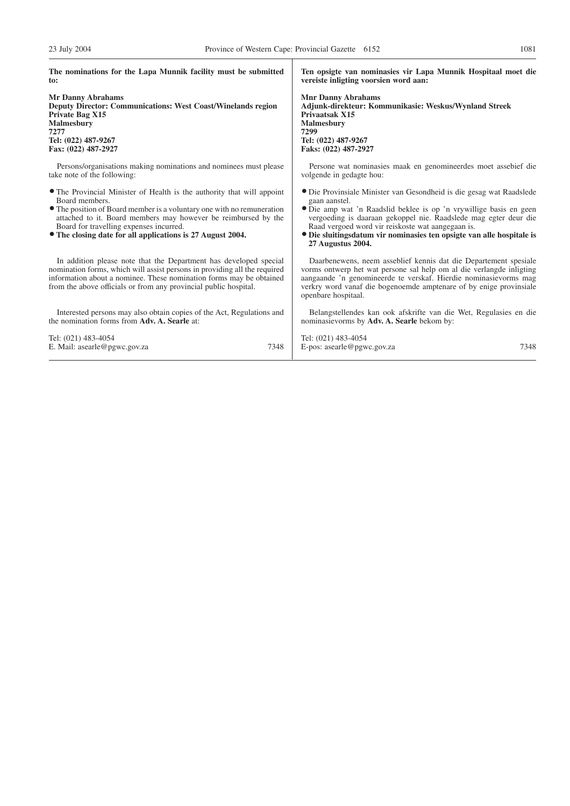| The nominations for the Lapa Munnik facility must be submitted                                                                                                                                                                                                                                                                                | Ten opsigte van nominasies vir Lapa Munnik Hospitaal moet die                                                                                                                                                                                                                                                                                                                             |  |  |
|-----------------------------------------------------------------------------------------------------------------------------------------------------------------------------------------------------------------------------------------------------------------------------------------------------------------------------------------------|-------------------------------------------------------------------------------------------------------------------------------------------------------------------------------------------------------------------------------------------------------------------------------------------------------------------------------------------------------------------------------------------|--|--|
| to:                                                                                                                                                                                                                                                                                                                                           | vereiste inligting voorsien word aan:                                                                                                                                                                                                                                                                                                                                                     |  |  |
| <b>Mr Danny Abrahams</b>                                                                                                                                                                                                                                                                                                                      | <b>Mnr Danny Abrahams</b>                                                                                                                                                                                                                                                                                                                                                                 |  |  |
| Deputy Director: Communications: West Coast/Winelands region                                                                                                                                                                                                                                                                                  | Adjunk-direkteur: Kommunikasie: Weskus/Wynland Streek                                                                                                                                                                                                                                                                                                                                     |  |  |
| Private Bag X15                                                                                                                                                                                                                                                                                                                               | Privaatsak X15                                                                                                                                                                                                                                                                                                                                                                            |  |  |
| Malmesburv                                                                                                                                                                                                                                                                                                                                    | <b>Malmesbury</b>                                                                                                                                                                                                                                                                                                                                                                         |  |  |
| 7277                                                                                                                                                                                                                                                                                                                                          | 7299                                                                                                                                                                                                                                                                                                                                                                                      |  |  |
| Tel: (022) 487-9267                                                                                                                                                                                                                                                                                                                           | Tel: (022) 487-9267                                                                                                                                                                                                                                                                                                                                                                       |  |  |
| Fax: (022) 487-2927                                                                                                                                                                                                                                                                                                                           | Faks: (022) 487-2927                                                                                                                                                                                                                                                                                                                                                                      |  |  |
| Persons/organisations making nominations and nominees must please                                                                                                                                                                                                                                                                             | Persone wat nominasies maak en genomineerdes moet assebief die                                                                                                                                                                                                                                                                                                                            |  |  |
| take note of the following:                                                                                                                                                                                                                                                                                                                   | volgende in gedagte hou:                                                                                                                                                                                                                                                                                                                                                                  |  |  |
| • The Provincial Minister of Health is the authority that will appoint<br>Board members.<br>• The position of Board member is a voluntary one with no remuneration<br>attached to it. Board members may however be reimbursed by the<br>Board for travelling expenses incurred.<br>• The closing date for all applications is 27 August 2004. | • Die Provinsiale Minister van Gesondheid is die gesag wat Raadslede<br>gaan aanstel.<br>• Die amp wat 'n Raadslid beklee is op 'n vrywillige basis en geen<br>vergoeding is daaraan gekoppel nie. Raadslede mag egter deur die<br>Raad vergoed word vir reiskoste wat aangegaan is.<br>• Die sluitingsdatum vir nominasies ten opsigte van alle hospitale is<br><b>27 Augustus 2004.</b> |  |  |
| In addition please note that the Department has developed special<br>nomination forms, which will assist persons in providing all the required<br>information about a nominee. These nomination forms may be obtained<br>from the above officials or from any provincial public hospital.                                                     | Daarbenewens, neem asseblief kennis dat die Departement spesiale<br>vorms ontwerp het wat persone sal help om al die verlangde inligting<br>aangaande 'n genomineerde te verskaf. Hierdie nominasievorms mag<br>verkry word vanaf die bogenoemde amptenare of by enige provinsiale<br>openbare hospitaal.                                                                                 |  |  |
| Interested persons may also obtain copies of the Act, Regulations and                                                                                                                                                                                                                                                                         | Belangstellendes kan ook afskrifte van die Wet, Regulasies en die                                                                                                                                                                                                                                                                                                                         |  |  |
| the nomination forms from Adv. A. Searle at:                                                                                                                                                                                                                                                                                                  | nominasievorms by Adv. A. Searle bekom by:                                                                                                                                                                                                                                                                                                                                                |  |  |
| Tel: (021) 483-4054                                                                                                                                                                                                                                                                                                                           | Tel: (021) 483-4054                                                                                                                                                                                                                                                                                                                                                                       |  |  |
| 7348                                                                                                                                                                                                                                                                                                                                          | E-pos: $asearle@pgwc.gov.za$                                                                                                                                                                                                                                                                                                                                                              |  |  |
| E. Mail: asearle@pgwc.gov.za                                                                                                                                                                                                                                                                                                                  | 7348                                                                                                                                                                                                                                                                                                                                                                                      |  |  |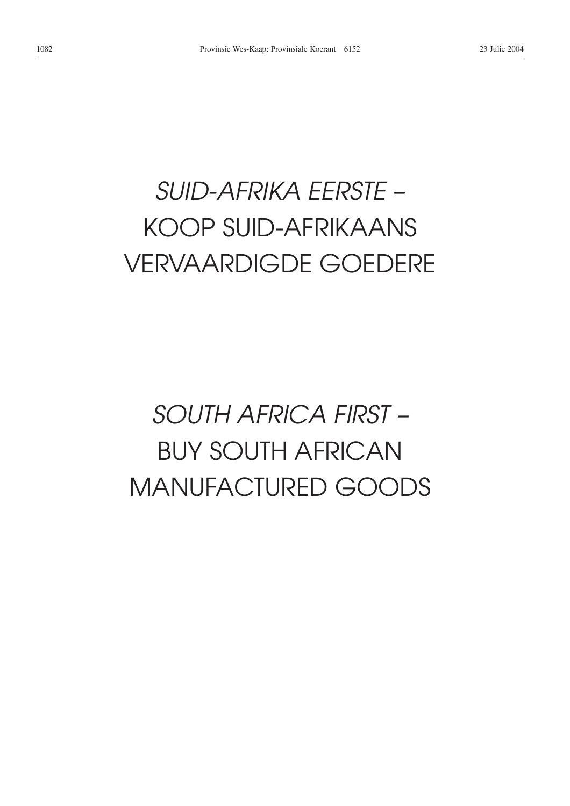# *SUID-AFRIKA EERSTE –* KOOP SUID-AFRIKAANS VERVAARDIGDE GOEDERE

# *SOUTH AFRICA FIRST –* BUY SOUTH AFRICAN MANUFACTURED GOODS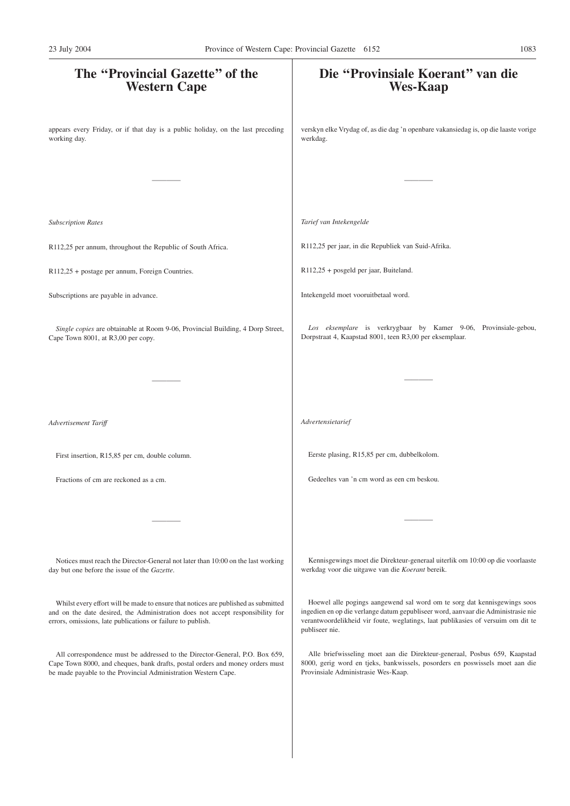| The "Provincial Gazette" of the<br><b>Western Cape</b>                                                                                                                                                                              | Die "Provinsiale Koerant" van die<br><b>Wes-Kaap</b>                                                                                                                                                                                                                |
|-------------------------------------------------------------------------------------------------------------------------------------------------------------------------------------------------------------------------------------|---------------------------------------------------------------------------------------------------------------------------------------------------------------------------------------------------------------------------------------------------------------------|
| appears every Friday, or if that day is a public holiday, on the last preceding<br>working day.                                                                                                                                     | verskyn elke Vrydag of, as die dag 'n openbare vakansiedag is, op die laaste vorige<br>werkdag.                                                                                                                                                                     |
|                                                                                                                                                                                                                                     |                                                                                                                                                                                                                                                                     |
| <b>Subscription Rates</b>                                                                                                                                                                                                           | Tarief van Intekengelde                                                                                                                                                                                                                                             |
| R112,25 per annum, throughout the Republic of South Africa.                                                                                                                                                                         | R112,25 per jaar, in die Republiek van Suid-Afrika.                                                                                                                                                                                                                 |
| R112,25 + postage per annum, Foreign Countries.                                                                                                                                                                                     | R112,25 + posgeld per jaar, Buiteland.                                                                                                                                                                                                                              |
| Subscriptions are payable in advance.                                                                                                                                                                                               | Intekengeld moet vooruitbetaal word.                                                                                                                                                                                                                                |
| Single copies are obtainable at Room 9-06, Provincial Building, 4 Dorp Street,<br>Cape Town 8001, at R3,00 per copy.                                                                                                                | Los eksemplare is verkrygbaar by Kamer 9-06, Provinsiale-gebou,<br>Dorpstraat 4, Kaapstad 8001, teen R3,00 per eksemplaar.                                                                                                                                          |
|                                                                                                                                                                                                                                     |                                                                                                                                                                                                                                                                     |
| Advertisement Tariff                                                                                                                                                                                                                | Advertensietarief                                                                                                                                                                                                                                                   |
| First insertion, R15,85 per cm, double column.                                                                                                                                                                                      | Eerste plasing, R15,85 per cm, dubbelkolom.                                                                                                                                                                                                                         |
| Fractions of cm are reckoned as a cm.                                                                                                                                                                                               | Gedeeltes van 'n cm word as een cm beskou.                                                                                                                                                                                                                          |
|                                                                                                                                                                                                                                     |                                                                                                                                                                                                                                                                     |
| Notices must reach the Director-General not later than 10:00 on the last working<br>day but one before the issue of the Gazette.                                                                                                    | Kennisgewings moet die Direkteur-generaal uiterlik om 10:00 op die voorlaaste<br>werkdag voor die uitgawe van die Koerant bereik.                                                                                                                                   |
| Whilst every effort will be made to ensure that notices are published as submitted<br>and on the date desired, the Administration does not accept responsibility for<br>errors, omissions, late publications or failure to publish. | Hoewel alle pogings aangewend sal word om te sorg dat kennisgewings soos<br>ingedien en op die verlange datum gepubliseer word, aanvaar die Administrasie nie<br>verantwoordelikheid vir foute, weglatings, laat publikasies of versuim om dit te<br>publiseer nie. |
| All correspondence must be addressed to the Director-General, P.O. Box 659,<br>Cape Town 8000, and cheques, bank drafts, postal orders and money orders must<br>be made payable to the Provincial Administration Western Cape.      | Alle briefwisseling moet aan die Direkteur-generaal, Posbus 659, Kaapstad<br>8000, gerig word en tjeks, bankwissels, posorders en poswissels moet aan die<br>Provinsiale Administrasie Wes-Kaap.                                                                    |
|                                                                                                                                                                                                                                     |                                                                                                                                                                                                                                                                     |